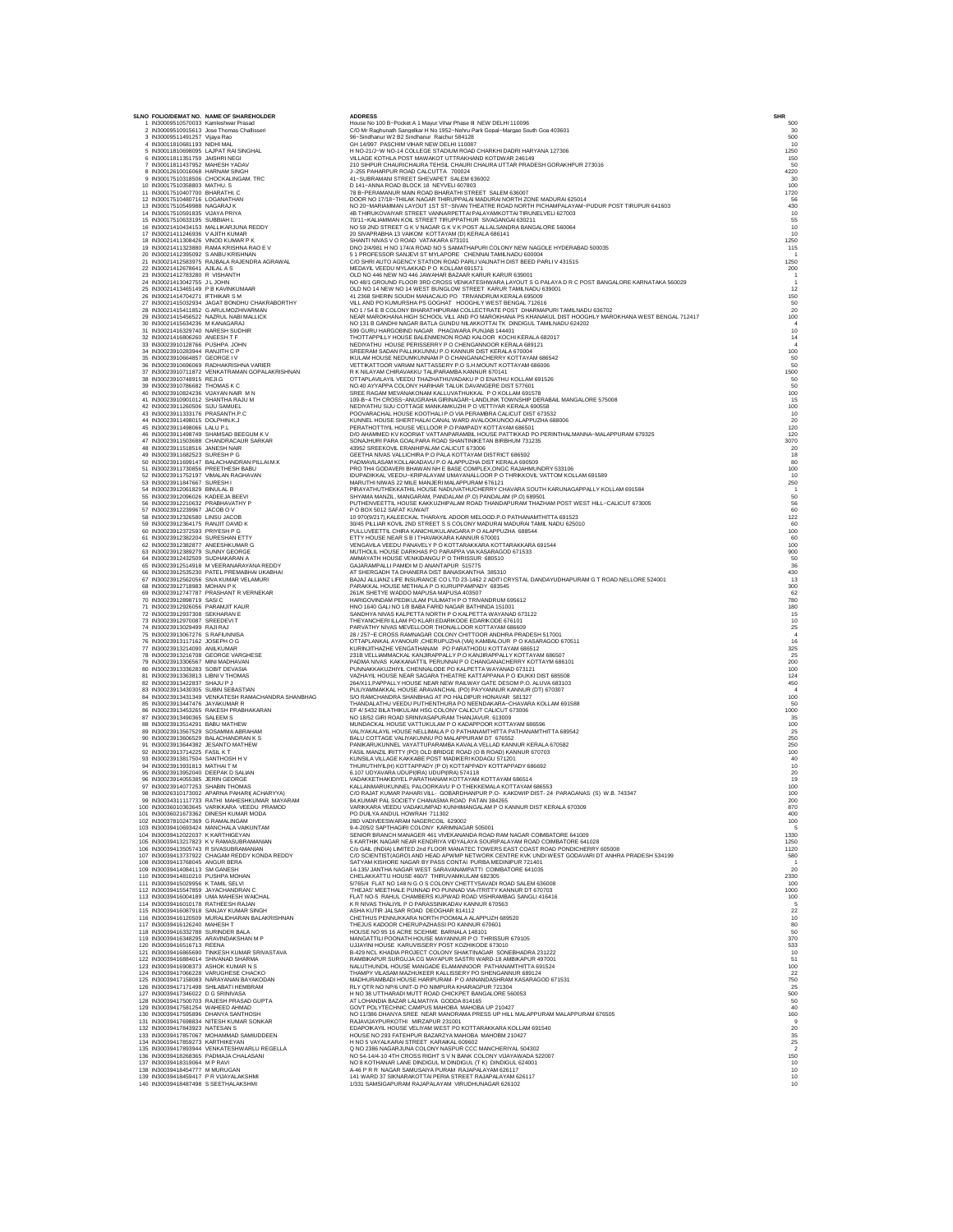|                                                                                                                                                                                                                                    | SLNO FOLIO/DEMAT NO. NAME OF SHAREHOLDER                                                                                                                                                                                                         | <b>ADDRESS</b>                                                                                                                                                                                                                                                                                                 | SHR |                                                              |
|------------------------------------------------------------------------------------------------------------------------------------------------------------------------------------------------------------------------------------|--------------------------------------------------------------------------------------------------------------------------------------------------------------------------------------------------------------------------------------------------|----------------------------------------------------------------------------------------------------------------------------------------------------------------------------------------------------------------------------------------------------------------------------------------------------------------|-----|--------------------------------------------------------------|
| 1 IN30009510570033 Kamleshwar Prasad                                                                                                                                                                                               | 2 IN30009510915613 Jose Thomas Challisser                                                                                                                                                                                                        | House No 100 B-Pocket A 1 Mayur Vihar Phase III NEW DELHI 110096<br>C/O Mr Raghunath Sangelkar H No 1952-Nehru Park Gopal-Margao South Goa 403601                                                                                                                                                              |     | 500<br>30                                                    |
| 3 IN30009511491257 Vijaya Rao                                                                                                                                                                                                      |                                                                                                                                                                                                                                                  | 96-Sindhanur W2 B2 Sindhanur Raichur 584128                                                                                                                                                                                                                                                                    |     | $\frac{500}{10}$                                             |
| 4 IN30011810681193 NIDHI MAL                                                                                                                                                                                                       |                                                                                                                                                                                                                                                  | GH 14/997 PASCHIM VIHAR NEW DELHI 110087                                                                                                                                                                                                                                                                       |     |                                                              |
| 6 IN30011811351759 JAISHRI NEGI                                                                                                                                                                                                    | 5 IN30011810698095 LAJPAT RAI SINGHAL                                                                                                                                                                                                            | H NO-21/J-W NO-14 COLLEGE STADIUM ROAD CHARKHI DADRI HARYANA 127306<br>H NO-21/J-W NO-14 COLLEGE STADUM ROAD CHARKHI DADRI HARYANA 127306<br>VILLAGE KOTHLA POST MAVIAKOT UTTRAKHAND KOTDWAR 246149<br>210 SHPUR CHAURICHAURE THEIL CHAURA UTTAR PRADESH GORAKHPUR 273016<br>4 - SUS PAHARPUR ROAD CALCUTTA 70 |     | 1250                                                         |
| 7 IN30011811437952 MAHESH YADAV 8 IN30012610016068 HARNAM SINGH                                                                                                                                                                    |                                                                                                                                                                                                                                                  |                                                                                                                                                                                                                                                                                                                |     | $\frac{150}{50}$                                             |
|                                                                                                                                                                                                                                    |                                                                                                                                                                                                                                                  |                                                                                                                                                                                                                                                                                                                |     | 4220<br>30                                                   |
|                                                                                                                                                                                                                                    | 9 IN30017510318506 CHOCKALINGAM. TRC<br>10 IN30017510318506 CHOCKALINGAM. TRC<br>10 IN30017510358803 MATHU. S<br>12 IN30017510407700 BHARATHLO<br>12 IN30017510549988 NAGARAJK<br>13 IN30017510549988 NAGARAJK                                   |                                                                                                                                                                                                                                                                                                                |     | 100                                                          |
|                                                                                                                                                                                                                                    |                                                                                                                                                                                                                                                  |                                                                                                                                                                                                                                                                                                                |     | 1720                                                         |
|                                                                                                                                                                                                                                    |                                                                                                                                                                                                                                                  |                                                                                                                                                                                                                                                                                                                |     | 56<br>430                                                    |
| 14 IN30017510591835 VIJAYA PRIYA                                                                                                                                                                                                   |                                                                                                                                                                                                                                                  |                                                                                                                                                                                                                                                                                                                |     |                                                              |
| 15 IN30017510633195 SUBBIAH L                                                                                                                                                                                                      |                                                                                                                                                                                                                                                  | 70/11-KALIAMMAN KOIL STREET TIRUPPATHUR SIVAGANGAI 630211                                                                                                                                                                                                                                                      |     | $10$<br>$55$<br>$10$<br>$10$                                 |
| 17 IN30021411246936 V AJITH KUMAR                                                                                                                                                                                                  | 16 IN30021410434153 MALLIKARJUNA REDDY                                                                                                                                                                                                           | NO 59 2ND STREET G K V NAGAR G K V K POST ALLALSANDRA BANGALORE 560064                                                                                                                                                                                                                                         |     |                                                              |
| 18 IN30021411308426 VINOD KUMAR P K                                                                                                                                                                                                |                                                                                                                                                                                                                                                  | 20 SIVAPRABHA 13 VAIKOM KOTTAYAM (D) KERALA 686141<br>SHANTI NIVAS V O ROAD VATAKARA 673101                                                                                                                                                                                                                    |     | 1250                                                         |
|                                                                                                                                                                                                                                    | 19 IN30021411323880 RAMA KRISHNA RAO E V                                                                                                                                                                                                         | DINO 2/4/981 H NO 174/A ROAD NO 5 SAMATHAPURI COLONY NEW NAGOLE HYDERABAD 500035<br>5 1 PROFESSOR SANJEVI ST MYLAPORE CHENNAI TAMILNADU 600004                                                                                                                                                                 |     | 115                                                          |
| 20 IN30021412395092 S ANBU KRISHNAN                                                                                                                                                                                                | 21 IN30021412583975 RAJBALA RAJENDRA AGRAWAL                                                                                                                                                                                                     | C/O SHRI AUTO AGENCY STATION ROAD PARLI VAIJNATH DIST BEED PARLI V 431515                                                                                                                                                                                                                                      |     | $\overline{1}$<br>1250                                       |
| 22 IN30021412678641 AJILAL A S                                                                                                                                                                                                     |                                                                                                                                                                                                                                                  | MEDAYIL VEEDU MYLAKKAD P O KOLLAM 691571                                                                                                                                                                                                                                                                       |     | 200                                                          |
| 23 IN30021412783280 R VISHANTH                                                                                                                                                                                                     |                                                                                                                                                                                                                                                  | OLD NO 446 NEW NO 446 JAWAHAR BAZAAR KARUR KARUR 639001                                                                                                                                                                                                                                                        |     | $\overline{1}$                                               |
| 24 IN30021413042755 J L JOHN<br>25 IN30021413465149 P B KAVINKUMAAR                                                                                                                                                                |                                                                                                                                                                                                                                                  | NO 48/1 GROUND FLOOR 3RD CROSS VENKATESHWARA LAYOUT S G PALAYA D R C POST BANGALORE KARNATAKA 560029<br>OLD NO 14 NEW NO 14 WEST BUNGLOW STREET KARUR TAMILNADU 639001                                                                                                                                         |     | 12                                                           |
| 26 IN30021414704271 IFTHIKAR S M                                                                                                                                                                                                   |                                                                                                                                                                                                                                                  | 41 2368 SHERIN SOUDH MANACAUD PO TRIVANDRUM KERALA 695009                                                                                                                                                                                                                                                      |     | 150                                                          |
|                                                                                                                                                                                                                                    | 27 IN30021415032934 JAGAT BONDHU CHAKRABORTHY                                                                                                                                                                                                    | VILL AND PO KUMURSHA PS GOGHAT HOOGHLY WEST BENGAL 712616                                                                                                                                                                                                                                                      |     | $\begin{array}{c} 50 \\ 20 \end{array}$                      |
|                                                                                                                                                                                                                                    | 28 IN30021415411852 G ARULMOZHIVARMAN<br>29 IN30021415456522 NAZRUL NABI MALLICK                                                                                                                                                                 | NO 1 / 54 E B COLONY BHARATHIPURAM COLLECTRATE POST DHARMAPURI TAMILNADU 636702<br>NEAR MAROKHANA HIGH SCHOOL VILL AND PO MAROKHANA PS KHANAKUL DIST HOOGHLY MAROKHANA WEST BENGAL 712417                                                                                                                      |     | 100                                                          |
| 30 IN30021415634236 M KANAGARAJ                                                                                                                                                                                                    |                                                                                                                                                                                                                                                  | NO 131 B GANDHI NAGAR BATLA GUNDU NILAKKOTTAI TK DINDIGUL TAMILNADU 624202                                                                                                                                                                                                                                     |     |                                                              |
| 31 IN30021416329740 NARESH SUDHIR<br>32 IN30021416806260 ANEESH T F                                                                                                                                                                |                                                                                                                                                                                                                                                  |                                                                                                                                                                                                                                                                                                                |     | $\frac{10}{14}$                                              |
|                                                                                                                                                                                                                                    |                                                                                                                                                                                                                                                  |                                                                                                                                                                                                                                                                                                                |     |                                                              |
|                                                                                                                                                                                                                                    |                                                                                                                                                                                                                                                  |                                                                                                                                                                                                                                                                                                                |     | 100                                                          |
|                                                                                                                                                                                                                                    |                                                                                                                                                                                                                                                  |                                                                                                                                                                                                                                                                                                                |     | 50<br>50                                                     |
|                                                                                                                                                                                                                                    |                                                                                                                                                                                                                                                  |                                                                                                                                                                                                                                                                                                                |     |                                                              |
|                                                                                                                                                                                                                                    | 32 IN30021416006260 ANGESTAT IT (DHN 33 IN30023910128766 PUSHPA JOHN<br>35 IN30023910128766 PUSHPA JOHN<br>35 IN30023910684687 GEORGE I V<br>36 IN30023910664667 GEORGE I V<br>37 IN300239107148915 REJLG<br>32 IN300239107148915 REJLG<br>38 IN |                                                                                                                                                                                                                                                                                                                |     |                                                              |
| 39 IN30023910786682 THOMAS K C                                                                                                                                                                                                     |                                                                                                                                                                                                                                                  | NO 131 B GANDHI NAGAR BATLA GUNDU NILAKOTTAI TKO INDIGUL TAMILNACH SO 19 USU HARGOBINO NAGAR PHAGWARA PUNJAB 144401<br>THOTTAPPILLY HOUSE BALENNIKNON ROAD KALOOK NOCHI KERALA 682017<br>NEDITAPPILLY HOUSE BALENNENON ROAD KALOOK N                                                                           |     |                                                              |
| 40 IN30023910824236 VIJAYAN NAIR M N<br>41 IN30023910901012 SHANTHA RAJU M                                                                                                                                                         |                                                                                                                                                                                                                                                  | SREE RAGAM MEVANAKONAM KALLUVATHUKKAL P O KOLLAM 691578<br>109-B-4 TH CROSS-ANUGRAHA GIRINAGAR-LANDLINK TOWNSHIP DERABAIL MANGALORE 575008                                                                                                                                                                     |     | $\begin{array}{r} 1500 \\ 50 \\ 50 \\ 100 \\ 15 \end{array}$ |
| 42 IN30023911260506 SIJU SAMUEL                                                                                                                                                                                                    |                                                                                                                                                                                                                                                  | NEDIYATHU SIJU COTTAGE MANKAMKUZHI P O VETTIYAR KERALA 690558                                                                                                                                                                                                                                                  |     |                                                              |
| 43 IN30023911333176 PRASANTH.P.C                                                                                                                                                                                                   |                                                                                                                                                                                                                                                  | POOVARACHAL HOUSE KOOTHALI P.O VIA PERAMBRA CALICUT DIST 673532                                                                                                                                                                                                                                                |     | $\frac{100}{10}$                                             |
| 44 IN30023911498015 DOLPHIN.K.J<br>45 IN30023911498066 LALU P.L.                                                                                                                                                                   |                                                                                                                                                                                                                                                  | KUNNEL HOUSE SHERTHALAI CANAL WARD AVALOOKUNOO ALAPPUZHA 688006<br>PERATHOTTIYIL HOUSE VELLOOR P.O PAMPADY KOTTAYAM 686501                                                                                                                                                                                     |     | 120                                                          |
|                                                                                                                                                                                                                                    | 46 IN30023911498749 SHAMSAD BEEGUM K V                                                                                                                                                                                                           | D/O AHAMMED KV KOORIAT VATTANPARAMBIL HOUSE PATTIKKAD PO PERINTHALMANNA-MALAPPURAM 679325                                                                                                                                                                                                                      |     | 120                                                          |
|                                                                                                                                                                                                                                    | 47 IN30023911503688 CHANDRACAUR SARKAR                                                                                                                                                                                                           | SONAJHURI PARA GOALPARA ROAD SHANTINIKETAN BIRBHUM 731235                                                                                                                                                                                                                                                      |     | 3070                                                         |
| 48 IN30023911518516 JANESH NAIR<br>49 IN30023911682523 SURESH P G                                                                                                                                                                  |                                                                                                                                                                                                                                                  | 43952 SREEKOVIL ERANHIPALAM CALICUT 673006<br>GEETHA NIVAS VALLICHIRA P.O PALA KOTTAYAM DISTRICT 686592                                                                                                                                                                                                        |     | 20<br>18                                                     |
|                                                                                                                                                                                                                                    | 50 IN30023911699147 BALACHANDRAN PILLAI.M.K                                                                                                                                                                                                      | PADMAVILASAM KOLLAKADAVU P.O ALAPPUZHA DIST KERALA 690509                                                                                                                                                                                                                                                      |     | 80                                                           |
|                                                                                                                                                                                                                                    | 51 IN30023911730856 PREETHESH BABU                                                                                                                                                                                                               | PRO TH4 GODAVERI BHAWAN NH E BASE COMPLEX, ONGC RAJAHMUNDRY 533106                                                                                                                                                                                                                                             |     | 100                                                          |
| 53 IN30023911847667 SURESH I                                                                                                                                                                                                       | 52 IN30023911752197 VIMALAN RAGHAVAN                                                                                                                                                                                                             | IDUPADIKKAL VEEDU-KRIPALAYAM UMAYANALLOOR P O THRIKKOVIL VATTOM KOLLAM 691589<br>MARUTHI NIWAS 22 MILE MANJERI MALAPPURAM 676121                                                                                                                                                                               |     | $10$<br>250                                                  |
| 54 IN30023912061829 BINULAL B                                                                                                                                                                                                      |                                                                                                                                                                                                                                                  | PIRAYATHUTHEKKATHIL HOUSE NADUVATHUCHERRY CHAVARA SOUTH KARUNAGAPPALLY KOLLAM 691584                                                                                                                                                                                                                           |     |                                                              |
| 55 IN30023912096026 KADEEJA BEEVI                                                                                                                                                                                                  |                                                                                                                                                                                                                                                  | SHYAMA MANZIL, MANGARAM, PANDALAM (P.O) PANDALAM (P.O) 689501                                                                                                                                                                                                                                                  |     | 50                                                           |
| 56 IN30023912210632 PRABHAVATHY P                                                                                                                                                                                                  |                                                                                                                                                                                                                                                  | PUTHENVEETTIL HOUSE KAKKUZHIPALAM ROAD THANDAPURAM THAZHAM POST WEST HILL-CALICUT 673005                                                                                                                                                                                                                       |     | 56                                                           |
| 57 IN30023912239967 JACOB O V<br>58 IN30023912326580 LINSU JACOB                                                                                                                                                                   |                                                                                                                                                                                                                                                  |                                                                                                                                                                                                                                                                                                                |     | $\frac{60}{122}$                                             |
| 58 IN30023912345890 LINDO JACOB<br>60 IN300239123725539 PRIVESHAN IT DAVID K<br>61 IN300239123725539 PRIVESHAN ETTY<br>62 IN30023912382204 SURESHAN ETTY<br>62 IN30023912389277 ANEESHKUMAR G<br>64 IN300239124392509 SUDHAKARAN A |                                                                                                                                                                                                                                                  | PUINENVELI IL HUOSE KARKILLAIPINA MOVAU I HANDAPUNAMI IHAZHAMI PUSI<br>PO 2000 SVI? SAKAT KUM THARAYL ADOOR MELOOD P.O PATHANAMI HITTA 691523<br>2006 SP LUAR KOVIL 200 STREET S S COLONY MADURANI MADURA TAMIL NADU 625010<br>PULLUVEE                                                                        |     | 60                                                           |
|                                                                                                                                                                                                                                    |                                                                                                                                                                                                                                                  |                                                                                                                                                                                                                                                                                                                |     | 100                                                          |
|                                                                                                                                                                                                                                    |                                                                                                                                                                                                                                                  |                                                                                                                                                                                                                                                                                                                |     | $\frac{60}{100}$                                             |
|                                                                                                                                                                                                                                    |                                                                                                                                                                                                                                                  |                                                                                                                                                                                                                                                                                                                |     |                                                              |
|                                                                                                                                                                                                                                    | 65 IN30023912514918 M VEERANARAYANA REDDY                                                                                                                                                                                                        | GAJARAMPALLI PAMIDI M D ANANTAPUR 515775                                                                                                                                                                                                                                                                       |     | 900<br>50<br>50<br>36<br>430<br>13<br>90<br>62<br>780        |
|                                                                                                                                                                                                                                    | 66 IN30023912535230 PATEL PREMABHAI UKABHAI                                                                                                                                                                                                      | AT SHERGADH TA DHANERA DIST BANASKANTHA 385310                                                                                                                                                                                                                                                                 |     |                                                              |
|                                                                                                                                                                                                                                    | 67 IN30023912562056 SIVA KUMAR VELAMURI<br>68 IN30023912718983 MOHAN P K                                                                                                                                                                         | N UNICOLOGICAL INSURANCE COLTD 23-1462 2 ADITI CRYSTAL DANDAYUDHAPURAM G T ROAD NELLORE 524001<br>PARAKKAL HOUSE METHALA P O KURUPPAMPADY 683545                                                                                                                                                               |     |                                                              |
|                                                                                                                                                                                                                                    | 69 IN30023912747787 PRASHANT R VERNEKAR                                                                                                                                                                                                          | 261/K SHETYE WADDO MAPUSA MAPUSA 403507                                                                                                                                                                                                                                                                        |     |                                                              |
| 70 IN30023912898719 SASIC                                                                                                                                                                                                          |                                                                                                                                                                                                                                                  | HARIGOVINDAM PEDIKULAM PULIMATH P O TRIVANDRUM 695612                                                                                                                                                                                                                                                          |     |                                                              |
| 71 IN30023912926056 PARAMJIT KAUR                                                                                                                                                                                                  |                                                                                                                                                                                                                                                  | HNO 1640 GALI NO 1/8 BABA FARID NAGAR BATHINDA 151001                                                                                                                                                                                                                                                          |     | 180                                                          |
| 72 IN30023912937308 SEKHARAN E                                                                                                                                                                                                     |                                                                                                                                                                                                                                                  | SANDHYA NIVAS KALPETTA NORTH P O KALPETTA WAYANAD 673122                                                                                                                                                                                                                                                       |     | 15                                                           |
| 73 IN30023912970087 SREEDEVIT<br>74 IN30023913029499 RAJI RAJ                                                                                                                                                                      |                                                                                                                                                                                                                                                  | THEYANCHERI ILLAM PO KLARI EDARIKODE EDARIKODE 676101<br>PARVATHY NIVAS MEVELLOOR THONALLOOR KOTTAYAM 686609                                                                                                                                                                                                   |     | $10$                                                         |
| 75 IN30023913067276 S RAFIUNNISA                                                                                                                                                                                                   |                                                                                                                                                                                                                                                  | 28 / 257-E CROSS RAMNAGAR COLONY CHITTOOR ANDHRA PRADESH 517001                                                                                                                                                                                                                                                |     | $\begin{array}{c} 25 \\ 4 \\ 16 \end{array}$                 |
| 76 IN30023913117162 JOSEPH O G                                                                                                                                                                                                     |                                                                                                                                                                                                                                                  | OTTAPLANKAL AYANOUR , CHERUPUZHA (VIA) KAMBALOUR P O KASARAGOD 670511                                                                                                                                                                                                                                          |     |                                                              |
| 77 IN30023913214090 ANILKUMAR                                                                                                                                                                                                      | 78 IN30023913216708 GEORGE VARGHESE                                                                                                                                                                                                              | KURINJITHAZHE VENGATHANAM PO PARATHODU KOTTAYAM 686512<br>231B VELLIAMMACKAL KANJIRAPPALLY P.O KANJIRAPPALLY KOTTAYAM 686507                                                                                                                                                                                   |     | 325<br>25                                                    |
| 79 IN30023913306567 MINI MADHAVAN                                                                                                                                                                                                  |                                                                                                                                                                                                                                                  | PADMA NIVAS KAKKANATTIL PERUNNAI P O CHANGANACHERRY KOTTAYM 686101                                                                                                                                                                                                                                             |     | 200                                                          |
| 80 IN30023913336283 SOBIT DEVASIA                                                                                                                                                                                                  |                                                                                                                                                                                                                                                  | PUNNAKKAKUZHIYIL CHENNALODE PO KALPETTA WAYANAD 673121                                                                                                                                                                                                                                                         |     | 100                                                          |
| 81 IN30023913363813 LIBNI V THOMAS                                                                                                                                                                                                 |                                                                                                                                                                                                                                                  | VAZHAYIL HOUSE NEAR SAGARA THEATRE KATTAPPANA P O IDUKKI DIST 685508                                                                                                                                                                                                                                           |     | 124<br>450                                                   |
| 82 IN30023913422837 SHAJU P J<br>83 IN30023913430305 SUBIN SEBASTIAN                                                                                                                                                               |                                                                                                                                                                                                                                                  |                                                                                                                                                                                                                                                                                                                |     |                                                              |
|                                                                                                                                                                                                                                    | 03 IWANG291 MAJUMO SUBIN SEHAN IMPI<br>84 INSOC29113411340 VENKATESH RAMACHANDRA SHANBHAG<br>85 INSOC29113441340 VENKATESH RAMACHANDRA SHANBHAG<br>86 INSOC2911345265 RAKESH PRABHAKARAN<br>87 INSOC29113490365 SALEEM S<br>188 INSOC29113490    | VALIANT HOUSE NEW SAGARA I HEATAIE KATI I PAPPARA PO DUINIS ISSO 1983-000<br>PARAMA INTERNATIONAL HOUSE ARANGEM AND POLYMANTED SOMING ALLIVIS 653103<br>SOM ANARGEMANA SAMABHAG AT PO HADIPIUR HONAVAR SISTEM THANDALATHU VEEDU PUTH                                                                           |     | 100                                                          |
|                                                                                                                                                                                                                                    |                                                                                                                                                                                                                                                  |                                                                                                                                                                                                                                                                                                                |     | $\begin{array}{c} 50 \\ 1000 \end{array}$                    |
|                                                                                                                                                                                                                                    |                                                                                                                                                                                                                                                  |                                                                                                                                                                                                                                                                                                                |     |                                                              |
|                                                                                                                                                                                                                                    |                                                                                                                                                                                                                                                  |                                                                                                                                                                                                                                                                                                                |     | $\begin{array}{c} 35 \\ 100 \\ 25 \end{array}$               |
|                                                                                                                                                                                                                                    | 90 IN30023913606529 BALACHANDRAN K S                                                                                                                                                                                                             | BALU COTTAGE VALIYAKUNNU PO MALAPPURAM DT 676552                                                                                                                                                                                                                                                               |     | 250                                                          |
|                                                                                                                                                                                                                                    | 91 IN30023913644382 JESANTO MATHEW                                                                                                                                                                                                               | PANIKARUKUNNEL VAYATTUPARAMBA KAVALA VELLAD KANNUR KERALA 670582<br>FASIL MANZIL IRITTY (PO) OLD BRIDGE ROAD (O B ROAD) KANNUR 670703                                                                                                                                                                          |     | 250                                                          |
| 92 IN30023913714225 FASIL KT<br>93 IN30023913817504 SANTHOSH H V                                                                                                                                                                   |                                                                                                                                                                                                                                                  | KUNSILA VILLAGE KAKKABE POST MADIKERI KODAGU 571201                                                                                                                                                                                                                                                            |     | 100                                                          |
| 94 IN30023913931813 MATHAIT M                                                                                                                                                                                                      |                                                                                                                                                                                                                                                  | THURUTHIYIL(H) KOTTAPPADY (P O) KOTTAPPADY KOTTAPPADY 686692                                                                                                                                                                                                                                                   |     | $40$<br>$10$<br>$20$<br>$19$                                 |
| 95 IN30023913952040 DEEPAK D SALIAN                                                                                                                                                                                                |                                                                                                                                                                                                                                                  | 1.07 UDYAVARA UDUPI(IRA) UDUPI(IRA) 574118<br>VADAKKETHAKIDIYEL PARATHANAM KOTTAYAM KOTTAYAM 686514                                                                                                                                                                                                            |     |                                                              |
| 96 IN30023914055385 JERIN GEORGE<br>97 IN30023914077253 SHABIN THOMAS                                                                                                                                                              |                                                                                                                                                                                                                                                  | KALLANMARUKUNNEL PALOORKAVU P O THEKKEMALA KOTTAYAM 686553                                                                                                                                                                                                                                                     |     | 100                                                          |
|                                                                                                                                                                                                                                    | 98 IN30026310173002 APARNA PAHARI( ACHARYYA)                                                                                                                                                                                                     | C/O RAJAT KUMAR PAHARI VILL- GOBARDHANPUR P.O- KAKDWIP DIST-24 PARAGANAS (S) W.B. 743347                                                                                                                                                                                                                       |     | 100                                                          |
|                                                                                                                                                                                                                                    | 99 IN30034311117733 RATHI MAHESHKUMAR MAYARAM<br>100 IN30036010363645 VARIKKARA VEEDU PRAMOD                                                                                                                                                     | 84, KUMAR PAL SOCIETY CHANASMA ROAD PATAN 384265                                                                                                                                                                                                                                                               |     | 200                                                          |
|                                                                                                                                                                                                                                    | 101 IN30036021673362 DINESH KUMAR MODA                                                                                                                                                                                                           | VARIKKARA VEEDU VADAKUMPAD KUNHIMANGALAM P O KANNUR DIST KERALA 670309<br>PO DUILYA ANDUL HOWRAH 711302                                                                                                                                                                                                        |     | 870<br>400                                                   |
| 102 IN30037810247369 G RAMALINGAM                                                                                                                                                                                                  |                                                                                                                                                                                                                                                  | 28D VADIVEESWARAM NAGERCOIL 629002                                                                                                                                                                                                                                                                             |     | 100                                                          |
| 104 IN30039412022037 K KARTHIGEYAN                                                                                                                                                                                                 | 103 IN30039410693424 MANCHALA VAIKUNTAM                                                                                                                                                                                                          | 9-4-205/2 SAPTHAGIRI COLONY KARIMNAGAR 505001<br>SENIOR BRANCH MANAGER 461 VIVEKANANDA ROAD RAM NAGAR COIMBATORE 641009                                                                                                                                                                                        |     | 5<br>1330                                                    |
|                                                                                                                                                                                                                                    | 105 IN30039413217823 K V RAMASUBRAMANIAN                                                                                                                                                                                                         | 5 KARTHIK NAGAR NEAR KENDRIYA VIDYALAYA SOURIPALAYAM ROAD COIMBATORE 641028                                                                                                                                                                                                                                    |     | 1250                                                         |
|                                                                                                                                                                                                                                    | 106 IN30039413505743 R SIVASUBRAMANIAN                                                                                                                                                                                                           | C/o GAIL (INDIA) LIMITED 2nd FLOOR MANATEC TOWERS EAST COAST ROAD PONDICHERRY 605008                                                                                                                                                                                                                           |     | 1120                                                         |
| 108 IN30039413768045 ANGUR BERA                                                                                                                                                                                                    | 107 IN30039413737922 CHAGAM REDDY KONDA REDDY                                                                                                                                                                                                    | C/O SCIENTIST(AGRO) AND HEAD APWMP NETWORK CENTRE KVK UNDI WEST GODAVARI DT ANHRA PRADESH 534199<br>SATYAM KISHORE NAGAR BY PASS CONTAI PURBA MEDINIPUR 721401                                                                                                                                                 |     | 580<br>$\overline{1}$                                        |
| 109 IN30039414084113 SM GANESH                                                                                                                                                                                                     |                                                                                                                                                                                                                                                  | 14-135/ JANTHA NAGAR WEST SARAVANAMPATTI COIMBATORE 641035                                                                                                                                                                                                                                                     |     | 20                                                           |
| 110 IN30039414810210 PUSHPA MOHAN                                                                                                                                                                                                  |                                                                                                                                                                                                                                                  | CHELAKKATTU HOUSE 460/7 THIRUVAMKULAM 682305                                                                                                                                                                                                                                                                   |     | 2330                                                         |
| 111 IN30039415029956 K TAMIL SELVI                                                                                                                                                                                                 | 112 IN30039415547859 JAYACHANDRAN C                                                                                                                                                                                                              | 5/765/4 FLAT NO 148 N G O S COLONY CHETTYSAVADI ROAD SALEM 636008<br>'THEJAS' MEETHALE PUNNAD PO PUNNAD VIA-ITRITTY KANNUR DT 670703                                                                                                                                                                           |     | 100<br>1000                                                  |
|                                                                                                                                                                                                                                    | 113 IN30039416004189 UMA MAHESH WAICHAL<br>114 IN30039416010178 RATHEESH RAJAN                                                                                                                                                                   | FLAT NO-5 RAHUL CHAMBERS KUPWAD ROAD VISHRAMBAG SANGLI 416416 KR NIVAS THALIYIL P O PARASSINIKADAV KANNUR 670563                                                                                                                                                                                               |     | 100                                                          |
|                                                                                                                                                                                                                                    | 115 IN30039416087918 SANJAY KUMAR SINGH                                                                                                                                                                                                          | ASHA KUTIR JALSAR ROAD DEOGHAR 814112                                                                                                                                                                                                                                                                          |     | 5                                                            |
|                                                                                                                                                                                                                                    | 116 IN30039416120509 MURALIDHARAN BALAKRISHNAN                                                                                                                                                                                                   | CHETHUS PENNUKKARA NORTH POOMALA ALAPPUZH 689520                                                                                                                                                                                                                                                               |     | $^{22}$<br>10                                                |
| 117 IN30039416126240 MAHESH T                                                                                                                                                                                                      |                                                                                                                                                                                                                                                  | THEJUS KADOOR CHERUPAZHASSI PO KANNUR 670601                                                                                                                                                                                                                                                                   |     | 80                                                           |
| 118 IN30039416332788 SURINDER BALA                                                                                                                                                                                                 | 119 IN30039416348295 ARAVINDAKSHAN M P                                                                                                                                                                                                           | HOUSE NO 95 16 ACRE SCEHME BARNALA 148101<br>MANGATTILI POONATH HOUSE MAYANNUR P O THRISSUR 679105                                                                                                                                                                                                             |     | 50<br>370                                                    |
| 120 IN30039416516713 REENA                                                                                                                                                                                                         |                                                                                                                                                                                                                                                  | UJJAYINI HOUSE KARUVISSERY POST KOZHIKODE 673010                                                                                                                                                                                                                                                               |     | 533                                                          |
|                                                                                                                                                                                                                                    | 121 IN30039416865690 TINKESH KUMAR SRIVASTAVA                                                                                                                                                                                                    | B-429 NCL KHADIA PROJECT COLONY SHAKTINAGAR SONEBHADRA 231222                                                                                                                                                                                                                                                  |     | 10                                                           |
|                                                                                                                                                                                                                                    | 122 IN30039416884014 SHIVANAD SHARMA<br>123 IN30039416908373 ASHOK KUMAR N S                                                                                                                                                                     | RAMBIKAPUR SURGUJA CG MAYAPUR SASTRI WARD-18 AMBIKAPUR 497001<br>NALUTHUNDIL HOUSE MANGADE ELAMANNOOR PATHANAMTHITTA 691524                                                                                                                                                                                    |     | 51<br>100                                                    |
|                                                                                                                                                                                                                                    | 124 IN30039417066228 VARUGHESE CHACKO                                                                                                                                                                                                            | THAMPY VILASAM MAZHUKEER KALLISSERY PO SHENGANNUR 689124                                                                                                                                                                                                                                                       |     | 22                                                           |
|                                                                                                                                                                                                                                    | 125 IN30039417158083 NARAYANAN BAYAKODAN                                                                                                                                                                                                         | MADHURAMBADI HOUSE HARIPURAM- P O ANNANDASHRAM KASARAGOD 671531                                                                                                                                                                                                                                                |     | 750                                                          |
|                                                                                                                                                                                                                                    | 126 IN30039417171498 SHILABATI HEMBRAM                                                                                                                                                                                                           | RLY QTR NO NP/6 UNIT-D PO NIMPURA KHARAGPUR 721304                                                                                                                                                                                                                                                             |     | 25                                                           |
| 127 IN30039417346022 D G SRINIVASA                                                                                                                                                                                                 | 128 IN30039417500703 RAJESH PRASAD GUPTA                                                                                                                                                                                                         | H NO 38 UTTHARADI MUTT ROAD CHICKPET BANGALORE 560053<br>AT LOHANDIA BAZAR LALMATIYA GODDA 814165                                                                                                                                                                                                              |     | 500<br>50                                                    |
| 129 IN30039417581254 WAHEED AHMAD                                                                                                                                                                                                  |                                                                                                                                                                                                                                                  | GOVT POLYTECHNIC CAMPUS MAHOBA MAHOBA UP 210427                                                                                                                                                                                                                                                                |     | 40                                                           |
|                                                                                                                                                                                                                                    | 130 IN30039417595896 DHANYA SANTHOSH<br>131 IN30039417698834 NITESH KUMAR SONKAR                                                                                                                                                                 | NO 11/386 DHANYA SREE NEAR MANORAMA PRESS UP HILL MALAPPURAM MALAPPURAM 676505<br>RAJAVIJAYPURKOTHI MIRZAPUR 231001                                                                                                                                                                                            |     | 160<br>9                                                     |
| 132 IN30039417843923 NATESAN S                                                                                                                                                                                                     |                                                                                                                                                                                                                                                  | EDAPOIKAYIL HOUSE VELIYAM WEST PO KOTTARAKKARA KOLLAM 691540                                                                                                                                                                                                                                                   |     | 20                                                           |
|                                                                                                                                                                                                                                    | 133 IN30039417857067 MOHAMMAD SAMIUDDEEN                                                                                                                                                                                                         | HOUSE NO 293 FATEHPUR BAZARZYA MAHOBA MAHOBM 210427                                                                                                                                                                                                                                                            |     |                                                              |
| 134 IN30039417859273 KARTHIKEYAN                                                                                                                                                                                                   | 135 IN30039417893944 VENKATESHWARLU REGELLA                                                                                                                                                                                                      | H NO 5 VAYALKARAI STREET KARAIKAL 609602<br>Q NO 2386 NAGARJUNA COLONY NASPUR CCC MANCHERIYAL 504302                                                                                                                                                                                                           |     | $\begin{array}{c} 35 \\ 25 \\ 2 \end{array}$                 |
|                                                                                                                                                                                                                                    | 136 IN30039418268365 PADMAJA CHALASANI                                                                                                                                                                                                           | NO 54-14/4-10 4TH CROSS RIGHT S V N BANK COLONY VUAYAWADA 522007                                                                                                                                                                                                                                               |     | 150                                                          |
| 137 IN30039418319064 M P RAVI                                                                                                                                                                                                      |                                                                                                                                                                                                                                                  | NO 8 KOTHANAR LANE DINDIGUL M DINDIGUL (T K) DINDIGUL 624001                                                                                                                                                                                                                                                   |     | 10                                                           |
| 138 IN30039418454777 M MURUGAN                                                                                                                                                                                                     | 139 IN30039418459417 P R VIJAYALAKSHMI                                                                                                                                                                                                           | A-46 P R R NAGAR SAMUSAIYA PURAM RAJAPALAYAM 626117<br>141 WARD 37 SIKNARAKOTTAI PERIA STREET RAJAPALAYAM 626117                                                                                                                                                                                               |     | 10                                                           |
|                                                                                                                                                                                                                                    | 140 IN30039418487498 S SEETHALAKSHMI                                                                                                                                                                                                             | 1/331 SAMSIGAPURAM RAJAPALAYAM VIRUDHUNAGAR 626102                                                                                                                                                                                                                                                             |     | $\frac{10}{10}$                                              |
|                                                                                                                                                                                                                                    |                                                                                                                                                                                                                                                  |                                                                                                                                                                                                                                                                                                                |     |                                                              |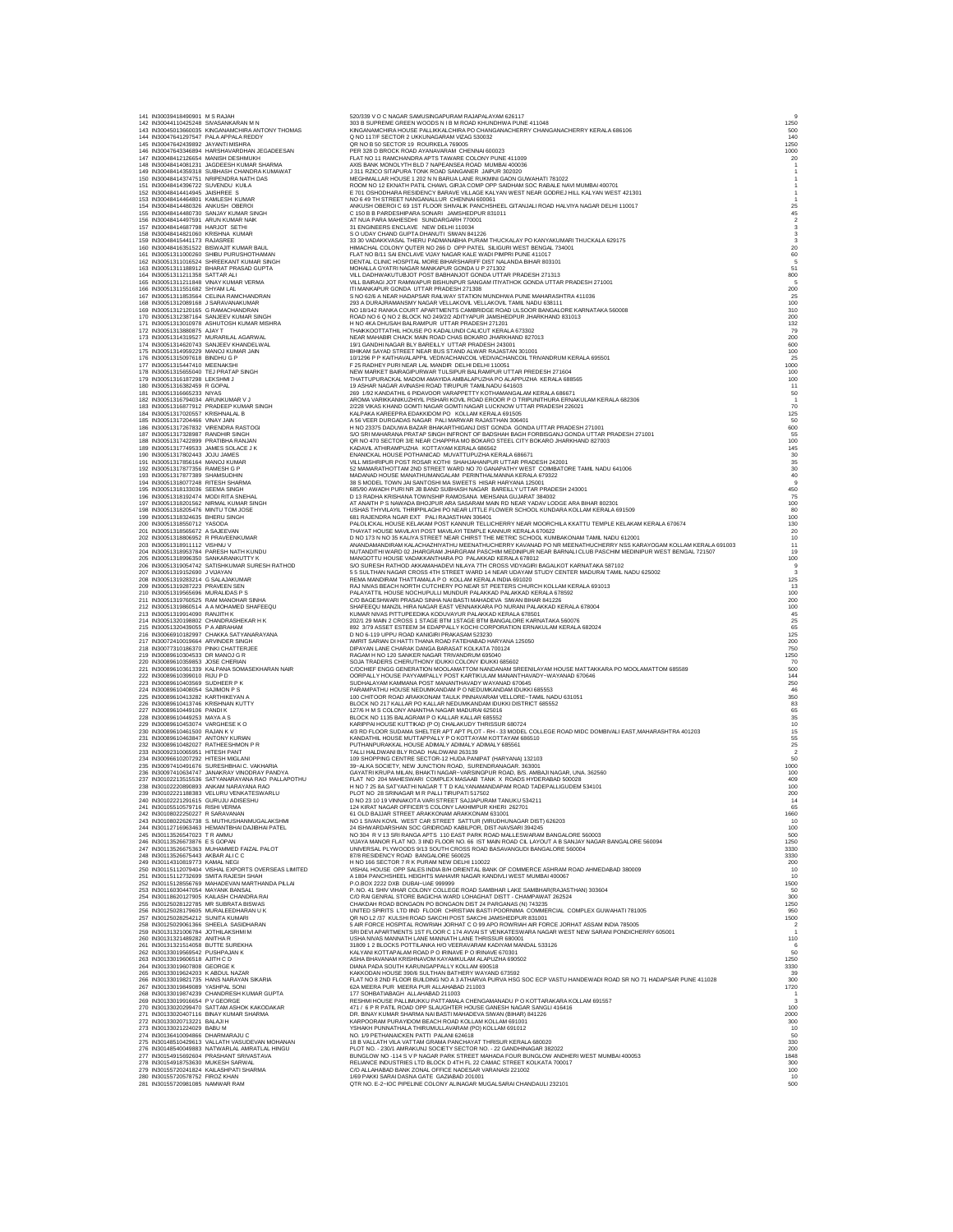| 141 IN30039418490901 M S RAJAH                                            | 142 IN30044110425248 SIVASANKARAN M N                                                           | 520/339 V O C NAGAR SAMUSINGAPURAM RAJAPALAYAM 626117<br>303 B SUPREME GREEN WOODS N I B M ROAD KHUNDHWA PUNE 411048                                                                                                           | 1250                                            |
|---------------------------------------------------------------------------|-------------------------------------------------------------------------------------------------|--------------------------------------------------------------------------------------------------------------------------------------------------------------------------------------------------------------------------------|-------------------------------------------------|
|                                                                           | 143 IN30045013660035 KINGANAMCHIRA ANTONY THOMAS<br>144 IN30047641297547 PALA APPALA REDDY      | KINGANAMCHIRA HOUSE PALLIKKALCHIRA PO CHANGANACHERRY CHANGANACHERRY KERALA 686106<br>Q NO 117/F SECTOR 2 UKKUNAGARAM VIZAG 530032                                                                                              | 500<br>140                                      |
| 145 IN30047642439892 JAYANTI MISHRA                                       |                                                                                                 | QR NO B 50 SECTOR 19 ROURKELA 769005                                                                                                                                                                                           | 1250                                            |
|                                                                           | 146 IN30047643346894 HARSHAVARDHAN JEGADEESAN                                                   | PER 328 D BROCK ROAD AYANAVARAM CHENNAI 600023                                                                                                                                                                                 | 1000                                            |
|                                                                           | 147 IN30048412126654 MANISH DESHMUKH<br>148 IN30048414081231 JAGDEESH KUMAR SHARMA              | FLAT NO 11 RAMCHANDRA APTS TAWARE COLONY PUNE 411009<br>AXIS BANK MONOLYTH BLD 7 NAPEANSEA ROAD MUMBAI 400036                                                                                                                  | 20                                              |
|                                                                           | 149 IN30048414359318 SUBHASH CHANDRA KUMAWAT<br>150 IN30048414374751 NRIPENDRA NATH DAS         | J 311 RZICO SITAPURA TONK ROAD SANGANER JAIPUR 302020<br>MEGHMALLAR HOUSE 1 202 N N BARUA LANE RUKMINI GAON GUWAHATI 781022                                                                                                    |                                                 |
| 151 IN30048414396722 SUVENDU KUILA                                        |                                                                                                 | ROOM NO 12 EKNATH PATIL CHAWL GIRJA COMP OPP SAIDHAM SOC RABALE NAVI MUMBAI 400701                                                                                                                                             |                                                 |
| 152 IN30048414414945 JAISHREE S<br>153 IN30048414464801 KAMLESH KUMAR     |                                                                                                 | E 701 OSHODHARA RESIDENCY BARAVE VILLAGE KALYAN WEST NEAR GODREJ HILL KALYAN WEST 421301<br>NO 6 49 TH STREET NANGANALLUR CHENNAI 600061                                                                                       |                                                 |
| 154 IN30048414480326 ANKUSH OBEROI                                        |                                                                                                 | ANKUSH OBEROI C 69 1ST FLOOR SHIVALIK PANCHSHEEL GITANJALI ROAD HALVIYA NAGAR DELHI 110017                                                                                                                                     | 25                                              |
| 156 IN30048414497591 ARUN KUMAR NAIK                                      | 155 IN30048414480730 SANJAY KUMAR SINGH                                                         | C 150 B B PARDESHIPARA SONARI JAMSHEDPUR 831011<br>AT NUA PARA MAHESDHI SUNDARGARH 770001                                                                                                                                      | 45                                              |
| 157 IN30048414687798 HARJOT SETHI                                         |                                                                                                 | 31 ENGINEERS ENCLAVE NEW DELHI 110034                                                                                                                                                                                          |                                                 |
| 158 IN30048414821060 KRISHNA KUMAR<br>159 IN30048415441173 RAJASREE       |                                                                                                 | S O UDAY CHAND GUPTA DHANUTI SIWAN 841226<br>33 30 VADAKKVASAL THERU PADMANABHA PURAM THUCKALAY PO KANYAKUMARI THUCKALA 629175                                                                                                 |                                                 |
|                                                                           | 160 IN30048416351522 BISWAJIT KUMAR BAUL                                                        | HIMACHAL COLONY QUTER NO 266 D OPP PATEL SILIGURI WEST BENGAL 734001                                                                                                                                                           | 20                                              |
|                                                                           | 161 IN30051311000260 SHIBU PURUSHOTHAMAN<br>162 IN30051311016524 SHREEKANT KUMAR SINGH          | FLAT NO B/11 SAI ENCLAVE VIJAY NAGAR KALE WADI PIMPRI PUNE 411017<br>DENTAL CLINIC HOSPITAL MORE BIHARSHARIFF DIST NALANDA BIHAR 803101                                                                                        | 60                                              |
|                                                                           | 163 IN30051311188912 BHARAT PRASAD GUPTA                                                        | MOHALLA GYATRI NAGAR MANKAPUR GONDA U P 271302                                                                                                                                                                                 | 51                                              |
| 164 IN30051311211358 SATTAR ALI                                           | 165 IN30051311211848 VINAY KUMAR VERMA                                                          | VILL DADHWAKUTUBJOT POST BABHANJOT GONDA UTTAR PRADESH 271313<br>VILL BAIRAGI JOT RAMWAPUR BISHUNPUR SANGAM ITIYATHOK GONDA UTTAR PRADESH 271001                                                                               | 800                                             |
| 166 IN30051311551682 SHYAM LAL                                            |                                                                                                 | ITI MANKAPUR GONDA UTTAR PRADESH 271308                                                                                                                                                                                        | 200                                             |
|                                                                           | 167 IN30051311853564 CELINA RAMCHANDRAN<br>168 IN30051312089168 J SARAVANAKUMAR                 | S NO 62/6 A NEAR HADAPSAR RAILWAY STATION MUNDHWA PUNE MAHARASHTRA 411036<br>293 A DURAJRAMANSMY NAGAR VELLAKOVIL VELLAKOVIL TAMIL NADU 638111                                                                                 | 100                                             |
|                                                                           | 169 IN30051312120165 G RAMACHANDRAN<br>170 IN30051312387164 SANJEEV KUMAR SINGH                 | NO 18/142 RANKA COURT APARTMENTS CAMBRIDGE ROAD ULSOOR BANGALORE KARNATAKA 560008                                                                                                                                              | 310<br>200                                      |
|                                                                           | 171 IN30051313010978 ASHUTOSH KUMAR MISHRA                                                      | ROAD NO 6 Q NO 2 BLOCK NO 249/2/2 ADITYAPUR JAMSHEDPUR JHARKHAND 831013<br>H NO 4KA DHUSAH BALRAMPUR UTTAR PRADESH 271201                                                                                                      | 132                                             |
|                                                                           | 172 IN30051313880875 AJAYT<br>173 IN30051314319527 MURARILAL AGARWAL                            | THAIKKOOTTATHIL HOUSE PO KADALUNDI CALICUT KERALA 673302<br>NEAR MAHABIR CHACK MAIN ROAD CHAS BOKARO JHARKHAND 827013                                                                                                          | 79<br>200                                       |
|                                                                           | 174 IN30051314620743 SANJEEV KHANDELWAL                                                         | 19/1 GANDHI NAGAR BLY BAREILLY UTTAR PRADESH 243001                                                                                                                                                                            | 600                                             |
| 176 IN30051315097618 BINDHU G P                                           | 175 IN30051314959229 MANOJ KUMAR JAIN                                                           | BHIKAM SAYAD STREET NEAR BUS STAND ALWAR RAJASTAN 301001<br>10/1296 P P KAITHAVALAPPIL VEDIVACHANCOIL VEDIVACHANCOIL TRIVANDRUM KERALA 695501                                                                                  | 100<br>25                                       |
| 177 IN30051315447410 MEENAKSHI                                            |                                                                                                 | F 25 RADHEY PURI NEAR LAL MANDIR DELHI DELHI 110051                                                                                                                                                                            | 1000                                            |
| 179 IN30051316187298 LEKSHMIJ                                             | 178 IN30051315655040 TEJ PRATAP SINGH                                                           | NEW MARKET BAIRAGIPURWAR TULSIPUR BALRAMPUR UTTAR PREDESH 271604<br>THATTUPURACKAL MADOM AMAYIDA AMBALAPUZHA PO ALAPPUZHA KERALA 688565                                                                                        | 100<br>100                                      |
| 180 IN30051316382459 R GOPAL                                              |                                                                                                 | 19 ASHAR NAGAR AVINASHI ROAD TIRUPUR TAMILNADU 641603                                                                                                                                                                          | 11                                              |
| 181 IN30051316665233 NIYAS<br>182 IN30051316794034 ARUNKUMAR V J          |                                                                                                 | 269 1/92 KANDATHIL 6 PIDAVOOR VARAPPETTY KOTHAMANGALAM KERALA 686671<br>AROMA VARIKKANIKUZHIYIL PISHARI KOVIL ROAD EROOR P O TRIPUNITHURA ERNAKULAM KERALA 682306                                                              | 50<br>$\overline{1}$                            |
|                                                                           | 183 IN30051316877912 PRADEEP KUMAR SINGH                                                        | 2/228 VIKAS KHAND GOMTI NAGAR GOMTI NAGAR LUCKNOW UTTAR PRADESH 226021                                                                                                                                                         | 70                                              |
| 184 IN30051317020557 KRISHNALAL B<br>185 IN30051317204466 VINAY JAIN      |                                                                                                 | KALPAKA KAREEPRA EDAKKIDOM PO KOLLAM KERALA 691505<br>A 56 VEER DURGADAS NAGAR PALI MARWAR RAJASTHAN 306401                                                                                                                    | 125<br>50                                       |
| 187 IN30051317328987 RANDHIR SINGH                                        | 186 IN30051317267832 VIRENDRA RASTOGI                                                           | H NO 23375 DADUWA BAZAR BHAKARTHIGANJ DIST GONDA GONDA UTTAR PRADESH 271001                                                                                                                                                    | 600                                             |
| 188 IN30051317422899 PRATIBHA RANJAN                                      |                                                                                                 | S/O SRI MAHARANA PRATAP SINGH INFRONT OF BADSHAH BAGH FORBISGANJ GONDA UTTAR PRADESH 271001<br>QR NO 470 SECTOR 3/E NEAR CHAPPRA MO BOKARO STEEL CITY BOKARO JHARKHAND 827003                                                  | 55<br>100                                       |
| 189 IN30051317749533 JAMES SOLACE J K<br>190 IN30051317802443 JOJU JAMES  |                                                                                                 | KADAVIL ATHIRAMPUZHA KOTTAYAM KERALA 686562                                                                                                                                                                                    | 145                                             |
| 191 IN30051317856164 MANOJ KUMAR                                          |                                                                                                 | ENANICKAL HOUSE POTHANICAD MUVATTUPUZHA KERALA 686671<br>VILL MISHRIPUR POST ROSAR KOTHI SHAHJAHANPUR UTTAR PRADESH 242001                                                                                                     | 30                                              |
| 192 IN30051317877356 RAMESH G P<br>193 IN30051317877389 SHAMSUDHIN        |                                                                                                 | 52 MAMARATHOTTAM 2ND STREET WARD NO 70 GANAPATHY WEST COIMBATORE TAMIL NADU 641006<br>MADANAD HOUSE MANATHUMANGALAM PERINTHALMANNA KERALA 679322                                                                               | $\begin{array}{c} 35 \\ 30 \end{array}$         |
| 194 IN30051318077248 RITESH SHARMA                                        |                                                                                                 | 38 S MODEL TOWN JAI SANTOSHI MA SWEETS HISAR HARYANA 125001                                                                                                                                                                    | $\begin{array}{c} 40 \\ 9 \end{array}$          |
| 195 IN30051318133036 SEEMA SINGH<br>196 IN30051318192474 MODI RITA SNEHAL |                                                                                                 | 685/90 AWADH PURI NR JB BAND SUBHASH NAGAR BAREILLY UTTAR PRADESH 243001<br>D 13 RADHA KRISHANA TOWNSHIP RAMOSANA MEHSANA GUJARAT 384002                                                                                       | 450<br>75                                       |
|                                                                           | 197 IN30051318201562 NIRMAL KUMAR SINGH                                                         | AT ANAITH P S NAWADA BHOJPUR ARA SASARAM MAIN RD NEAR YADAV LODGE ARA BIHAR 802301                                                                                                                                             | 100                                             |
| 198 IN30051318205476 MINTU TOM JOSE<br>199 IN30051318324635 BHERU SINGH   |                                                                                                 | USHAS THYVILAYIL THRIPPILAGHI PO NEAR LITTLE FLOWER SCHOOL KUNDARA KOLLAM KERALA 691509<br>681 RAJENDRA NGAR EXT PALI RAJASTHAN 306401                                                                                         | $\begin{array}{c} 80 \\ 100 \\ 130 \end{array}$ |
| 200 IN30051318550712 YASODA                                               |                                                                                                 | PALOLICKAL HOUSE KELAKAM POST KANNUR TELLICHERRY NEAR MOORCHILA KKATTU TEMPLE KELAKAM KERALA 670674                                                                                                                            |                                                 |
| 201 IN30051318565672 A SAJEEVAN<br>202 IN30051318806952 R PRAVEENKUMAR    |                                                                                                 | THAYAT HOUSE MAVILAYI POST MAVILAYI TEMPLE KANNUR KERALA 670622<br>D NO 173 N NO 35 KALIYA STREET NEAR CHIRST THE METRIC SCHOOL KUMBAKONAM TAMIL NADU 612001                                                                   | 20                                              |
| 203 IN30051318911112 VISHNU V                                             |                                                                                                 | ANANDAMANDIRAM KALACHAZHIYATHU MEENATHUCHERRY KAVANAD PO NR MEENATHUCHERRY NSS KARAYOGAM KOLLAM KERALA 691003<br>NUTANDITHI WARD 02 JHARGRAM JHARGRAM PASCHIM MEDINIPUR NEAR BARNALI CLUB PASCHIM MEDINIPUR WEST BENGAL 721507 | $10$<br>$11$                                    |
|                                                                           | 204 IN30051318953784 PARESH NATH KUNDU<br>205 IN30051318996350 SANKARANKUTTY K                  | MANGOTTU HOUSE VADAKKANTHARA PO PALAKKAD KERALA 678012                                                                                                                                                                         | 19<br>100                                       |
| 207 IN30051319152690 J VIJAYAN                                            | 206 IN30051319054742 SATISHKUMAR SURESH RATHOD                                                  | S/O SURESH RATHOD AKKAMAHADEVI NILAYA 7TH CROSS VIDYAGIRI BAGALKOT KARNATAKA 587102<br>5 5 SULTHAN NAGAR CROSS 4TH STREET WARD 14 NEAR UDAYAM STUDY CENTER MADURAI TAMIL NADU 625002                                           | 9                                               |
| 208 IN30051319283214 G SALAJAKUMAR                                        |                                                                                                 | REMA MANDIRAM THATTAMALA P O KOLLAM KERALA INDIA 691020                                                                                                                                                                        | 125                                             |
| 209 IN30051319287223 PRAVEEN SEN<br>210 IN30051319565696 MURALIDAS P S    |                                                                                                 | RAJ NIVAS BEACH NORTH CUTCHERY PO NEAR ST PEETERS CHURCH KOLLAM KERALA 691013<br>PALAYATTIL HOUSE NOCHUPULLI MUNDUR PALAKKAD PALAKKAD KERALA 678592                                                                            | 13<br>100                                       |
|                                                                           | 211 IN30051319760525 RAM MANOHAR SINHA                                                          | C/O BAGESHWARI PRASAD SINHA NAI BASTI MAHADEVA SIWAN BIHAR 841226                                                                                                                                                              | 200                                             |
| 213 IN30051319914090 RANJITH K                                            | 212 IN30051319860514 A A MOHAMED SHAFEEQU                                                       | SHAFEEQU MANZIL HIRA NAGAR EAST VENNAKKARA PO NURANI PALAKKAD KERALA 678004<br>KUMAR NIVAS PITTUPEEDIKA KODUVAYUR PALAKKAD KERALA 678501                                                                                       | 100<br>45                                       |
|                                                                           | 214 IN30051320198802 CHANDRASHEKAR H K                                                          | 202/1 29 MAIN 2 CROSS 1 STAGE BTM 1STAGE BTM BANGALORE KARNATAKA 560076                                                                                                                                                        | 25                                              |
| 215 IN30051320439055 P A ABRAHAM                                          | 216 IN30066910182997 CHAKKA SATYANARAYANA                                                       | 892 3/79 ASSET ESTEEM 34 EDAPPALLY KOCHI CORPORATION ERNAKULAM KERALA 682024<br>D NO 6-119 UPPU ROAD KANIGIRI PRAKASAM 523230                                                                                                  | 65<br>125                                       |
| 217 IN30072410019664 ARVINDER SINGH                                       |                                                                                                 | AMRIT SARIAN DI HATTI THANA ROAD FATEHABAD HARYANA 125050                                                                                                                                                                      | 200                                             |
| 219 IN30089610304533 DR MANOJ G R                                         | 218 IN30077310186370 PINKI CHATTERJEE                                                           | DIPAYAN LANE CHARAK DANGA BARASAT KOLKATA 700124<br>RAGAM H NO 120 SANKER NAGAR TRIVANDRUM 695040                                                                                                                              | 750<br>1250                                     |
| 220 IN30089610359853 JOSE CHERIAN                                         |                                                                                                 | SOJA TRADERS CHERUTHONY IDUKKI COLONY IDUKKI 685602                                                                                                                                                                            | 70                                              |
| 222 IN30089610399010 RUU P D                                              | 221 IN30089610361339 KALPANA SOMASEKHARAN NAIR                                                  | C/OCHIEF ENGG GENERATION MOOLAMATTOM NANDANAM SREENILAYAM HOUSE MATTAKKARA PO MOOLAMATTOM 685589<br>OORPALLY HOUSE PAYYAMPALLY POST KARTIKULAM MANANTHAVADY-WAYANAD 670646                                                     | 500<br>144                                      |
| 223 IN30089610403569 SUDHEER PK<br>224 IN30089610408054 SAJIMON PS        |                                                                                                 | SUDHALAYAM KAMMANA POST MANANTHAVADY WAYANAD 670645<br>PARAMPATHU HOUSE NEDUMKANDAM P O NEDUMKANDAM IDUKKI 685553                                                                                                              | 250                                             |
| 225 IN30089610413282 KARTHIKEYAN A                                        |                                                                                                 | 100 CHITOOR ROAD ARAKKONAM TAULK PINNAVARAM VELLORE-TAMIL NADU 631051                                                                                                                                                          | 46<br>350                                       |
| 226 IN30089610413746 KRISHNAN KUTTY<br>227 IN30089610449106 PANDLK        |                                                                                                 | BLOCK NO 217 KALLAR PO KALLAR NEDUMKANDAM IDUKKI DISTRICT 685552                                                                                                                                                               | 83                                              |
| 228 IN30089610449253 MAYA A S                                             |                                                                                                 | 127/6 H M S COLONY ANANTHA NAGAR MADURAI 625016<br>BLOCK NO 1135 BALAGRAM P O KALLAR KALLAR 685552                                                                                                                             | 65<br>35                                        |
| 229 IN30089610453074 VARGHESE KO                                          |                                                                                                 | KARIPPAI HOUSE KUTTIKAD (P O) CHALAKUDY THRISSUR 680724                                                                                                                                                                        | $10$<br>$15$                                    |
| 230 IN30089610461500 RAJAN K V<br>231 IN30089610463847 ANTONY KURIAN      |                                                                                                 | 4/3 RD FLOOR SUDAMA SHELTER APT APT PLOT - RH - 33 MODEL COLLEGE ROAD MIDC DOMBIVALI EAST, MAHARASHTRA 401203<br>KANDATHIL HOUSE MUTTAPPALLY P O KOTTAYAM KOTTAYAM 686510                                                      | 55                                              |
|                                                                           | 232 IN30089610482027 RATHEESHMON P R                                                            | PUTHANPURAKKAL HOUSE ADIMALY ADIMALY ADIMALY 68556                                                                                                                                                                             | 25                                              |
| 233 IN30092310065951 HITESH PANT<br>234 IN30096610207292 HITESH MIGLANI   |                                                                                                 | TALLI HALDWANI BLY ROAD HALDWANI 263139<br>109 SHOPPING CENTRE SECTOR-12 HUDA PANIPAT (HARYANA) 132103                                                                                                                         | 50                                              |
|                                                                           | 235 IN30097410491676 SURESHBHAI C. VAKHARIA<br>236 IN30097410634747 JANAKRAY VINODRAY PANDYA    | 39-ALKA SOCIETY, NEW JUNCTION ROAD, SURENDRANAGAR. 363001<br>GAYATRI KRUPA MILAN, BHAKTI NAGAR-VARSINGPUR ROAD, B/S. AMBAJI NAGAR, UNA. 362560                                                                                 | 1000                                            |
|                                                                           | 237 IN30102213515536 SATYANARAYANA RAO PALLAPOTHU                                               | FLAT NO 204 MAHESWARI COMPLEX MASAAB TANK X ROADS HYDERABAD 500028                                                                                                                                                             | 100<br>409                                      |
|                                                                           | 238 IN30102220890893 ANKAM NARAYANA RAO<br>239 IN30102221188383 VELURU VENKATESWARLU            | H NO 7 25 8A SATYAATHI NAGAR T T D KALYANAMANDAPAM ROAD TADEPALLIGUDEM 534101<br>PLOT NO 28 SRINAGAR M R PALLI TIRUPATI 517502                                                                                                 | 100<br>200                                      |
|                                                                           | 240 IN30102221291615 GURUJU ADISESHU                                                            | D NO 23 10 19 VINNAKOTA VARI STREET SAJJAPURAM TANUKU 534211                                                                                                                                                                   |                                                 |
| IN3U1U551U579716<br>242 IN30108022250227 R SARAVANAN                      | KISHI VEKI                                                                                      | FFICER'S COLONY LAKHIMPUR KHERI 2<br>61 OLD BAJJAR STREET ARAKKONAM ARAKKONAM 631001                                                                                                                                           | 1660                                            |
|                                                                           | 243 IN30108022626738 S. MUTHUSHANMUGALAKSHMI                                                    | NO 1 SIVAN KOVIL WEST CAR STREET SATTUR (VIRUDHUNAGAR DIST) 626203                                                                                                                                                             | 10                                              |
| 245 IN30113526547023 TRAMMU                                               | 244 IN30112716963463 HEMANTBHAI DAJIBHAI PATEL                                                  | 24 ISHWARDARSHAN SOC GRIDROAD KABILPOR, DIST-NAVSARI 394245<br>NO 304 R V 13 SRI RANGA APTS 110 EAST PARK ROAD MALLESWARAM BANGALORE 560003                                                                                    | 100<br>500                                      |
| 246 IN30113526673876 ESGOPAN                                              |                                                                                                 | VIJAYA MANOR FLAT NO. 3 IIND FLOOR NO. 66 IST MAIN ROAD CIL LAYOUT A B SANJAY NAGAR BANGALORE 560094                                                                                                                           | 1250                                            |
| 248 IN30113526675443 AKBAR ALICC<br>249 IN30114310819773 KAMAL NEGI       | 247 IN30113526675363 MUHAMMED FAIZAL PALOT                                                      | UNIVERSAL PLYWOODS 9/13 SOUTH CROSS ROAD BASAVANGUDI BANGALORE 560004                                                                                                                                                          | 3330<br>3330                                    |
|                                                                           |                                                                                                 | 87/8 RESIDENCY ROAD BANGALORE 560025<br>H NO 166 SECTOR 7 R K PURAM NEW DELHI 110022                                                                                                                                           | 200                                             |
|                                                                           | 250 IN30115112079404 VISHAL EXPORTS OVERSEAS LIMITED<br>251 IN30115112732699 SMITA RAJESH SHAH  | VISHAL HOUSE OPP SALES INDIA B/H ORIENTAL BANK OF COMMERCE ASHRAM ROAD AHMEDABAD 380009<br>A 1804 PANCHSHEEL HEIGHTS MAHAVIR NAGAR KANDIVLI WEST MUMBAI 400067                                                                 | 10<br>10                                        |
| 253 IN30116030447054 MAYANK BANSAL                                        | 252 IN30115128556769 MAHADEVAN MARTHANDA PILLAI                                                 | P.O.BOX 2222 DXB DUBAI-UAE 999999                                                                                                                                                                                              | 1500                                            |
|                                                                           | 254 IN30118620127905 KAILASH CHANDRA RAI                                                        | P. NO. 41 SHIV VIHAR COLONY COLLEGE ROAD SAMBHAR LAKE SAMBHAR(RAJASTHAN) 303604<br>C/O RAI GENRAL STORE BAGICHA WARD LOHAGHAT DISTT - CHAMPAWAT 262524                                                                         | -50<br>300                                      |
|                                                                           | 255 IN30125028122785 MR SUBRATA BISWAS                                                          | CHAKDAH ROAD BONGAON PO BONGAON DIST 24 PARGANAS (N) 743235                                                                                                                                                                    | 1250<br>950                                     |
| 257 IN30125028254212 SUNITA KUMARI                                        | 256 IN30125028179605 MURALEEDHARAN U K                                                          | UNITED SPIRITS LTD IIND FLOOR CHRISTIAN BASTI POORNIMA COMMERCIAL COMPLEX GUWAHATI 781005<br>QR NO L2 /37 KULSHI ROAD SAKCHI POST SAKCHI JAMSHEDPUR 831001                                                                     | 1500                                            |
| 259 IN30131321006784 JOTHILAKSHMI M                                       | 258 IN30125029061366 SHEELA SASIDHARAN                                                          | 5 AIR FORCE HOSPITAL ROWRIAH JORHAT C O 99 APO ROWRIAH AIR FORCE JORHAT ASSAM INDIA 785005<br>SRI DEVI APARTMENTS 1ST FLOOR C 174 AVVAI ST VENKATESWARA NAGAR WEST NEW SARANI PONDICHERRY 605001                               |                                                 |
| 260 IN30131321489282 ANITHA R                                             |                                                                                                 | USHA NIVAS MANNATH LANE MANNATH LANE THRISSUR 680001                                                                                                                                                                           | 110                                             |
| 261 IN30131321514058 BUTTE SUREKHA<br>262 IN30133019569542 PUSHPAJAN K    |                                                                                                 | 31809 1 2 BLOCKS POTTILANKA H/O VEERAVARAM KADIYAM MANDAL 533126<br>KALYANI KOTTAPALAM ROAD P O IRINAVE P O IRINAVE 670301                                                                                                     | 50                                              |
| 263 IN30133019606518 AJITH C D                                            |                                                                                                 | ASHA BHAVANAM KRISHNAVOM KAYAMKULAM ALAPUZHA 690502                                                                                                                                                                            | 1250                                            |
| 264 IN30133019607808 GEORGE K<br>265 IN30133019624203 K ABDUL NAZAR       |                                                                                                 | DIANA PADA SOUTH KARUNGAPPALLY KOLLAM 690518<br>KAKKODAN HOUSE 390/6 SULTHAN BATHERY WAYAND 673592                                                                                                                             | 3330                                            |
|                                                                           | 266 IN30133019821735 HANS NARAYAN SIKARIA                                                       | FLAT NO 8 2ND FLOOR BUILDING NO A 3 ATHARVA PURVA HSG SOC ECP VASTU HANDEWADI ROAD SR NO 71 HADAPSAR PUNE 411028                                                                                                               | 300                                             |
| 267 IN30133019849089 YASHPAL SONI                                         | 268 IN30133019874239 CHANDRESH KUMAR GUPTA                                                      | 62A MEERA PUR MEERA PUR ALLAHABAD 211003<br>177 SOHBATIABAGH ALLAHABAD 211003                                                                                                                                                  | 1720                                            |
| 269 IN30133019916654 PVGEORGE                                             |                                                                                                 | RESHMI HOUSE PALLIMUKKU PATTAMALA CHENGAMANADU P O KOTTARAKARA KOLLAM 691557                                                                                                                                                   |                                                 |
|                                                                           | 270 IN30133020299470 SATTAM ASHOK KAKODAKAR<br>271 IN30133020407116 BINAY KUMAR SHARMA          | 471 / 6 P R PATIL ROAD OPP SLAUGHTER HOUSE GANESH NAGAR SANGLI 416416<br>DR. BINAY KUMAR SHARMA NAI BASTI MAHADEVA SIWAN (BIHAR) 841226                                                                                        | 100<br>2000                                     |
| 272 IN30133020713221 BALAJI H                                             |                                                                                                 | KARPOORAM PURAYIDOM BEACH ROAD KOLLAM KOLLAM 691001                                                                                                                                                                            | 300                                             |
| 273 IN30133021224029 BABU M<br>274 IN30136410094866 DHARMARAJU C          |                                                                                                 | YSHAKH PUNNATHALA THIRUMULLAVARAM (PO) KOLLAM 691012<br>NO. 1/9 PETHANAICKEN PATTI PALANI 624618<br>18 B VALLATH VILA VATTAM GRAMA PANCHAYAT THRISUR KERALA 680020                                                             | 10<br>50                                        |
|                                                                           | 275 IN30148510429613 VALLATH VASUDEVAN MOHANAN<br>276 IN30148540049883 NATWARLAL AMRATLAL HINGU | PLOT NO. - 230/1 AMRAKUNJ SOCIETY SECTOR NO. - 22 GANDHINAGAR 382022                                                                                                                                                           | 330<br>200                                      |
|                                                                           | 277 IN30154915692604 PRASHANT SRIVASTAVA                                                        | BUNGLOW NO -114 S V P NAGAR PARK STREET MAHADA FOUR BUNGLOW ANDHERI WEST MUMBAI 400053                                                                                                                                         | 1848                                            |
| 278 IN30154918753630 MUKESH SARWAL                                        | 279 IN30155720241824 KAILASHPATI SHARMA                                                         | RELIANCE INDUSTRIES LTD BLOCK D 4TH FL 22 CAMAC STREET KOLKATA 700017<br>C/O ALLAHABAD BANK ZONAL OFFICE NADESAR VARANASI 221002                                                                                               | 300<br>100                                      |
| 280 IN30155720578752 FIROZ KHAN                                           |                                                                                                 | 1/69 PAKKI SARAI DASNA GATE GAZIABAD 201001                                                                                                                                                                                    | 10                                              |
| 281 IN30155720981085 NAMWAR RAM                                           |                                                                                                 | QTR NO. E-2-IOC PIPELINE COLONY ALINAGAR MUGALSARAI CHANDAULI 232101                                                                                                                                                           | 500                                             |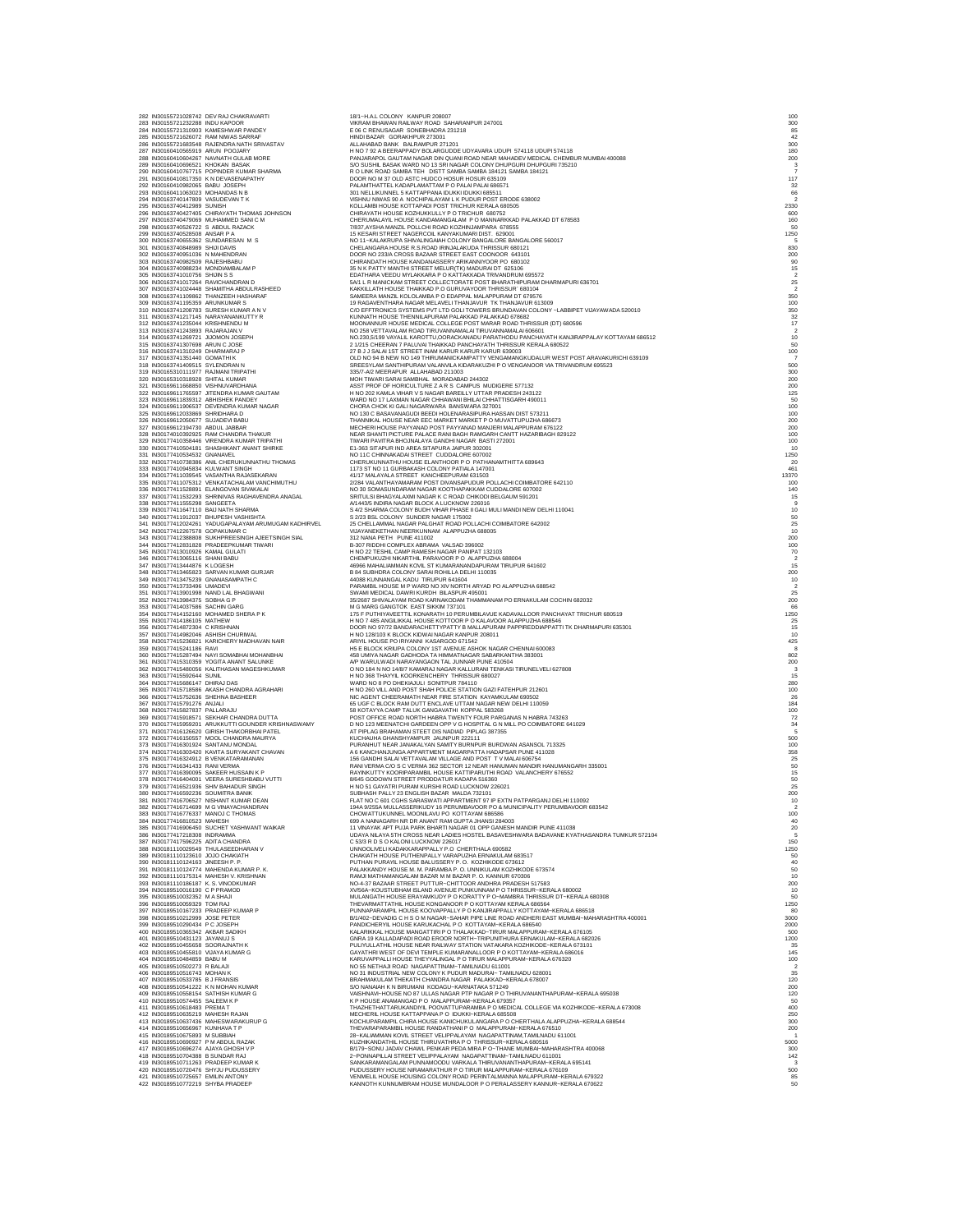282 IN30155721028742 DEV RAJ CHAKRAVARTI 18/1~H.A.L COLONY KANPUR 208007 100 283 IN30155721232288 INDU KAPOOR VIKRAM BHAWAN RAILWAY ROAD SAHARANPUR 247001 300 284 IN30155721310903 KAMESHWAR PANDEY E 06 C RENUSAGAR SONEBHADRA 231218 85 285 IN30155721626072 RAM NIWAS SARRAF HINDI BAZAR GORAKHPUR 273001 42 288 N30165721683454 RAUN POQUARY ANATHY SRIVASTAV<br>287 N30169410565919 ARUN POQUARY ISRNA RAUNA PRODUCTION AND THE SERVER ON CONTRACTION IS THE SERVER MANAGEMENT<br>298 N30160410565919 ARUN POQUARY SAN MORE PANAMA PRODUCTION O 27 NONCERTRONG MARKAM SHARE OF CHRONIC CROSSING IN CHRONIC CROSSING CROSSING CROSSING CROSSING CROSSING CROSSING CROSSING CROSSING CROSSING CROSSING CROSSING CROSSING CROSSING CROSSING CROSSING CROSSING CROSSING CROSSING 339 IN30177411647110 BAIJ NATH SHARMA S 4/2 SHARMA COLONY BUDH VIHAR PHASE II GALI MULI MANDI NEW DELHI 110041 10 340 IN30177411912037 BHUPESH VASHISHTA S 2/23 BSL COLONY SUNDER NAGAR 175002 50 341 IN30177412024261 YADUGAPALAYAM ARUMUGAM KADHIRVEL 25 CHELLAMMAL NAGAR PALGHAT ROAD POLLACHI COIMBATORE 642002 25 342 IN30177412267578 GOPAKUMAR C VIJAYANEKETHAN NEERKUNNAM ALAPPUZHA 688005 10 34 N30177412398809 SUNFIPRESINGHA AEETSINGH SIAL 312 ANN PETH PUNC 411002<br>34 N30177412331829 BRADEEPKUMAR TIWARI HING 2012 RESHLEMAN WALSAD 396002<br>34 N30177413019386 KAMA GULATI HING 2012 RESHLEMAN WARTAIL CAUGE INCOLLECTI 361 N30777415310289 YORITA ANNT ERLUNGE A APPENDIX MANUALMONT MANUALMONT MANUALMONT IN THE 41004<br>361 N30777415506944 SUNHAMAN MANUALMONT WAND THE CHORON OF DESCRIPTION THE CHORON CONTENT THE SUNHAMAN MANUALMONT IN THE CHO 389 N301811101224163 JINEESH P. P. ANGARY AND CHAMPING PROVIDE BALUSSERY P.O. KOZHKODE 673612<br>390 N30181110124163 JINEESH P. P. ANGARY HOUSE PLAN PORT IN THE SERVER OUTSIDE TO THE STATE OF THE STATE OF TH<br>392 N301811101241 400 N30189510365342 ARCHIVIST MALEAD MANINKAL HOUSE NANGATTRIP OTHALAKAT HIPLINTHURA ERNAKULAM-PERALA 625026<br>401 N3018951045342 ARCHIVIST MANINK MARCHIVE IN THE ROBERT MANING THE ORDER IN THE RESERVE OF THE RESERVE OF T<br>40 400 N30189510526154 SATUSH KIMAR G MAN AN WASHNAU-HOUSE NO BY ULAS MAGRI PT PACAGE AND THRUSHATHER URAN-HOUSE AND A<br>410 N3018951057445 SALEEM K P AN AN AN A THACH INTERNATION ON THACH INTERNATIONAL CONTINUES IN A COMPOSITI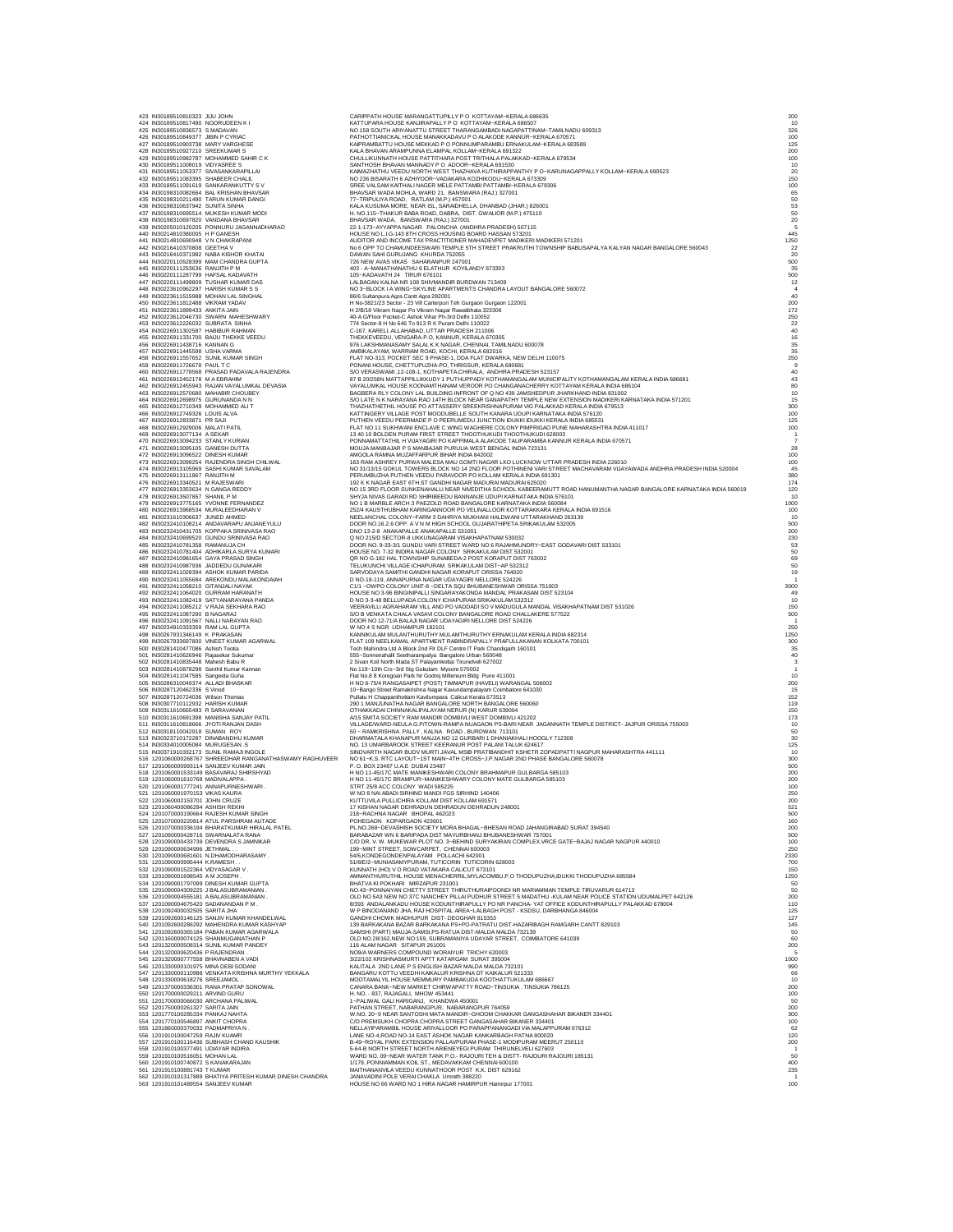| 423 IN30189510810323 JIJU JOHN<br>424 IN30189510817490 NOORUDEEN KI            |                                                                                                      | CARIPPATH HOUSE MARANGATTUPILLY P O KOTTAYAM-KERALA 686635<br>KATTUPARA HOUSE KANJIRAPALLY PO KOTTAYAM-KERALA 686507                                                                                                               | 200<br>10             |
|--------------------------------------------------------------------------------|------------------------------------------------------------------------------------------------------|------------------------------------------------------------------------------------------------------------------------------------------------------------------------------------------------------------------------------------|-----------------------|
| 425 IN30189510836573 S MADAVAN                                                 |                                                                                                      | NO 158 SOUTH ARIYANATTU STREET THARANGAMBADI NAGAPATTINAM--TAMILNADU 609313                                                                                                                                                        | 326                   |
| 426 IN30189510849377 JIBIN P CYRIAC<br>427 IN30189510903738 MARY VARGHESE      |                                                                                                      | PATHOTTIANICKAL HOUSE MANAKKADAVU P O ALAKODE KANNUR-KERALA 670571<br>KAIPRAMBATTU HOUSE MEKKAD P O PONNUMPARAMBU ERNAKULAM-KERALA 683589                                                                                          | 100<br>125            |
| 428 IN30189510927210 SREEKUMAR S                                               |                                                                                                      | KALA BHAVAN ARAMPUNNA ELAMPAL KOLLAM-KERALA 691322                                                                                                                                                                                 | 200                   |
| 430 IN30189511008019 VIDYASREE S                                               | 429 IN30189510982787 MOHAMMED SAHIR C K                                                              | CHULLIKUNNATH HOUSE PATTITHARA POST TRITHALA PALAKKAD-KERALA 679534<br>SANTHOSH BHAVAN MANNADY PO ADOOR-KERALA 691530                                                                                                              | 100<br>10             |
|                                                                                | 431 IN30189511053377 SIVASANKARAPILLAI                                                               | KAIMAZHATHU VEEDU NORTH WEST THAZHAVA KUTHIRAPPANTHY P O-KARUNAGAPPALLY KOLLAM-KERALA 690523                                                                                                                                       | 20                    |
| 432 IN30189511083395 SHABEER CHALIL                                            |                                                                                                      | NO 236 BISARATH 6 AZHIYOOR~VADAKARA KOZHIKODU~KERALA 673309                                                                                                                                                                        | 150                   |
|                                                                                | 433 IN30189511091619 SANKARANKUTTY SV<br>434 IN30198310082664 BAL KRISHAN BHAVSAR                    | SREE VALSAM KAITHALI NAGER MELE PATTAMBI PATTAMBI-KERALA 679306<br>BHAVSAR WADA MOHLA, WARD 21, BANSWARA (RAJ.) 327001                                                                                                             | 100<br>65             |
|                                                                                | 435 IN30198310211490 TARUN KUMAR DANGI<br>436 IN30198310637942 SUNITA SINHA                          |                                                                                                                                                                                                                                    |                       |
|                                                                                | 437 IN30198310695514 MUKESH KUMAR MODI                                                               | 77-TRIPULIYA ROAD, RATLAM (M.P.) 457001<br>KALA KUSUMA MORE, NEAR ISL, SARAIDHELLA, DHANBAD (JHAR.) 826001<br>H. NO.115-THAKUR BABA ROAD, DABRA, DIST. GWALIOR (M.P.) 475110                                                       | 50<br>53<br>50        |
| 438 IN30198310697820 VANDANA BHAVSAR                                           |                                                                                                      | BHAVSAR WADA, BANSWARA (RAJ.) 327001                                                                                                                                                                                               | 20                    |
| 440 IN30214810380005 H P GANESH                                                | 439 IN30205010120205 PONNURU JAGANNADHARAO                                                           | 22-1-173-AYYAPPA NAGAR PALONCHA (ANDHRA PRADESH) 507115<br>HOUSE NO L.I.G-143 8TH CROSS HOUSING BOARD HASSAN 573201                                                                                                                | 445                   |
| 441 IN30214810690948 V N CHAKRAPANI                                            |                                                                                                      | AUDITOR AND INCOME TAX PRACTITIONER MAHADEVPET MADIKERI MADIKERI 571201                                                                                                                                                            | 1250                  |
| 442 IN30216410370808 GEETHA V                                                  |                                                                                                      | No 6 OPP TO CHAMUNDEESWARI TEMPLE 5TH STREET PRAKRUTHI TOWNSHIP BABUSAPALYA KALYAN NAGAR BANGALORE 560043<br>DAWAN SAHI GURUJANG KHURDA 752055                                                                                     | 22                    |
|                                                                                | 443 IN30216410371982 NABA KISHOR KHATAI<br>444 IN30220110528399 MAM CHANDRA GUPTA                    | 726 NEW AVAS VIKAS SAHARANPUR 247001                                                                                                                                                                                               | 20<br>500             |
| 445 IN30220111253636 RANJITH P M                                               |                                                                                                      | 403 - A-MANATHANATHU 6 ELATHUR KOYILANDY 673303                                                                                                                                                                                    | 35                    |
| 446 IN30220111287799 HAFSAL KADAVATH                                           | 447 IN30220111499809 TUSHAR KUMAR DAS                                                                | 105-KADAVATH 24 TIRUR 676101<br>LALBAGAN KALNA NR 108 SHIVMANDIR BURDWAN 713409                                                                                                                                                    | 500<br>12             |
| 448 IN30223610962297 HARISH KUMAR S S                                          |                                                                                                      | NO 3-BLOCK I A WING-SKYLINE APARTMENTS CHANDRA LAYOUT BANGALORE 560072                                                                                                                                                             |                       |
| 450 IN30223611812488 VIKRAM YADAV                                              | 449 IN30223611515988 MOHAN LAL SINGHAL                                                               | 86/6 Sultanpura Agra Cantt Agra 282001<br>H No-3821/23 Sector - 23 Vill Carterpuri Teh Gurgaon Gurgaon 122001                                                                                                                      | 40                    |
| 451 IN30223611899433 ANKITA JAIN                                               |                                                                                                      | H 2/B/18 Vikram Nagar Po Vikram Nagar Rawatbhata 323306                                                                                                                                                                            | 200<br>172            |
|                                                                                | 452 IN30223612046730 SWARN MAHESHWARY                                                                | 40-A G/Floor Pocket-C Ashok Vihar Ph-3rd Delhi 110052                                                                                                                                                                              | 250                   |
| 453 IN30223612226032 SUBRATA SINHA<br>454 IN30226911302587 HABIBUR RAHMAN      |                                                                                                      | 774 Sector-8 H No 646 To 913 R K Puram Delhi 110022<br>C-167, KARELI, ALLAHABAD, UTTAR PRADESH 211006                                                                                                                              | 22<br>40              |
|                                                                                | 455 IN30226911331700 BAIJU THEKKE VEEDU                                                              | THEKKEVEEDU, VENGARA-P.O, KANNUR, KERALA 670305                                                                                                                                                                                    | 16                    |
| 456 IN30226911438716 KANNAN G<br>457 IN30226911445598 USHA VARMA               |                                                                                                      | 976 LAKSHMANASAMY SALAI, K K NAGAR, CHENNAI, TAMILNADU 600078<br>AMBIKALAYAM, WARRIAM ROAD, KOCHI, KERALA 682016                                                                                                                   | 35<br>35              |
|                                                                                | 458 IN30226911557652 SUNIL KUMAR SINGH                                                               | FLAT NO-313, POCKET SEC 9 PHASE-1, DDA FLAT DWARKA, NEW DELHI 110075                                                                                                                                                               | 250                   |
| 459 IN30226911726678 PAUL T C                                                  |                                                                                                      | PONANI HOUSE, CHETTUPUZHA-PO, THRISSUR, KERALA 680681                                                                                                                                                                              |                       |
|                                                                                | 460 IN30226911778568 PRASAD PADAVALA RAJENDRA<br>461 IN30226912452178 M A EBRAHIM                    | S/O VERASWAMI, 12-108-1, KOTHAPETA CHIRALA, ANDHRA PRADESH 523157<br>87 B 20/258N MATTAPPILLIKKUDY 1 PUTHUPPADY KOTHAMANGALAM MUNICIPALITY KOTHAMANGALAM KERALA INDIA 686691                                                       | $\frac{40}{43}$<br>80 |
| 463 IN30226912570680 MAHABIR CHOUBEY                                           | 462 IN30226912455943 RAJAN VAYALUMKAL DEVASIA                                                        | VAYALUMKAL HOUSE KOONAMTHANAM VEROOR PO CHANGANACHERRY KOTTAYAM KERALA INDIA 686104<br>BAGBERA RLY COLONY LAL BUILDING INFRONT OF Q NO 439 JAMSHEDPUR JHARKHAND INDIA 831002                                                       |                       |
| 464 IN30226912698975 GURUNANDA N N                                             |                                                                                                      | S/O LATE N K NARAYANA RAO 14TH BLOCK NEAR GANAPATHY TEMPLE NEW EXTENSION MADIKERI KARNATAKA INDIA 571201                                                                                                                           | $10$<br>$15$          |
| 465 IN30226912710349 MOHAMMED ALIT                                             |                                                                                                      | THAZHATHETHIL HOUSE PO ATTASSERY SREEKRISHNAPURAM VIG PALAKKAD KERALA INDIA 679513                                                                                                                                                 | 300                   |
| 466 IN30226912749326 LOUIS ALVA<br>467 IN30226912833871 PR SAJI                |                                                                                                      | KATTINGERY VILLAGE POST MOODUBELLE SOUTH KANARA UDUPI KARNATAKA INDIA 576120<br>PUTHEN VEEDU PEERMADE P O PEERUMEDU JUNCTION IDUKKI IDUKKI KERALA INDIA 685531                                                                     | 100<br>125            |
| 468 IN30226912929006 MALATI PATIL                                              |                                                                                                      | FLAT NO 11 SUKHWANI ENCLAVE C WING WAGHERE COLONY PIMPRIGAO PUNE MAHARASHTRA INDIA 411017                                                                                                                                          | 100                   |
| 469 IN30226913077134 A SEKAR<br>470 IN30226913094233 STANLY KURIAN             |                                                                                                      | 13 40 10 BOLDEN PURAM FIRST STREET THOOTHUKUDI THOOTHUKUDI 628003<br>PONNAMATTATHIL H VIJAYAGIRI PO KAPPIMALA ALAKODE TALIPARAMBA KANNUR KERALA INDIA 670571                                                                       | $\overline{1}$        |
| 471 IN30226913095105 GANESH DUTTA                                              |                                                                                                      | MOUJA MANBAJAR P S MANBAJAR PURULIA WEST BENGAL INDIA 723131                                                                                                                                                                       | 28                    |
| 472 IN30226913096522 DINESH KUMAR                                              |                                                                                                      | AMGOLA RAMNA MUZAFFARPUR BIHAR INDIA 842002                                                                                                                                                                                        | 100                   |
|                                                                                | 473 IN30226913099254 RAJENDRA SINGH CHILWAL<br>474 IN30226913105969 SASHI KUMAR SAVALAM              | 163 RAM ASHREY PURWA MALESA MAU GOMTI NAGAR LKO LUCKNOW UTTAR PRADESH INDIA 226010<br>NO 31/13/15 GOKUL TOWERS BLOCK NO 14 2ND FLOOR POTHINENI VARI STREET MACHAVARAM VIJAYAWADA ANDHRA PRADESH INDIA 520004                       | 100                   |
| 475 IN30226913111867 RANJITH M                                                 |                                                                                                      | PERUMBUZHA PUTHEN VEEDU PARAVOOR PO KOLLAM KERALA INDIA 691301                                                                                                                                                                     | 380                   |
| 476 IN30226913340521 M RAJESWARI<br>477 IN30226913353634 N GANGA REDDY         |                                                                                                      | 192 K K NAGAR EAST 6TH ST GANDHI NAGAR MADURAI MADURAI 625020<br>NO 15 3RD FLOOR SUNKENAHALLI NEAR NIVEDITHA SCHOOL KABEERAMUTT ROAD HANUMANTHA NAGAR BANGALORE KARNATAKA INDIA 560019                                             | 174<br>120            |
| 478 IN30226913507857 SHANIL P M                                                |                                                                                                      | SHYJA NIVAS GARADI RD SHIRIBEEDU BANNANJE UDUPI KARNATAKA INDIA 576101                                                                                                                                                             | 10                    |
|                                                                                | 479 IN30226913775165 YVONNE FERNANDEZ                                                                | NO 1 B MARBLE ARCH 3 PAEZOLD ROAD BANGALORE KARNATAKA INDIA 560084                                                                                                                                                                 | 1000                  |
| 481 IN30231610306637 JUNED AHMED                                               | 480 IN30226913968534 MURALEEDHARAN V                                                                 | 252/4 KAUSTHUBHAM KARINGANNOOR PO VELINALLOOR KOTTARAKKARA KERALA INDIA 691516<br>NEELANCHAL COLONY~FARM 3 DAHRIYA MUKHANI HALDWANI UTTARAKHAND 263139                                                                             | 100<br>10             |
|                                                                                | 482 IN30232410108214 ANDAVARAPU ANJANEYULU                                                           | DOOR NO.16.2.6 OPP. A V N M HIGH SCHOOL GUJARATHIPETA SRIKAKULAM 532005                                                                                                                                                            | 500                   |
|                                                                                | 483 IN30232410431705 KOPPAKA SRINIVASA RAO<br>484 IN30232410699520 GUNDU SRINIVASA RAO               | DNO 13-2-8 ANAKAPALLE ANAKAPALLE 531001<br>Q NO 215/D SECTOR-8 UKKUNAGARAM VISAKHAPATNAM 530032                                                                                                                                    | 200<br>230            |
| 485 IN30232410781358 RAMANUJA CH                                               |                                                                                                      | DOOR NO. 9-33-3/1 GUNDU VARI STREET WARD NO 6 RAJAHMUNDRY-EAST GODAVARI DIST 533101                                                                                                                                                | 53                    |
|                                                                                | 486 IN30232410781404 ADHIKARLA SURYA KUMARI<br>487 IN30232410981654 GAYA PRASAD SINGH                | HOUSE NO. 7-32 INDIRA NAGAR COLONY SRIKAKULAM DIST 532001 QR NO G-182 HAL TOWNSHIP SUNABEDA-2 POST KORAPUT DIST 763002                                                                                                             | $\frac{50}{69}$       |
|                                                                                | 488 IN30232410987936 JADDEDU GUNAKARI                                                                | TELUKUNCHI VILLAGE ICHAPURAM SRIKAKULAM DIST-AP 532312                                                                                                                                                                             | 50                    |
|                                                                                | 489 IN30232411028394 ASHOK KUMAR PARIDA<br>490 IN30232411055684 AREKONDU MALAKONDAIAH                | SARVODAYA SAMITHI GANDHI NAGAR KORAPUT ORISSA 764020<br>D NO-19-119, ANNAPURNA NAGAR UDAYAGIRI NELLORE 524226                                                                                                                      | 19                    |
| 491 IN30232411058210 GITANJALI NAYAK                                           |                                                                                                      | C1/1 - OWPO COLONY UNIT-8 - DELTA SQU BHUBANESHWAR ORISSA 751003                                                                                                                                                                   | 3000                  |
|                                                                                | 492 IN30232411064020 GURRAM HARANATH<br>493 IN30232411082419 SATYANARAYANA PANDA                     | HOUSE NO 3-96 BINGINIPALLI SINGARAYAKONDA MANDAL PRAKASAM DIST 523104<br>D NO 3-3-48 BELLUPADA COLONY ICHAPURAM SRIKAKULAM 532312                                                                                                  | 49                    |
|                                                                                | 494 IN30232411085212 V RAJA SEKHARA RAO                                                              | VEERAVILLI AGRAHARAM VILL AND PO VADDADI SO V MADUGULA MANDAL VISAKHAPATNAM DIST 531026                                                                                                                                            | 10<br>150             |
| 495 IN30232411087290 B NAGARAJ                                                 |                                                                                                      | S/O B VENKATA CHALA VASAVI COLONY BANGALORE ROAD CHALLAKERE 577522                                                                                                                                                                 | 500                   |
| 497 IN30234910333359 RAM LAL GUPTA                                             | 496 IN30232411091567 NALLI NARAYAN RAO                                                               | DOOR NO 12-71/A BALAJI NAGAR UDAYAGIRI NELLORE DIST 524226<br>W NO 4 S NGR UDHAMPUR 182101                                                                                                                                         | 250                   |
| 498 IN30267931346149 K PRAKASAN                                                |                                                                                                      | KANNIKULAM MULANTHURUTHY MULAMTHURUTHY ERNAKULAM KERALA INDIA 682314                                                                                                                                                               | 1250                  |
| 500 IN30281410477086 Ashish Teotia                                             | 499 IN30267933697800 VINEET KUMAR AGARWAL                                                            | FLAT 109 NEELKAMAL APARTMENT RABINDRAPALLY PRAFULLAKANAN KOLKATA 700101<br>Tech Mahindra Ltd A Block 2nd Flr DLF Centre IT Park Chandigarh 160101                                                                                  | 300<br>35             |
| 501 IN30281410626946 Rajasekar Sukuma                                          |                                                                                                      | 555-Sonnenahalli Seetharampalya Bangalore Urban 560048                                                                                                                                                                             | 40                    |
| 502 IN30281410835448 Mahesh Babu R                                             |                                                                                                      | 2 Sivan Koil North Mada ST Palayamkottai Tirunelveli 627002                                                                                                                                                                        |                       |
| 504 IN30281411047585 Sangeeta Guha                                             | 503 IN30281410878298 Senthil Kumar Kannan                                                            | No 119-10th Crs-3rd Stg Gokulam Mysore 570002<br>Flat No.8 8 Koregoan Park Nr Godrej Millenium Bldg Pune 411001                                                                                                                    | 10                    |
| 505 IN30286310049374 ALLADI BHASKAR                                            |                                                                                                      | H NO 6-75/4 RANGASAIPET (POST) TIMMAPUR (HAVELI) WARANGAL 506002                                                                                                                                                                   | 200                   |
| 506 IN30287120462336 S Vinod<br>507 IN30287120724036 Wilson Thomas             |                                                                                                      | 10-Bango Street Ramakrishna Nagar Kavundampalayam Coimbatore 641030<br>Pullatu H Chappanthottam Kavilumpara Calicut Kerala 673513                                                                                                  | 152                   |
| 508 IN30307710112932 HARISH KUMAR                                              |                                                                                                      | 290 1 MANJUNATHA NAGAR BANGALORE NORTH BANGALORE 560060                                                                                                                                                                            | 119                   |
| 509 IN30311610665493 R SARAVANAN                                               | 510 IN30311610691398 MANISHA SANJAY PATIL                                                            | OTHAKKADAI CHINNAKALIPALAYAM NERUR (N) KARUR 639004<br>A/15 SMITA SOCIETY RAM MANDIR DOMBIVLI WEST DOMBIVLI 421202                                                                                                                 | 150<br>173            |
|                                                                                | 511 IN30311610818666 JYOTI RANJAN DASH                                                               |                                                                                                                                                                                                                                    |                       |
| 512 IN30318110042918 SUMAN ROY                                                 | 513 IN30323710172287 DINABANDHU KUMAR                                                                | VILLAGE/WARD-NEULA G.P/TOWN-RAMPA NUAGAON PS-BARI NEAR JAGANNATH TEMPLE DISTRICT- JAJPUR ORISSA 755003<br>50 - RAMKRISHNA PALLY, KALNA ROAD, BURDWAN 713101<br>DHARMATALA KHANAPUR MAUJA NO 12 GURBARI 1 DHANIAKHALI HOOGLY 712308 | $\frac{10}{50}$<br>30 |
| 514 IN30334010005084 MURUGESAN.S                                               |                                                                                                      | NO. 13 UMARBAROOK STREET KEERANUR POST PALANI TALUK 624617                                                                                                                                                                         | 125                   |
|                                                                                | 515 IN30371910332173 SUNIL RAMAJI INGOLE<br>516 1201060000268767 SHREEDHAR RANGANATHASWAMY RAGHUVEER | SINDVARTH NAGAR BUDV MURTI JAVAL MSIB PRATIBANDHIT KSHETR ZOPADPATTI NAGPUR MAHARASHTRA 441111<br>NO 61-K.S. RTC LAYOUT-1ST MAIN-4TH CROSS-J.P.NAGAR 2ND PHASE BANGALORE 560078                                                    | 10                    |
|                                                                                | 517 1201060000993114 SANJEEV KUMAR JAIN                                                              | P. O. BOX 23487 U.A.E DUBAI 23487                                                                                                                                                                                                  | 300<br>500            |
| 519 1201060001610768 MADIVALAPPA                                               | 518 1201060001533149 BASAVARAJ SHIRSHYAD                                                             | H NO 11-45/17C MATE MANIKESHWARI COLONY BRAHMAPUR GULBARGA 585103<br>H NO 11-45/17C BRAMPUR-MANIKESHWARY COLONY MATE GULBARGA 585103                                                                                               | 200                   |
|                                                                                | 520 1201060001777241 ANNAPURNESHWARI.                                                                | STRT 25/8 ACC COLONY WADI 585225                                                                                                                                                                                                   | 200<br>100            |
| 521 1201060001970153 VIKAS KAURA                                               |                                                                                                      | W NO 8 NAI ABADI SIRHIND MANDI FGS SIRHIND 140406                                                                                                                                                                                  | 250                   |
| 522 1201060002153701 JOHN CRUZE<br>523 1201060400086294 ASHISH REKH            |                                                                                                      | KUTTUVILA PULLICHIRA KOLLAM DIST KOLLAM 691571<br>17 KISHAN NAGAR DEHRADUN DEHRADUN DEHRADUN 248001                                                                                                                                | 200<br>521            |
|                                                                                | 524 1201070000190664 RAJESH KUMAR SINGH                                                              | 218-RACHNA NAGAR BHOPAL 462023                                                                                                                                                                                                     | 500                   |
|                                                                                | 525 1201070000220814 ATUL PARSHRAM AUTADE<br>526 1201070000336194 BHARATKUMAR HIRALAL PATEL          | POHEGAON KOPARGAON 423601<br>PL.NO.268-DEVASHISH SOCIETY MORA BHAGAL-BHESAN ROAD JAHANGIRABAD SURAT 394540                                                                                                                         | 160<br>200            |
|                                                                                | 527 1201090000428716 SWARNALATA RANA                                                                 | BARABAZAR WN 6 BARIPADA DIST MAYURBHANJ BHUBANESHWAR 757001                                                                                                                                                                        | 500                   |
| 529 1201090000634996 JETHMAL.                                                  | 528 1201090000433739 DEVENDRA S JAMNIKAR                                                             | C/O DR. V. W. MUKEWAR PLOT NO. 3-BEHIND SURYAKIRAN COMPLEX, VRCE GATE-BAJAJ NAGAR NAGPUR 440010                                                                                                                                    | 100<br>250            |
|                                                                                | 530 1201090000681601 N.DHAMODHARASAMY.                                                               | 199-MINT STREET, SOWCARPET, CHENNAI 600003<br>54/6,KONDEGONDENPALAYAM POLLACHI 642001                                                                                                                                              | 2330                  |
| 531 1201090000995444 K.RAMESH.                                                 |                                                                                                      | 51/8/E/2--MUNIASAMYPURAM, TUTICORIN TUTICORIN 628003                                                                                                                                                                               | 700                   |
| 532 1201090001522364 VIDYASAGAR V<br>533 1201090001698545 AM JOSEPH            |                                                                                                      | KUNNATH (HO) V O ROAD VATAKARA CALICUT 673101<br>AMMANTHURUTHIL HOUSE MENACHERRIL, MYLACOMBU, P.O THODUPUZHA, IDUKKI THODUPUZHA 685584                                                                                             | 150<br>1250           |
|                                                                                | 534 1201090001797099 DINESH KUMAR GUPTA                                                              | BHATVA KI POKHARI MIRZAPUR 231001                                                                                                                                                                                                  | 50                    |
|                                                                                | 535 1201090004309225 J BALASUBRAMANIAN.<br>536 1201090004555181 A BALASUBRAMANIAN.                   | NO.43-PONNAIYAN CHETTY STREET THIRUTHURAIPOONDI NR MARIAMMAN TEMPLE TIRUVARUR 614713                                                                                                                                               | 50<br>200             |
| 537 1201090004675420 SADANANDAN P M.                                           |                                                                                                      | OLD NO 5A3 NEW NO 37C NANCHEY PILLAI PUDHUR STREET 5 MADATHU -KULAM NEAR POLICE STATION UDUMALPET 642126                                                                                                                           | 110                   |
| 538 1201092400032505 SARITA JHA                                                | 539 1201092600146125 SANJIV KUMAR KHANDELWAL                                                         | W P BINODANAND JHA, RAJ HOSPITAL AREA-LALBAGH POST - KSDSU, DARBHANGA 846004<br>GANDHI CHOWK MADHUPUR DIST- DEOGHAR 815353                                                                                                         | 125<br>127            |
|                                                                                | 540 1201092600286292 MAHENDRA KUMAR KASHYAP                                                          | 139 BARKAKANA BAZAR BARKAKANA PS+PO-PATRATU DIST-HAZARIBAGH RAMGARH CANTT 829103                                                                                                                                                   | 145                   |
|                                                                                | 541 1201092600365184 PABAN KUMAR AGARWALA<br>542 1201160000074125 SHANMUGANATHAN P                   | SAMSHI (PART) MAUJA-SAMSI,PS-RATUA DIST-MALDA MALDA 732139<br>OLD NO.28/162,NEW NO:159, SUBRAMANIYA UDAYAR STREET, COIMBATORE 641039                                                                                               | 50<br>60              |
|                                                                                | 543 1201320000508314 SUNIL KUMAR PANDEY                                                              | 116 ALAM NAGAR SITAPUR 261001                                                                                                                                                                                                      | 200                   |
| 544 1201320000620436 P RAJENDRAN.                                              |                                                                                                      | NO9/A WARNERS COMPOUND WORAIYUR TRICHY 620003                                                                                                                                                                                      | 1000                  |
| 545 1201320000777558 BHAVNABEN A VADI<br>546 1201330000101975 MINA DEBI SODANI |                                                                                                      | 3/22/102 KRISHNASMURTI APTT KATARGAM SURAT 395004<br>KALITALA 2ND LANE P S ENGLISH BAZAR MALDA MALDA 732101                                                                                                                        | 990                   |
|                                                                                | 547 1201330000110988 VENKATA KRISHNA MURTHY YEKKALA                                                  | BANGARU KOTTU VEEDHI KAIKALUR KRISHNA DT KAIKALUR 521333                                                                                                                                                                           | 66                    |
| 548 1201330000618276 SREEJAMOL                                                 | 549 1201370000336301 RANA PRATAP SONOWAL                                                             | MOOTAMALYIL HOUSE MEMMURY PAMBAKUDA KOOTHATTUKULAM 686667<br>CANARA BANK-NEW MARKET CHIRWAPATTY ROAD-TINSUKIA . TINSUKIA 786125                                                                                                    | 10<br>200             |
| 550 1201700000029211 ARVIND GURU                                               |                                                                                                      | H. NO. - 837, RAJAGALI, MHOW 453441                                                                                                                                                                                                | 100                   |
| 551 1201700000066030 ARCHANA PALIWAL<br>552 1201750000261327 SARITA JAIN       |                                                                                                      | 1-PALIWAL GALI HARIGANJ, KHANDWA 450001<br>PATHAN STREET, NABARANGPUR, NABARANGPUR 764059                                                                                                                                          | 50<br>200             |
| 553 1201770100285334 PANKAJ NAHTA                                              |                                                                                                      | W.NO. 20~9 NEAR SANTOSHI MATA MANDIR~GHOOM CHAKKAR GANGASHAHAR BIKANER 334401                                                                                                                                                      | 300                   |
| 554 1201770100546897 ANKIT CHOPRA<br>555 1201860000370032 PADMAPRIYA N         |                                                                                                      | C/O PREMSUKH CHOPRA CHOPRA STREET GANGASAHAR BIKANER 334401<br>NELLAYIPARAMBIL HOUSE ARIYALLOOR PO PARAPPANANGADI VIA MALAPPURAM 676312                                                                                            | 100<br>62             |
| 556 1201910100047259 RAJIV KUAMR                                               |                                                                                                      | LANE NO-4, ROAD NO-14 EAST ASHOK NAGAR KANKARBAGH PATNA 800020                                                                                                                                                                     | 120                   |
|                                                                                |                                                                                                      | B-49-ROYAL PARK EXTENSION PALLAVPURAM PHASE-1 MODIPURAM MEERUT 250110                                                                                                                                                              | 200                   |
| 557 1201910100116436 SUBHASH CHAND KAUSHIK                                     |                                                                                                      |                                                                                                                                                                                                                                    |                       |
| 558 1201910100377491 UDIAYAR INDIRA<br>559 1201910100516051 MOHAN LAL          |                                                                                                      | 5-64-B NORTH STREET NORTH ARIENEYEGI PURAM THIRUNELVELI 627603                                                                                                                                                                     | 50                    |
| 560 1201910100740872 S KANAKARAJAN                                             |                                                                                                      | WARD NO. 09-NEAR WATER TANK P.O.- RAJOURI TEH & DISTT- RAJOURI RAJOURI 185131<br>1/179, PONNIAMMAN KOIL ST., MEDAVAKKAM CHENNAI 600100                                                                                             |                       |
| 561 1201910100881743 T KUMAR                                                   | 562 1201910101317889 BHATIYA PRITESH KUMAR DINESH CHANDRA<br>563 1201910101489554 SANJEEV KUMAR      | MAITHANANVILA VEEDU KUNNATHOOR POST K.K. DIST 629162<br>JANAVADINI POLE VERAI CHAKLA Umreth 388220<br>HOUSE NO 66 WARD NO 1 HIRA NAGAR HAMIRPUR Hamirpur 177001                                                                    | 400<br>235            |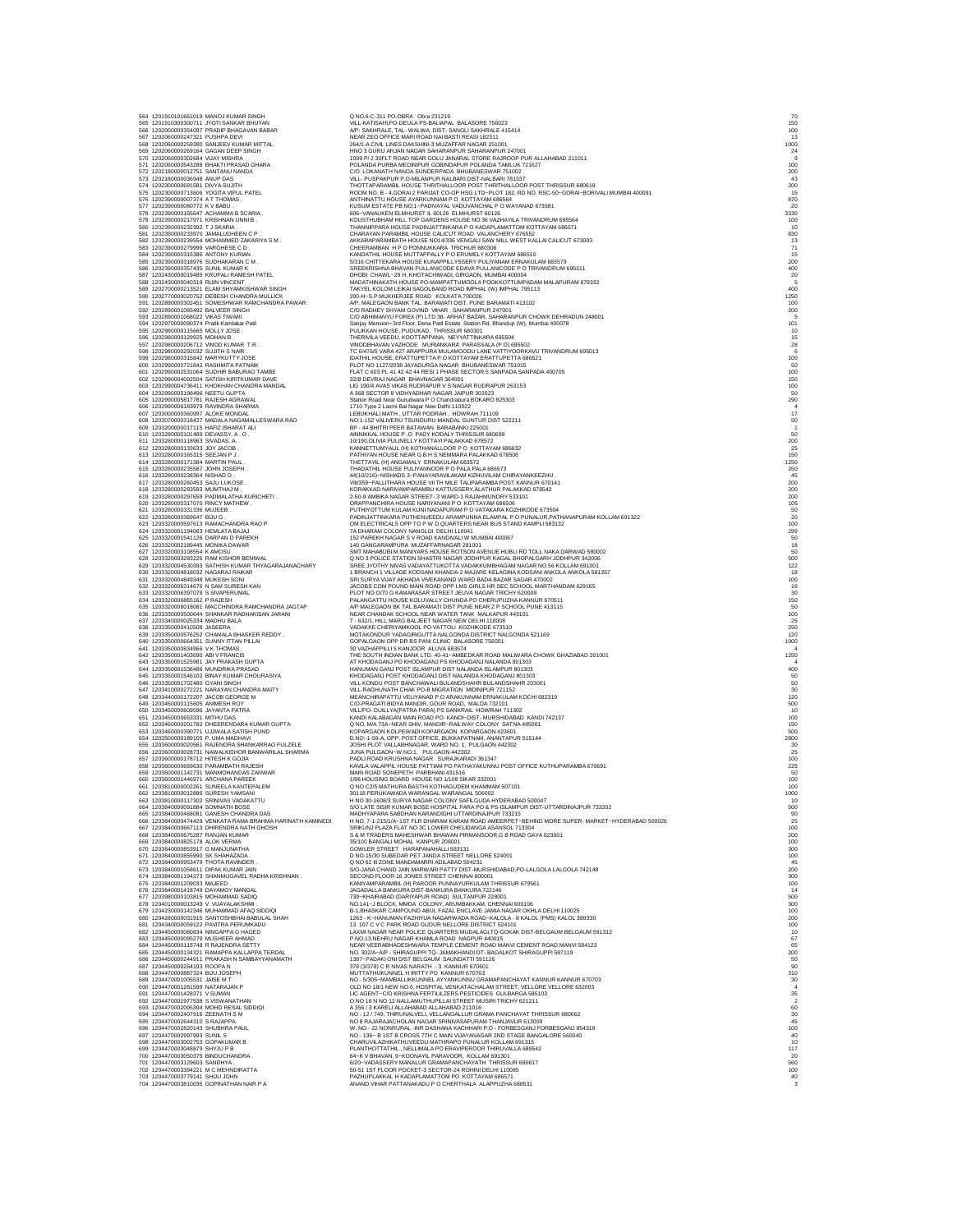| 564 1201910101661019 MANOJ KUMAR SINGH                                                                                        | Q NO.6-C-311 PO-OBRA Obra 231219                                                                                                                                                                                                        | 70                                                                            |
|-------------------------------------------------------------------------------------------------------------------------------|-----------------------------------------------------------------------------------------------------------------------------------------------------------------------------------------------------------------------------------------|-------------------------------------------------------------------------------|
| 565 1201910300300711 JYOTI SANKAR BHUYAN<br>566 1202000000354097 PRADIP BHAGAVAN BABAR                                        | VILL-KATISAHI,PO-DEULA PS-BALIAPAL BALASORE 756023<br>A/P- SAKHRALE, TAL- WALWA, DIST- SANGLI SAKHRALE 415414                                                                                                                           | 150<br>100                                                                    |
| 567 1202060000247321 PUSHPA DEVI                                                                                              | NEAR ZEO OFFICE MARI ROAD NAI BASTI REASI 182311                                                                                                                                                                                        | 13                                                                            |
| 568 1202060000259390 SANJEEV KUMAR MITTAL<br>569 1202060000269164 GAGAN DEEP SINGH                                            | 264/1-A CIVIL LINES DAKSHINI-3 MUZAFFAR NAGAR 251001<br>HNO 3 GURU ARJAN NAGAR SAHARANPUR SAHARANPUR 247001                                                                                                                             | 1000                                                                          |
| 570 1202060000302684 VIJAY MISHRA<br>571 1202060000543288 BHAKTI PRASAD GHARA                                                 | 1099 P/2 30FLT ROAD NEAR GOLU JANARAL STORE RAJROOP PUR ALLAHABAD 211011 POLANDA PURBA MEDINIPUR GOBINDAPUR POLANDA TAMLUK 721627                                                                                                       | $\begin{array}{r} 24 \\ 9 \\ 100 \end{array}$                                 |
| 572 1202180000012751 SANTANU NANDA                                                                                            | C/O. LOKANATH NANDA SUNDERPADA BHUBANESWAR 751002                                                                                                                                                                                       | 200                                                                           |
| 573 1202180000036948 ANUP DAS<br>574 1202300000691581 DIVYA SUJITH                                                            | VILL- PUSPAKPUR P.O-MILANPUR NALBARI DIST-NALBARI 781337<br>THOTTAPARAMBIL HOUSE THRITHALLOOR POST THRITHALLOOR POST THRISSUR 680619                                                                                                    | 43<br>200                                                                     |
| 575 1202300000713606 YOGITA VIPUL PATEL                                                                                       | ROOM NO. B - 4, GORAI 2 PARIJAT CO-OP HSG LTD-PLOT 182, RD NO. RSC-50-GORAI-BORNALI MUMBAI 400091                                                                                                                                       | 15                                                                            |
| 576 1202390000007374 A T THOMAS<br>577 1202390000080772 K V BABU                                                              | ANTHINATTU HOUSE AYARKUNNAM P O KOTTAYAM 686564<br>KUSUM ESTATE PB NO;1-PADIVAYAL VADUVANCHAL P O WAYANAD 673581                                                                                                                        | 870<br>20                                                                     |
| 578 1202390000165647 ACHAMMA B SCARIA.                                                                                        | 606-VANAUKEN ELMHURST IL 60126 ELMHURST 60126                                                                                                                                                                                           | 3330                                                                          |
| 579 1202390000217971 KRISHNAN UNNI B.<br>580 1202390000232392 T J SKARIA                                                      | KOUSTHUBHAM HILL TOP GARDENS HOUSE NO 36 VAZHAYILA TRIVANDRUM 695564<br>THANNIPPARA HOUSE PADINJATTINKARA P O KADAPLAMATTOM KOTTAYAM 686571                                                                                             | 100<br>10                                                                     |
| 581 1202390000233970 JAMALUDHEEN C P                                                                                          | CHARAYAN PARAMBIL HOUSE CALICUT ROAD VALANCHERY 676552                                                                                                                                                                                  | 830                                                                           |
| 582 1202390000239554 MOHAMMED ZAKARIYA S M.<br>583 1202390000279999 VARGHESE C D                                              | AKKARAPARAMBATH HOUSE NO14/336 VENGALI SAW MILL WEST KALLAI CALICUT 673003<br>CHEERAMBAN H P O PONNUKKARA TRICHUR 680306                                                                                                                | 13<br>71                                                                      |
| 584 1202390000315386 ANTONY KURIAN<br>585 1202390000318976 SUDHAKARAN C M.                                                    | KANDATHIL HOUSE MUTTAPPALLY P O ERUMELY KOTTAYAM 686510<br>5/316 CHITTEKARA HOUSE KUNAPPILLYSSERY PULIYANAM ERNAKULAM 683579                                                                                                            | 15<br>200                                                                     |
| 586 1202390000357435 SUNIL KUMAR K.                                                                                           | SREEKRISHNA BHAVAN PULLANICODE EDAVA PULLANICODE P O TRIVANDRUM 695311                                                                                                                                                                  | 400                                                                           |
| 587 1202430000019485 KRUPALI RAMESH PATEL<br>588 1202430000040319 RUIN VINCENT                                                | DHOBI CHAWL-29 H, KHOTACHIWADI, GIRGAON, MUMBAI 400004<br>MADATHINAKATH HOUSE PO-MAMPATTUMOOLA POOKKOTTUMPADAM MALAPURAM 679332                                                                                                         | ${\substack{20 \\\ 5}}$                                                       |
| 589 1202700000213521 ELAM SHYAMKISHWAR SINGH                                                                                  | TAKYEL KOLOM LEIKAI SAGOLBAND ROAD IMPHAL (W) IMPHAL 795113                                                                                                                                                                             | 400                                                                           |
| 590 1202770000020752 DEBESH CHANDRA MULLICK<br>591 1202890000302451 SOMESHWAR RAMCHANDRA PAWAR                                | 200-H-S.P.MUKHERJEE ROAD KOLKATA 700026<br>A/P. MALEGAON BANK TAL. BARAMATI DIST. PUNE BARAMATI 413102                                                                                                                                  | 1250<br>100                                                                   |
| 592 1202890001065492 BALVEER SINGH                                                                                            | C/O RADHEY SHYAM GOVIND VIHAR . SAHARANPUR 247001                                                                                                                                                                                       | $\begin{array}{c} 200 \\ 5 \end{array}$                                       |
| 593 1202890001068022 VIKAS TIWARI<br>594 1202970000090374 Pratik Kamlakar Patil                                               | C/O ABHIMANYU FOREX (P) LTD 38- ARHAT BAZAR, SAHARANPUR CHOWK DEHRADUN 248001<br>Sanjay Mension-3rd Floor, Dena Patil Estate Station Rd, Bhandup (W), Mumbai 400078                                                                     | 101                                                                           |
| 595 1202980000115665 MOLLY JOSE<br>596 1202980000129925 MOHAN.B.                                                              | PULIKKAN HOUSE, PUDUKAD, THRISSUR 680301<br>THERIVILA VEEDU, KOOTTAPPANA, NEYYATTINKARA 695504                                                                                                                                          | $\begin{array}{r} 10 \\ 15 \\ 28 \\ 6 \\ 100 \\ 50 \\ 100 \\ 150 \end{array}$ |
| 597 1202980000206712 VINOD KUMAR T.R.                                                                                         | VINODBHAVAN VAZHODE MURIANKARA PARASSALA (P O) 695502                                                                                                                                                                                   |                                                                               |
| 598 1202980000292032 SUJITH S NAIR<br>599 1202980000315842 MARYKUTTY JOSE                                                     | TC 6/476/5 VARA 427 ARAPPURA MULAMOODU LANE VATTIYOORKAVU TRIVANDRUM 695013<br>IDATHIL HOUSE, ERATTUPETTA.P.O KOTTAYAM ERATTUPETTA 686521                                                                                               |                                                                               |
| 600 1202990000721842 RASHMITA PATNAIK                                                                                         | PLOT NO 1127/2038 JAYADURGA NAGAR BHUBANESWAR 751015                                                                                                                                                                                    |                                                                               |
| 601 1202990002531064 SUDHIR BABURAO TAMBE<br>602 1202990004092504 SATISH KIRITKUMAR DAVE                                      | FLAT C 603 PL 41 42 42 44 RESI 1 PHASE SECTOR 5 SANPADA SANPADA 400705<br>32/B DEVRAJ NAGAR BHAVNAGAR 364001                                                                                                                            |                                                                               |
| 603 1202990004736411 KHOKHAN CHANDRA MANDAL<br>604 1202990005198496 NEETU GUPTA                                               | LIG 190/4 AVAS VIKAS RUDRAPUR V S NAGAR RUDRAPUR 263153                                                                                                                                                                                 | 100                                                                           |
| 605 1202990005817781 RAJESH AGRAWAL                                                                                           | A 368 SECTOR 8 VIDHYADHAR NAGAR JAIPUR 302023<br>Station Road Near Gurudwara P O Chandrapura BOKARO 825303                                                                                                                              | 50<br>290                                                                     |
| 606 1202990006183979 RAVINDRA SHARMA<br>607 1203000000360997 ALOKE MONDAL                                                     | 1710 Type 2 Laxmi Bai Nagar New Delhi 110022<br>LEBUKHALI MATH, UTTAR PODRAH, HOWRAH 711109                                                                                                                                             | 17                                                                            |
| 608 1203070000318437 MADALA NAGAMALLESWARA RAO                                                                                | NO:1-152 VALIVERU TSUNDURU MANDAL GUNTUR DIST 522211                                                                                                                                                                                    | $\begin{array}{c} 50 \\ 1 \end{array}$                                        |
| 609 1203200000017115 HAFIZ ISHARAT ALI<br>610 1203280000101489 DEVASSY. A.O.                                                  | BP - 44 BHITRI PEER BATAWAN BARABANKI 225001<br>AINNIKKAL HOUSE P .O. PADY KODALY THRISSUR 680699                                                                                                                                       | 50                                                                            |
| 611 1203280000118963 SIVADAS. A.                                                                                              | 10/190, OLIVIA PULINELLY KOTTAYI PALAKKAD 678572                                                                                                                                                                                        | 200                                                                           |
| 612 1203280000133633 JOY JACOB<br>613 1203280000165315 SEEJAN P J                                                             | KANNETTUMYALIL (H) KOTHANALLOOR P O KOTTAYAM 686632<br>PATHIYAN HOUSE NEAR G B H S NEMMARA PALAKKAD 678508                                                                                                                              | 25<br>150                                                                     |
| 614 1203280000171384 MARTIN PAUL<br>615 1203280000235587 JOHN JOSEPH                                                          | THETTAYIL (H) ANGAMALY ERNAKULAM 683572<br>THADATHIL HOUSE PULIYANNOOR P O PALA PALA 686573                                                                                                                                             | 1250<br>260                                                                   |
| 616 1203280000238364 NISHAD D                                                                                                 | 44(10/216)-NISHADS 3-PANAYARAVILAKAM KIZHUVILAM CHIRAYANKEEZHU.                                                                                                                                                                         | 45                                                                            |
| 617 1203280000260453 SAJU LUKOSE<br>618 1203280000283593 MUMTHAJ M.                                                           | VIII/359-PALLITHARA HOUSE VII TH MILE TALIPARAMBA POST KANNUR 670141                                                                                                                                                                    | 200<br>200                                                                    |
| 619 1203280000297659 PADMALATHA KURICHETI.                                                                                    | KORAKKAD NARIVAMPARAMBU KATTUSSERY,ALATHUR PALAKKAD 678542<br>2-50-9 AMBIKA NAGAR STREET- 3 WARD-1 RAJAHMUNDRY 533101                                                                                                                   | 200                                                                           |
| 620 1203280000317070 RINCY MATHEW                                                                                             |                                                                                                                                                                                                                                         | 105                                                                           |
| 621 1203280000331336 MUJEEB.<br>622 1203280000369647 BIJU G.<br>623 1203320000597613 RAMACHANDRA RAO P                        | ORAPPANCHIRA HOUSE INARYAMANI PO KOTTAYAM 886566<br>PUTHINOTTUM KULAM KUNI NADAPURAM PO VATAKARA KOZHIKODE 673504<br>PUTHINOTTUM KULAM KUNI NADAPURAM PO VATAKARA KOZHIKODE 673504<br>OM ELECTRICALS OPP TO P W D QUARTERS NEAR BUS STA | $\frac{50}{20}$<br>$\frac{100}{299}$                                          |
| 624 1203320001194063 HEMLATA BAJAJ                                                                                            | 7A DHARAM COLONY NANGLOI DELHI 110041                                                                                                                                                                                                   |                                                                               |
| 625 1203320001541126 DARPAN D PAREKH<br>626 1203320002189445 MONIKA DAWAR                                                     | 152 PAREKH NAGAR S V ROAD KANDIVALI W MUMBAI 400067<br>140 GANGARAMPURA MUZAFFARNAGAR 281001                                                                                                                                            | $50$<br>$50$<br>$50$<br>$500$                                                 |
| 627 1203320003108554 K AMOSU                                                                                                  |                                                                                                                                                                                                                                         |                                                                               |
| 628 1203320003283226 RAM KISHOR BENIWAL<br>629 1203320004530393 SATHISH KUMAR THYAGARAJANACHARY                               | SREE JYOTHY NIVAS VADAYATTUKOTTA VADAKKUMBHAGAM NAGAR NO 56 KOLLAM 691001                                                                                                                                                               | 122                                                                           |
| 630 1203320004818032 NAGARAJ RAIKAR                                                                                           | 1 BRANCH 1 VILLAGE KODSANI KHANDA-2 MAJARE KELAGINA KODSANI ANKOLA ANKOLA 581357                                                                                                                                                        | 18                                                                            |
| 631 1203320004849348 MUKESH SONI<br>632 1203320006314676 N SAM SURESH KAN                                                     | SRI SURYA VIJAY AKHADA VIVEKANAND WARD BADA BAZAR SAGAR 470002<br>JACOBS COM POUND MAIN ROAD OPP LMS GIRLS HR SEC SCHOOL MARTHANDAM 629165                                                                                              | 100<br>16                                                                     |
| 633 1203320006397078 S SIVAPERUMAL                                                                                            | PLOT NO 0/70 G KAMARASAR STREET JEUVA NAGAR TRICHY 620008                                                                                                                                                                               | 30                                                                            |
| 634 1203320006865162 P RAJESH<br>635 1203320008018081 MACCHINDRA RAMCHANDRA JAGTAP                                            | PALANGATTU HOUSE KOLUVALLY CHUNDA PO CHERUPUZHA KANNUR 670511<br>A/P MALEGAON BK TAL BARAMATI DIST PUNE NEAR Z P SCHOOL PUNE 413115                                                                                                     | 150<br>50                                                                     |
| 636 1203330000500644 SHANKAR RADHAKISAN JARANI<br>637 1203340000025334 MADHU BALA                                             | NEAR CHANDAK SCHOOL NEAR WATER TANK MALKAPUR 443101<br>T - 632/1, HILL MARG BALJEET NAGAR NEW DELHI 110008                                                                                                                              | 100<br>25                                                                     |
| 638 1203350000410508 JASEERA.                                                                                                 | VADAKKE CHERIYAMKOOL PO VATTOLI KOZHIKODE 673510                                                                                                                                                                                        | 250                                                                           |
| 639 1203350000576252 CHAMALA BHASKER REDDY.<br>640 1203350000664351 SUNNY ITTAN PILLAI                                        | MOTAKONDUR YADAGIRIGUTTA NALGONDA DISTRICT NALGONDA 521169<br>GOPALGAON OPP DR BS PANI CLINIC BALASORE 756001                                                                                                                           | 120<br>1000                                                                   |
| 641 1203350000834966 V K THOMAS                                                                                               | 30 VAZHAPPILLI 5 KANJOOR ALUVA 683574                                                                                                                                                                                                   |                                                                               |
| 642 1203350001403690 ABI V FRANCIS<br>643 1203350001525981 JAY PRAKASH GUPTA                                                  | THE SOUTH INDIAN BANK LTD. 40-41-AMBEDKAR ROAD MALIWARA CHOWK GHAZIABAD 201001<br>AT KHODAGANJ PO KHODAGANJ PS KHODAGANJ NALANDA 801303                                                                                                 | 1250                                                                          |
| 644 1203350001538486 MUNDRIKA PRASAD                                                                                          | HANUMAN GANJ POST ISLAMPUR DIST NALANDA ISLAMPUR 801303                                                                                                                                                                                 | 400                                                                           |
| 645 1203350001546102 BINAY KUMAR CHOURASIYA<br>646 1203350001702480 GYANI SINGH<br>647 1203410000272221 NARAYAN CHANDRA MAITY | KHODAGANJ POST KHODAGANJ DIST NALANDA KHODAGANJ 801303<br>VILL KONDU POST BANCHAWALI BULANDSHAHR BULANDSHAHR 203001<br>VILL-RAGHUNATH CHAK PO-B MIGRATION MIDINIPUR 721152                                                              | 50<br>$\begin{array}{c} 50 \\ 30 \end{array}$                                 |
| 648 1203440000172207 JACOB GEORGE M                                                                                           | MEANCHIRAPATTU VELIYANAD P.O ARAKUNNAM ERNAKULAM KOCHI 682319                                                                                                                                                                           | 120                                                                           |
| 649 1203450000115605 ANIMESH ROY                                                                                              | C/O-PRAGATI BIDYA MANDIR, GOUR ROAD, MALDA 732101                                                                                                                                                                                       | 500                                                                           |
| 650 1203450000609596 JAYANTA PATRA<br>651 1203450000653331 MITHU DAS                                                          | VILL/PO- DUILLYA(PATRA PARA) PS SANKRAIL HOWRAH 711302<br>KANDI KALABAGAN MAIN ROAD PO- KANDI-DIST- MURSHIDABAD KANDI 742137                                                                                                            | 10<br>100                                                                     |
| 652 1203460000201782 DHEERENDARA KUMAR GUPTA                                                                                  | Q NO. M/A 73A-NEAR SHIV, MANDIR-RAILWAY COLONY SATNA 485001                                                                                                                                                                             | 150                                                                           |
| 653 1203460000390771 UJJWALA SATISH PUND<br>654 1203500000189105 P. UMA MADHAVI                                               | KOPARGAON KOLPEWADI KOPARGAON KOPARGAON 423601<br>D.NO:-1-59-A, OPP. POST OFFICE, BUKKAPATNAM, ANANTAPUR 515144                                                                                                                         | 500<br>2800                                                                   |
| 655 1203600000020561 RAJENDRA SHANKARRAO FULZELE<br>656 1203600000028731 NAWALKISHOR BANWARILAL SHARMA                        | JOSHI PLOT VALLABHNAGAR, WARD NO. 1, PULGAON 442302<br>JUNA PULGAON-W.NO.1, PULGAON 442302                                                                                                                                              | 30<br>25                                                                      |
| 657 1203600000178712 HITESH K GOJIA                                                                                           | PADLI ROAD KRUSHNA NAGAR SURAJKARADI 361347                                                                                                                                                                                             | 100                                                                           |
| 658 1203600000669630 PARAMBATH RAJESH<br>659 1203600001142731 MANMOHANDAS ZANWAR                                              | KAVILA VALAPPIL HOUSE PATTIAM PO PATHAYAKUNNU POST OFFICE KUTHUPARAMBA 670691<br>MAIN ROAD SONEPETH PARBHANI 431516                                                                                                                     | 225<br>50                                                                     |
| 660 1203600001446971 ARCHANA PAREEK                                                                                           | 1/96 HOUSING BOARD HOUSE NO 1/108 SIKAR 332001<br>Q NO C2/5 MATHURA BASTHI KOTHAGUDEM KHAMMAM 507101                                                                                                                                    | 100<br>100                                                                    |
| 661 1203810000002261 SUNEELA KANTEPALEM<br>662 1203810000012886 SURESH YAMSANI                                                | 30118 PERUKAWADA WARANGAL WARANGAL 506002                                                                                                                                                                                               | 1000                                                                          |
| 663 1203810000117302 SRINIVAS VADAKATTU<br>664 1203840000091884 SOMNATH BOSE                                                  | H NO 30-1608/3 SURYA NAGAR COLONY SAFILGUDA HYDERABAD 500047<br>S/O LATE SISIR KUMAR BOSE HOSPITAL PARA PO & PS-ISLAMPUR DIST-UTTARDINAJPUR 733202                                                                                      | 10<br>500                                                                     |
| 665 1203840000468081 GANESH CHANDRA DAS                                                                                       | MADHYAPARA SABDHAN KARANDIGHI UTTARDINAJPUR 733215                                                                                                                                                                                      | 90                                                                            |
| 666 1203840000474429 VENKATA RAMA BRAHMA HARINATH KAMINEDI<br>667 1203840000667113 DHIRENDRA NATH GHOSH                       | H NO. 7-1-215/1/A-1ST FLR DHARAM KARAM ROAD AMEERPET-BEHIND MORE SUPER- MARKET-HYDERABAD 500026<br>SRIKUNJ PLAZA FLAT NO 3C LOWER CHELIDANGA ASANSOL 713304                                                                             | 25<br>100                                                                     |
| 668 1203840000675287 RANJAN KUMAR                                                                                             | S & M TRADERS MAHESHWAR BHAWAN PIRMANSOOR G B ROAD GAYA 823001<br>35/100 BANGALI MOHAL KANPUR 208001                                                                                                                                    | 200                                                                           |
| 669 1203840000825178 ALOK VERMA<br>670 1203840000853917 G MANJUNATHA                                                          | GOWLER STREET HARAPANAHALLI 583131                                                                                                                                                                                                      | 100<br>300                                                                    |
| 671 1203840000855990 SK SHAHAZADA.<br>672 1203840000953479 THOTA RAVINDER                                                     | D NO-15/30 SUBEDAR PET JANDA STREET NELLORE 524001<br>Q NO 62 III ZONE MANDAMARRI ADILABAD 504231                                                                                                                                       | 100<br>45                                                                     |
| 673 1203840001058611 DIPAK KUMAR JAIN                                                                                         | S/O-JANA CHAND JAIN MARWARI PATTY DIST-MURSHIDABAD, PO-LALGOLA LALGOLA 742148                                                                                                                                                           | 200                                                                           |
| 674 1203840001194273 SHANMUGAVEL RADHA KRISHNAN.<br>675 1203840001209033 MAJEED.                                              | SECOND FLOOR 16 JONES STREET CHENNAI 600001<br>KANIYAMPARAMBIL (H) PAROOR PUNNAYURKULAM THRISSUR 679561                                                                                                                                 | 300<br>100                                                                    |
| 676 1203840001418749 DAYAMOY MANDAL<br>677 1203980000103815 MOHAMMAD SADIQ                                                    | JAGADALLA BANKURA DIST-BANKURA BANKURA 722146<br>739-KHAIRABAD (DARIYAPUR ROAD) SULTANPUR 228001                                                                                                                                        | 14<br>500                                                                     |
| 678 1204010000013249 V. VIJAYALAKSHMI                                                                                         | NO.141-J BLOCK, MMDA COLONY, ARUMBAKKAM, CHENNAI 600106                                                                                                                                                                                 | 300                                                                           |
| 679 1204230000142346 MUHAMMAD AFAQ SIDDIQI<br>680 1204280000031915 SANTOSHBHAI BABULAL SHAH                                   | B-1, BHASKAR CAMPOUND ABUL FAZAL ENCLAVE JAMIA NAGAR OKHLA DELHI 110025<br>1263 - K-HANUMAN FAZHIYUA NAGARWADA ROAD-KALOLA - 8 KALOL (PMS) KALOL 389330                                                                                 | 100<br>200                                                                    |
| 681 1204340000059122 PAVITRA PERUMKADU                                                                                        | 13 107 C V C PARK ROAD GUDUR NELLORE DISTRICT 524101                                                                                                                                                                                    | 100                                                                           |
| 682 1204450000080834 NINGAPPA G HAGED<br>683 1204450000095279 MUSHEER AHMAD                                                   | LAXMI NAGAR NEAR POLICE QUARTERS MUDALAGI,TQ-GOKAK DIST-BELGAUM BELGAUM 591312<br>P.NO.13, NEHRU NAGAR KHAMLA ROAD NAGPUR 440015                                                                                                        | 10<br>67                                                                      |
| 684 1204450000115748 R RAJENDRA SETTY                                                                                         | NEAR VEERABHADESHWARA TEMPLE CEMENT ROAD MANVI CEMENT ROAD MANVI 584123                                                                                                                                                                 | 65                                                                            |
| 685 1204450000134321 RAMAPPA KALLAPPA TERDAL<br>686 1204450000244911 PRAKASH N SAMBAYYANAMATH                                 | NO. 302/A-A/P - SHIRAGUPPI TQ- JAMAKHANDI DT- BAGALKOT SHIRAGUPPI 587119<br>1387-PADAKI ONI DIST BELGAUM SAUNDATTI 591126                                                                                                               | 200<br>50                                                                     |
| 687 1204450000264193 ROOPAN<br>688 1204470000887324 BIJU JOSEPH                                                               | 378 (3/378) C R NIVAS NARATH - 3 KANNUR 670601                                                                                                                                                                                          | 90                                                                            |
| 689 1204470001005531 JAISE M T                                                                                                | MUTTATHUKUNNEL H IRITTY PO KANNUR 670703<br>NO - 5/305-MAMBALLIKKUNNEL AYYANKUNNU GRAMAPANCHAYAT KANNUR KANNUR 670703                                                                                                                   | 310<br>30                                                                     |
| 690 1204470001281599 NATARAJAN P<br>691 1204470001428371 V SUMAN                                                              | OLD NO 18/1 NEW NO 6, HOSPITAL VENKATACHALAM STREET, VELLORE VELLORE 632003<br>LIC AGENT-C/O KRISHNA FERTILILZERS PESTICIDES GULBARGA 585103                                                                                            | 4                                                                             |
| 692 1204470001977538 S VISWANATHAN                                                                                            | O NO 18 N NO 12 NALLAMUTHUPILLAI STREET MUSIRI TRICHY 621211                                                                                                                                                                            | $\frac{35}{2}$                                                                |
| 693 1204470002095394 MOHD RESAL SIDDIQI<br>694 1204470002407916 ZEENATH S M                                                   | A 356 / 3 KARELLALLAHABAD ALLAHABAD 211016<br>NO - 12 / 749, THIRUNALVELI, VELLANGALLUR GRAMA PANCHAYAT THRISSUR 680662                                                                                                                 | 60<br>30                                                                      |
| 695 1204470002644310 S RAJAPPA                                                                                                | NO 8 RAJARAJACHOLAN NAGAR SRINIVASAPURAM THANJAVUR 613009<br>W. NO - 22 NONRURAL -INR DASHANA KACHHARI P.O - FORBESGANJ FORBESGANJ 854318                                                                                               | 45                                                                            |
| 696 1204470002820143 SHUBHRA PAUL<br>697 1204470002997993 SUNIL S<br>698 1204470003002753 GOPAKUMAR B                         | NO - 136- B 15T B CROSS 7TH C MAIN VUAYANAGAR 2ND STAGE BANGALORE 560040<br>CHARUVILAZHIKATHUVEEDU MATHRAPO PUNALUR KOLLAM 691315                                                                                                       | 100<br>40                                                                     |
| 699 1204470003048879 SHYJU P B                                                                                                | PLANTHOTTATHIL, NELLIMALA PO ERAVIPEROOR THIRUVALLA 689542                                                                                                                                                                              | 10<br>117                                                                     |
| 700 1204470003050375 BINDUCHANDRA.                                                                                            | 64-K V BHAVAN, 9-KOONAYIL PARAVOOR, KOLLAM 691301                                                                                                                                                                                       | 20                                                                            |
| 701 1204470003129603 SANDHYA.<br>702 1204470003394221 M C MEHNDIRATTA                                                         | 6/20-VADASSERY MANALUR GRAMAPANCHAYATH THRISSUR 680617<br>50-51 1ST FLOOR POCKET-3 SECTOR-24 ROHINI DELHI 110085                                                                                                                        | 560<br>100                                                                    |
| 703 1204470003779141 SHIJU JOHN                                                                                               | PAZHUPLAKKAL H KADAPLAMATTOM PO KOTTAYAM 686571                                                                                                                                                                                         | 40                                                                            |
| 704 1204470003810035 GOPINATHAN NAIR P A                                                                                      | ANAND VIHAR PATTANAKADU P O CHERTHALA ALAPPUZHA 688531                                                                                                                                                                                  |                                                                               |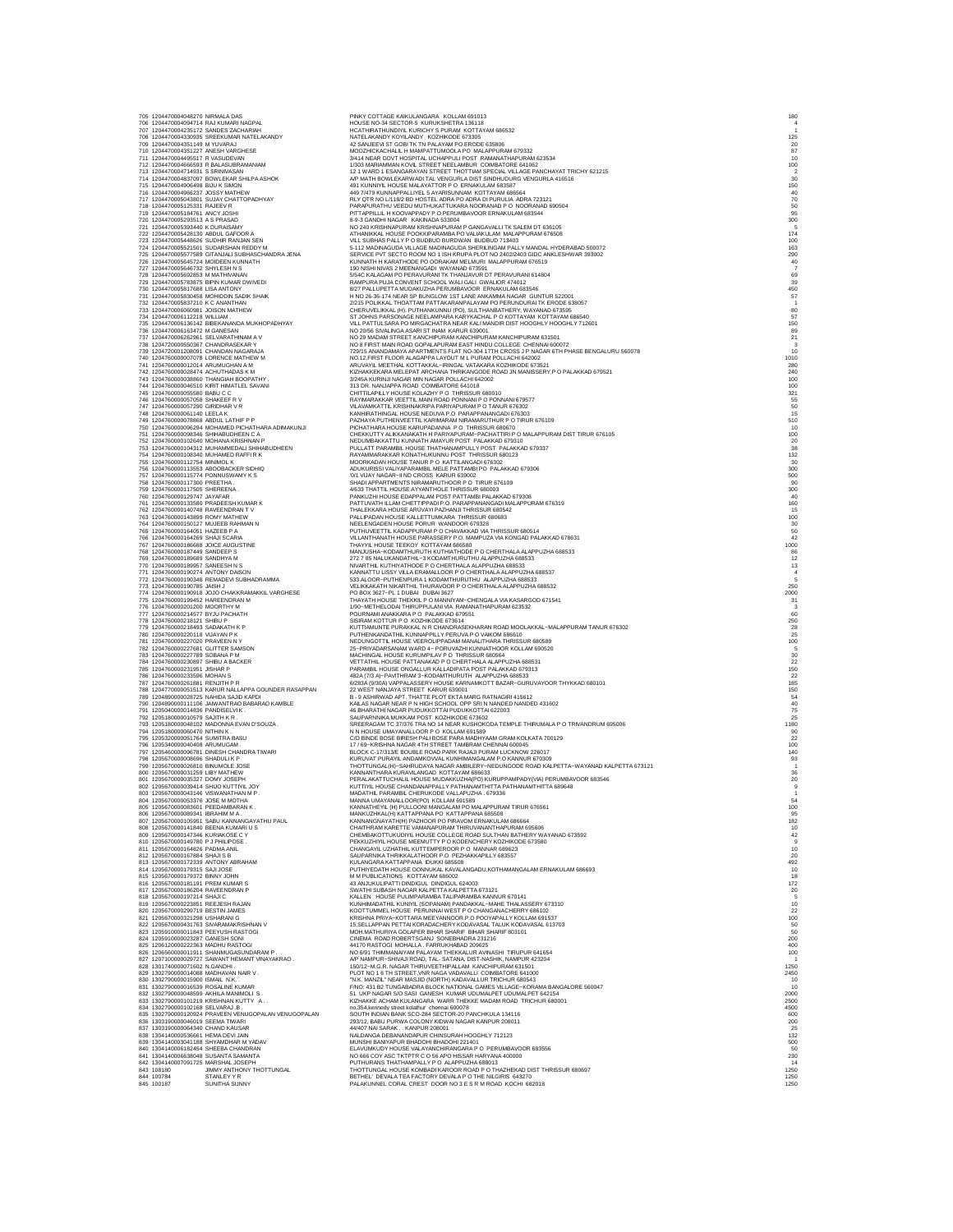| 705 1204470004048270 NIRMALA DAS                                                                           | 706 1204470004094714 RAJ KUMARI NAGPAL                                                                                                                     | PINKY COTTAGE KAIKULANGARA KOLLAM 691013<br>HOUSE NO-34 SECTOR-5 KURUKSHETRA 136118                                                                                                                                                              | 180                                             |
|------------------------------------------------------------------------------------------------------------|------------------------------------------------------------------------------------------------------------------------------------------------------------|--------------------------------------------------------------------------------------------------------------------------------------------------------------------------------------------------------------------------------------------------|-------------------------------------------------|
|                                                                                                            | 707 1204470004235172 SANDES ZACHARIAH<br>708 1204470004330935 SREEKUMAR NATELAKANDY                                                                        | HCATHIRATHUNDIYIL KURICHY S PURAM KOTTAYAM 686532<br>NATELAKANDY KOYILANDY KOZHIKODE 673305                                                                                                                                                      | 125                                             |
| 709 1204470004351149 M YUVARAJ<br>710 1204470004351227 ANESH VARGHESE                                      |                                                                                                                                                            | 42 SANJEEVI ST GOBI TK TN PALAYAM PO ERODE 635806<br>MOOZHICKACHALIL H MAMPATTUMOOLA PO MALAPPURAM 679332                                                                                                                                        | 20<br>87                                        |
|                                                                                                            | 711 1204470004495517 R VASUDEVAN<br>712 1204470004666593 R BALASUBRAMANIAM                                                                                 | 3/414 NEAR GOVT HOSPITAL UCHAPPULI POST RAMANATHAPURAM 623534<br>1/303 MARIAMMAN KOVIL STREET NEELAMBUR COIMBATORE 641062                                                                                                                        | 10<br>100                                       |
| 713 1204470004714931 S SRINIVASAN                                                                          | 714 1204470004837097 BOWLEKAR SHILPA ASHOK                                                                                                                 | 12 1 WARD 1 ESANGARAYAN STREET THOTTIAM SPECIAL VILLAGE PANCHAYAT TRICHY 621215<br>A/P MATH BOWLEKARWADI TAL VENGURLA DIST SINDHUDURG VENGURLA 416516                                                                                            | 30                                              |
| 715 1204470004906498 BIJU K SIMON<br>716 1204470004966237 JOSSY MATHEW                                     |                                                                                                                                                            | 491 KUNNIYIL HOUSE MALAYATTOR P O ERNAKULAM 683587<br>449 7/479 KUNNAPPALLIYEL 5 AYARISUNNAM KOTTAYAM 686564                                                                                                                                     | 150<br>40                                       |
|                                                                                                            | 717 1204470005043801 SUJAY CHATTOPADHYAY<br>717 1204470005143801 SUJAY CHATTOPADHYAY<br>719 1204470005184761 ANEY JOSHI<br>720 1204470005293513 A S PRASAD | RLY QTR NO L/118/2 BD HOSTEL ADRA PO ADRA DI PURULIA ADRA 723121<br>PARAPURATHU VEEDU MUTHUKATTUKARA NOORANAD PO NOORANAD 690504                                                                                                                 | 70<br>50<br>95                                  |
|                                                                                                            |                                                                                                                                                            | PITTAPPILLIL H KOOVAPPADY P O PERUMBAVOOR ERNAKULAM 683544<br>8-9-3 GANDHI NAGAR KAKINADA 533004                                                                                                                                                 | $\frac{300}{5}$                                 |
| 721 1204470005393440 K DURAISAMY<br>722 1204470005428130 ABDUL GAFOOR A                                    |                                                                                                                                                            | NO 240 KRISHNAPURAM KRISHNAPURAM P GANGAVALLI TK SALEM DT 636105<br>ATHANIKKAL HOUSE POOKKIPARAMBA PO VALIAKULAM MALAPPURAM 676508                                                                                                               | 174                                             |
|                                                                                                            | 723 1204470005448626 SUDHIR RANJAN SEN<br>724 1204470005521501 SUDARSHAN REDDY M                                                                           | VILL SUBHAS PALLY P O BUDBUD BURDWAN BUDBUD 713403<br>5-112 MADINAGUDA VILLAGE MADINAGUDA SHERILINGAM PALLY MANDAL HYDERABAD 500072                                                                                                              | 100<br>163                                      |
|                                                                                                            | 725 1204470005577589 GITANJALI SUBHASCHANDRA JENA<br>726 1204470005645724 MOIDEEN KUNNATH                                                                  | SERVICE PVT SECTO ROOM NO 1 ISH KRUPA PLOT NO 2402/2403 GIDC ANKLESHWAR 393002<br>KUNNATH H KARATHODE PO OORAKAM MELMURI MALAPPURAM 676519                                                                                                       | 290<br>40                                       |
| 727 1204470005646732 SHYLESH N S<br>728 1204470005692853 M MATHIVANAN                                      |                                                                                                                                                            | 190 NISHI NIVAS 2 MEENANGADI WAYANAD 673591<br>5/54C KALAGAM PO PERAVURANI TK THANJAVUR DT PERAVURANI 614804                                                                                                                                     | 69                                              |
| 730 1204470005817688 LISA ANTONY                                                                           | 729 1204470005783875 BIPIN KUMAR DWIVEDI                                                                                                                   | RAMPURA PUJA CONVENT SCHOOL WALI GALI GWALIOR 474012<br>8/27 PALLUPETTA MUDAKUZHA PERUMBAVOOR ERNAKULAM 683546                                                                                                                                   | 39<br>450                                       |
| 732 1204470005837210 K C ANANTHAN                                                                          | 731 1204470005830458 MOHIDDIN SADIK SHAIK                                                                                                                  | H NO 26-36-174 NEAR SP BUNGLOW 1ST LANE ANKAMMA NAGAR GUNTUR 522001<br>2/215 POLIKKAL THOATTAM PATTAKARANPALAYAM PO PERUNDURAI TK ERODE 638057                                                                                                   | 57                                              |
| 733 1204470006060981 JOISON MATHEW<br>734 1204470006112218 WILLIAM                                         |                                                                                                                                                            | CHERUVELIKKAL (H), PUTHANKUNNU (PO), SULTHANBATHERY, WAYANAD 673595<br>ST JOHNS PARSONAGE NEELAMPARA KARYKACHAL P O KOTTAYAM KOTTAYAM 686540                                                                                                     | 80<br>57                                        |
|                                                                                                            | 735 1204470006136142 BIBEKANANDA MUKHOPADHYAY<br>736 1204470006163472 M GANESAN<br>737 1204470006262961 SELVARATHINAM A V                                  | VILL PATTULSARA PO MIRGACHATRA NEAR KALI MANDIR DIST HOOGHLY HOOGHLY 712601<br>NO 20/56 SIVALINGA ASARI ST INAM KARUR 639001                                                                                                                     | 150<br>89                                       |
| 738 1204720000550367 CHANDRASEKAR Y                                                                        |                                                                                                                                                            | NO 29 MADAM STREET KANCHIPURAM KANCHIPURAM KANCHIPURAM 631501<br>NO 8 FIRST MAIN ROAD GOPALAPURAM EAST HINDU COLLEGE CHENNAI 600072                                                                                                              | 21                                              |
|                                                                                                            | 739 1204720001208091 CHANDAN NAGARAJA<br>740 1204760000007078 LORENCE MATHEW M                                                                             | 729/15 ANANDAMAYA APARTMENTS FLAT NO-304 17TH CROSS J P NAGAR 6TH PHASE BENGALURU 560078<br>NO.12,FIRST FLOOR ALAGAPPA LAYOUT M L PURAM POLLACHI 642002                                                                                          | 10<br>1010                                      |
| 741 1204760000012014 ARUMUGHAN A M                                                                         |                                                                                                                                                            | ARUVAYIL MEETHAL KOTTAKKAL-IRINGAL VATAKARA KOZHIKODE 673521<br>KIZHAKKEKARA MELEPAT ARCHANA THRIKANGODE ROAD JN MANISSERY P O PALAKKAD 679521<br>3/245A KURINJI NAGAR MIN NAGAR POLLACHI 642002                                                 | 280<br>240                                      |
|                                                                                                            | 742 1204760000028474 ACHUTHADAS K M<br>743 1204760000038860 THANGIAH BOOPATHY<br>744 1204760000046510 KIRIT HIMATLEL SAVANI                                | 313 DR. NANJAPPA ROAD COIMBATORE 641018                                                                                                                                                                                                          | 100<br>100                                      |
| 744 12041 00000040010 100001100012<br>745 1204760000055580 BABU C C<br>746 1204760000057058 SHAKEEF R V    |                                                                                                                                                            | CHITTILAPILLY HOUSE KOLAZHY P O THRISSUR 680010<br>RAYIMARAKKAR VEETTIL MAIN ROAD PONNANI P O PONNANI 679577                                                                                                                                     | 321<br>55                                       |
| 747 1204760000057290 GIRIDHAR V R<br>748 1204760000061140 LEELAK                                           |                                                                                                                                                            | VILAVAMKATTIL KRISHNAKRIPA PARIYAPURAM P O TANUR 676302<br>KANHIRATHINGAL HOUSE NEDUVA P.O PARAPPANANGADI 676303                                                                                                                                 | $\frac{50}{15}$                                 |
|                                                                                                            | 790 - 1297100000078868 ABDUL LATHIF P P<br>749 - 1204760000078868 ABDUL LATHIF P P<br>750 - 1204760000096294 MOHAMED PICHATHARA ADIMAKUNJI                 | PAZHAYA PUTHENVEETTIL KARIMARAM NIRAMARUTHUR P O TIRUR 676109<br>PICHATHARA HOUSE KARUPADANNA PO THRISSUR 680670                                                                                                                                 | $\frac{1}{10}$                                  |
|                                                                                                            | 751 1204760000098346 SHIHABUDHEEN C A<br>752 1204760000102640 MOHANA KRISHNAN P                                                                            | CHEKKUTTY ALIKKANAKATH H PARIYAPURAM-PACHATTIRI P O MALAPPURAM DIST TIRUR 676105<br>NEDUMBAKKATTU KUNNATH AMAYUR POST PALAKKAD 679310                                                                                                            | 100<br>20                                       |
|                                                                                                            | 753 1204760000104312 MUHAMMEDALI SHIHABUDHEEN<br>754 1204760000108340 MUHAMED RAFFI R K                                                                    | PULLATT PARAMBIL HOUSE THATHANAMPULLY POST PALAKKAD 679337<br>RAYAMMARAKKAR KONATHUKUNNU POST THRISSUR 680123                                                                                                                                    | 38<br>132                                       |
| 755 1204760000112754 MINIMOL K                                                                             | 756 1204760000113553 ABOOBACKER SIDHIQ                                                                                                                     | MOORKADAN HOUSE TANUR P O KATTILANGADI 676302<br>ADUKURISSI VALIYAPARAMBIL MELE PATTAMBI PO PALAKKAD 679306                                                                                                                                      | 30<br>300                                       |
| 757 1204760000115774 PONNUSWAMY K S<br>758 1204760000117300 PREETHA                                        |                                                                                                                                                            | '0/1 VIJAY NAGAR-II ND CROSS KARUR 639002<br>SHADI APPARTMENTS NIRAMARUTHOOR P O TIRUR 676109                                                                                                                                                    | 500<br>90                                       |
| 759 1204760000117505 SHEREENA<br>760 1204760000129747 JAYAFAR                                              |                                                                                                                                                            | 4/633 THATTIL HOUSE AYYANTHOLE THRISSUR 680003<br>PANKUZHI HOUSE EDAPPALAM POST PATTAMBI PALAKKAD 679308                                                                                                                                         | 300<br>40                                       |
| 762 1204760000140748 RAVEENDRAN TV                                                                         | 761 1204760000133580 PRADEESH KUMAR K                                                                                                                      | PATTUVATH ILLAM CHETTIPPADI P.O. PARAPPANANGADI MALAPPURAM 676319<br>THALEKKARA HOUSE ARUVAYI PAZHANJI THRISSUR 680542                                                                                                                           | 160                                             |
| 763 1204760000143899 ROMY MATHEW                                                                           |                                                                                                                                                            | PALLIPADAN HOUSE KALLETTUMKARA THRISSUR 680683<br>NEELENGADEN HOUSE PORUR WANDOOR 679328                                                                                                                                                         | 100                                             |
| 765 1204760000164051 HAZEEB P A                                                                            | 764 1204760000150127 MUJEEB RAHMAN N                                                                                                                       | PUTHUVEETTIL KADAPPURAM P O CHAVAKKAD VIA THRISSUR 680514                                                                                                                                                                                        | 30<br>50<br>42                                  |
| 766 1204760000164269 SHAJI SCARIA<br>767 1204760000186688 JOICE AUGUSTINE                                  |                                                                                                                                                            | VILLANTHANATH HOUSE PARASSERY P.O. MAMPUZA VIA KONGAD PALAKKAD 678631<br>THAYYIL HOUSE TEEKOY KOTTAYAM 686580                                                                                                                                    | 1000                                            |
| 768 1204760000187449 SANDEEP S<br>769 1204760000189689 SANDHYA M<br>770 1204760000189957 SANEESH N S       |                                                                                                                                                            | MANJUSHA-KODAMTHURUTH KUTHIATHODE P O CHERTHALA ALAPPUZHA 688533<br>272 7 85 NALUKANDATHIL-3 KODAMTHURUTHU ALAPPUZHA 688533<br>NIVARTHIL KUTHIYATHODE P O CHERTHALA ALAPPUZHA 688533                                                             | $^{86}_{12}$                                    |
| 771 1204760000190274 ANTONY DAISON                                                                         |                                                                                                                                                            | KANNATTU LISSY VILLA ERAMALLOOR P O CHERTHALA ALAPPUZHA 688537<br>533 ALOOR-PUTHENPURA 1 KODAMTHURUTHU ALAPPUZHA 688533                                                                                                                          | $\begin{array}{c} 13 \\ 4 \end{array}$          |
|                                                                                                            | 772 1204760000190348 REMADEVI SUBHADRAMMA<br>772 1204760000190348 REMADEVI SUBHADRAMMA<br>774 1204760000190918 JOJO CHAKKRAMAKKIL VARGHESE                 | VELIKKAKATH NIKARTHIL THURAVOOR P O CHERTHALA ALAPPUZHA 688532<br>PO BOX 3627-PL 1 DUBAI DUBAI 3627                                                                                                                                              | 250<br>2000                                     |
| 775 1204760000199452 HAREENDRAN M                                                                          |                                                                                                                                                            | THAYATH HOUSE THEKKIL P O MANNIYAM-CHENGALA VIA KASARGOD 671541<br>1/90-METHELODAI THIRUPPULANI VIA RAMANATHAPURAM 623532                                                                                                                        | 31                                              |
| 776 1204760000201200 MOORTHY M<br>777 1204760000214577 BYJU PACHATH                                        |                                                                                                                                                            | POURNAMI ANAKKARA P O PALAKKAD 679551                                                                                                                                                                                                            | 60                                              |
| 778 1204760000218121 SHIBU P<br>779 1204760000218493 SADAKATH K P                                          |                                                                                                                                                            | SISIRAM KOTTUR P O KOZHIKODE 673614<br>KUTTIAMUNTE PURAKKAL N R CHANDRASEKHARAN ROAD MOOLAKKAL-MALAPPURAM TANUR 676302                                                                                                                           | 250<br>28                                       |
| 780 1204760000220118 VIJAYAN PK                                                                            |                                                                                                                                                            |                                                                                                                                                                                                                                                  |                                                 |
| 781 1204760000227020 PRAVEEN N Y                                                                           |                                                                                                                                                            | PUTHENKANDATHIL KUNNAPPILLY PERUVA P O VAIKOM 686610<br>NEDUNGOTTIL HOUSE VEEROLIPPADAM MANALITHARA THRISSUR 680589                                                                                                                              | 25<br>100                                       |
| 782 1204760000227681 GLITTER SAMSON<br>783 1204760000227789 SOBANA P M                                     |                                                                                                                                                            | 25-PRIYADARSANAM WARD 4- PORUVAZHI KUNNATHOOR KOLLAM 690520<br>MACHINGAL HOUSE KURUMPILAV P O THRISSUR 680564                                                                                                                                    | 30                                              |
| 784 1204760000230897 SHIBU A BACKER<br>785 1204760000231951 JISHAR P                                       |                                                                                                                                                            | VETTATHIL HOUSE PATTANAKAD P O CHERTHALA ALAPPUZHA 688531<br>PARAMBIL HOUSE ONGALLUR KALLADIPATA POST PALAKKAD 679313                                                                                                                            | $^{22}$<br>150                                  |
| 786 1204760000233596 MOHAN S<br>787 1204760000261881 RENJITH P R                                           |                                                                                                                                                            | 482A (7/3 A)~PAVITHRAM 3~KODAMTHURUTH ALAPPUZHA 688533<br>6/283A (9/30A) VAPPALASSERY HOUSE KARNAMKOTT BAZAR-GURUVAYOOR THYKKAD 680101                                                                                                           | 185                                             |
|                                                                                                            | 788 1204770000051513 KARUR NALLAPPA GOUNDER RASAPPAN<br>789 1204890000028725 NAHIDA SAJID KAPDI                                                            | 22 WEST NANJAYA STREET KARUR 639001<br>B - 9 ASHIRWAD APT. THATTE PLOT EKTA MARG RATNAGIRI 415612                                                                                                                                                | 150<br>54                                       |
| 791 1205040000014836 PANDISELVI K                                                                          | 790 1204890000111106 JAIWANTRAO BABARAO KAMBLE                                                                                                             | KAILAS NAGAR NEAR P N HIGH SCHOOL OPP SRI N NANDED NANDED 431602<br>46 BHARATHI NAGAR PUDUKKOTTAI PUDUKKOTTAI 622003                                                                                                                             | 40                                              |
| 792 1205180000010579 SAJITH KR                                                                             |                                                                                                                                                            | SAUPARNNIKA MUKKAM POST KOZHIKODE 673602                                                                                                                                                                                                         | $\frac{75}{25}$                                 |
| 795 1205320000051764 SUMITRA BASU                                                                          | .<br>793 1205180000048102 MADONNA EVAN D'SOUZA .<br>794 1205180000060470 NITHIN K .                                                                        | SREERAGAM TC 37/376 TRA NO 14 NEAR KUSHOKODA TEMPLE THIRUMALA P O TRIVANDRUM 695006 N N HOUSE UMAYANALLOOR P O KOLLAM 691589<br>C/O BINDE BOSE BIRESH PALI BOSE PARA MADHYAAM GRAM KOLKATA 700129                                                | 1180<br>90<br>22                                |
| 796 1205340000040408 ARUMUGAM                                                                              | 797 1205460000096781 DINESH CHANDRA TIWARI                                                                                                                 | 17 / 69-KRISHNA NAGAR 4TH STREET TAMBRAM CHENNAI 600045<br>BLOCK C-17/313/E BOUBLE ROAD PARK RAJAJI PURAM LUCKNOW 226017                                                                                                                         | 100                                             |
| 798 1205670000008696 SHADULIK P                                                                            |                                                                                                                                                            | KURUVAT PURAYIL ANDAMKOVVAL KUNHIMANGALAM P.O KANNUR 670309<br>THOTTUNGAL (H)-SAHRUDAYA NAGAR AMBILERY-NEDUNGODE ROAD KALPETTA-WAYANAD KALPETTA 673121                                                                                           | $\begin{array}{c}\n140 \\ 93 \\ 1\n\end{array}$ |
| 799 1205670000026810 BINUMOLE JOSE<br>800 1205670000031259 LIBY MATHEW<br>801 1205670000035327 DOMY JOSEPH |                                                                                                                                                            | KANNANTHARA KURAVILANGAD KOTTAYAM 686633<br>PERALAKATTUCHALIL HOUSE MUDAKKUZHA(PO) KURUPPAMPADY(VIA) PERUMBAVOOR 683546                                                                                                                          |                                                 |
|                                                                                                            | 802 1205670000039414 SHIJO KUTTIYIL JOY<br>803 1205670000043146 VISWANATHAN M P                                                                            | KUTTIYIL HOUSE CHANDANAPPALLY PATHANAMTHITTA PATHANAMTHITTA 689648<br>MADATHIL PARAMBIL CHERUKODE VALLAPUZHA . 679336                                                                                                                            | $\begin{array}{c} 36 \\ 20 \\ 9 \end{array}$    |
| 804 1205670000053376 JOSE M MOTHA<br>805 1205670000083601 PEEDAMBARAN                                      |                                                                                                                                                            | MANNA UMAYANALLOOR(PO) KOLLAM 691589<br>KANNATHEYIL (H) PULLOONI MANGALAM PO MALAPPURAM TIRUR 676561                                                                                                                                             | 54<br>100                                       |
| 806 1205670000089341 IBRAHIM M A                                                                           | 807 1205670000105951 SABU KANNANGAYATHU PAUL                                                                                                               | MANKUZHKAL(H) KATTAPPANA PO KATTAPPANA 685508<br>KANNANGNAYATH(H) PAZHOOR PO PIRAVOM ERNAKULAM 686664                                                                                                                                            | 95<br>182                                       |
| 808 1205670000141840 BEENA KUMARI U S<br>809 1205670000147346 KURIAKOSE C Y                                |                                                                                                                                                            | CHAITHRAM KARETTE VAMANAPURAM THIRUVANANTHAPURAM 695606<br>CHEMBAKOTTUKUDIYIL HOUSE COLLEGE ROAD SULTHAN BATHERY WAYANAD 673592                                                                                                                  | $10$<br>42                                      |
| 810 1205670000149780 P J PHILIPOSE<br>811 1205670000164826 PADMA ANIL                                      |                                                                                                                                                            | PEKKUZHIYIL HOUSE MEEMUTTY P O KODENCHERY KOZHIKODE 673580<br>CHANGAYIL UZHATHIL KUTTEMPEROOR P O MANNAR 689623                                                                                                                                  | 9<br>10                                         |
| 812 1205670000167884 SHAJIS B<br>813 1205670000172339 ANTONY ABRAHAM                                       |                                                                                                                                                            | SAUPARNIKA THRIKKALATHOOR P.O PEZHAKKAPILLY 683557<br>KULANGARA KATTAPPANA IDUKKI 685508                                                                                                                                                         | 20<br>492                                       |
| 814 1205670000179315 SAJI JOSE<br>815 1205670000179372 BINNY JOHN                                          |                                                                                                                                                            | PUTHIYEDATH HOUSE OONNUKAL KAVALANGADU,KOTHAMANGALAM ERNAKULAM 686693<br>M M PUBLICATIONS KOTTAYAM 686002                                                                                                                                        | 10<br>18                                        |
| 816 1205670000181191 PREM KUMAR S<br>817 1205670000186204 RAVEENDRAN P                                     |                                                                                                                                                            | 43 ANJUKULIPATTI DINDIGUL DINDIGUL 624003<br>SWATHI SUBASH NAGAR KALPETTA KALPETTA 673121                                                                                                                                                        | 172<br>20                                       |
| 818 1205670000197214 SHAJIC<br>819 1205670000223851 REEJESH RAJAN                                          |                                                                                                                                                            | KALLEN HOUSE PULIMPARAMBA TALIPARAMBA KANNUR 670141<br>KUNHIMADATHIL KUNIYIL (SOPANAM) PANDAKKAL-MAHE THALASSERY 673310                                                                                                                          | 5<br>10                                         |
| 820 1205670000299719 BESTIN JAMES<br>821 1205670000321298 USHARANIG                                        |                                                                                                                                                            | KOOTTUMMEL HOUSE PERUNNAI WEST P O CHANGANACHERRY 686102<br>KRISHNA PRIYA-KOTTARA MEEYANNOOR.P.O POOYAPALLY KOLLAM 691537                                                                                                                        | 22<br>100                                       |
| 823 1205910000011843 PEEYUSH RASTOGI                                                                       | 822 1205670000431763 SIVARAMAKRISHNAN V                                                                                                                    | 15, SELLAPPAN PETTAI KORADACHERY KODAVASAL TALUK KODAVASAL 613703<br>MOH.MATHURIYA GOLAPER BIHAR SHARIF BIHAR SHARIF 803101                                                                                                                      | -50<br>50                                       |
| 824 1205910000023287 GANESH SONI<br>825 1206120000222363 MADHU RASTOGI                                     |                                                                                                                                                            | CINEMA ROAD ROBERTSGANJ SONEBHADRA 231216<br>44170 RASTOGI MOHALLA . FARRUKHABAD 209625                                                                                                                                                          | 200<br>400                                      |
|                                                                                                            | 826 1206560000011911 SHANMUGASUNDARAM P<br>827 1207100000029727 SAWANT HEMANT VINAYAKRAO.                                                                  | NO 6/91 THIMMANAIYAM PALAYAM THEKKALUR AVINASHI TIRUPUR 641654<br>A/P NAMPUR-SHIVAJI ROAD, TAL- SATANA, DIST-NASHIK, NAMPUR 423204                                                                                                               | 100                                             |
| 828 1301740000071602 N.GANDHI.                                                                             | 829 1302790000014088 MADHAVAN NAIR V.                                                                                                                      | 150/12-M.G.R. NAGAR THIRUVEETHIPALLAM KANCHIPURAM 631501<br>PLOT NO 1 6 TH STREET, VNR NAGA VADAVALLI COIMBATORE 641000                                                                                                                          | 1250<br>2450                                    |
| 830 1302790000015900 ISMAIL N.K.<br>831 1302790000016539 ROSALINE KUMAR                                    |                                                                                                                                                            | "N.K. MANZIL" NEAR MASJID (NORTH) KADAVALLUR TRICHUR 680543<br>F/NO: 431 B2 TUNGABADRA BLOCK NATIONAL GAMES VILLAGE-KORAMA BANGALORE 560047                                                                                                      | 10<br>10                                        |
|                                                                                                            | 832 1302790000048599 AKHILA MANIMOLI S.<br>833 1302790000101219 KRISHNAN KUTTY A                                                                           | 51 UKP NAGAR S/O SASI GANESH KUMAR UDUMALPET UDUMALPET 642154<br>KIZHAKKE ACHAM KULANGARA WARR THEKKE MADAM ROAD TRICHUR 680001                                                                                                                  | 2000<br>2500                                    |
| 834 1302790000102168 SELVARAJ.B.                                                                           | 835 1302790000120924 PRAVEEN VENUGOPALAN VENUGOPALAN                                                                                                       | no.354, kennedy street kolathur chennai 600078<br>SOUTH INDIAN BANK SCO-284 SECTOR-20 PANCHKULA 134116                                                                                                                                           | 4500<br>600                                     |
| 836 1303190000046019 SEEMA TIWARI<br>837 1303190000064340 CHAND KAUSAR                                     |                                                                                                                                                            | 293/12, BABU PURWA COLONY KIDWAI NAGAR KANPUR 208011<br>44/407 NAI SARAK KANPUR 208001                                                                                                                                                           | 200<br>25                                       |
| 838 1304140000536661 HEMA DEVI JAIN                                                                        | 839 1304140003041188 SHYAMDHAR M YADAV                                                                                                                     | NALDANGA DEBANANDAPUR CHINSURAH HOOGHLY 712123<br>MUNSHI BANIYAPUR BHADOHI BHADOHI 221401                                                                                                                                                        | 132<br>500                                      |
|                                                                                                            | 840 1304140006182454 SHEEBA CHANDRAN<br>841 1304140006638048 SUSANTA SAMANTA                                                                               | ELAVUMKUDY HOUSE VALAYANCHIRANGARA P O PERUMBAVOOR 683556<br>NO 666 COY ASC TKTPTR C O 56 APO HISSAR HARYANA 400000                                                                                                                              | 50<br>230                                       |
| 842 1304140007091725 MARSHAL JOSEPH<br>843 108180<br>844 100784                                            | JIMMY ANTHONY THOTTUNGAL<br>STANLEY Y R                                                                                                                    | PUTHURANS THATHAMPALLY P O ALAPPUZHA 688013<br>THOTTUNGAL HOUSE KOMBADI KAROOR ROAD P O THAZHEKAD DIST THRISSUR 680697<br>BETHEL' DEVALA TEA FACTORY DEVALA PO THE NILGIRIS 643270<br>PALAKUNNEL CORAL CREST DOOR NO 3 E S R M ROAD KOCHI 682018 | 14<br>1250<br>1250                              |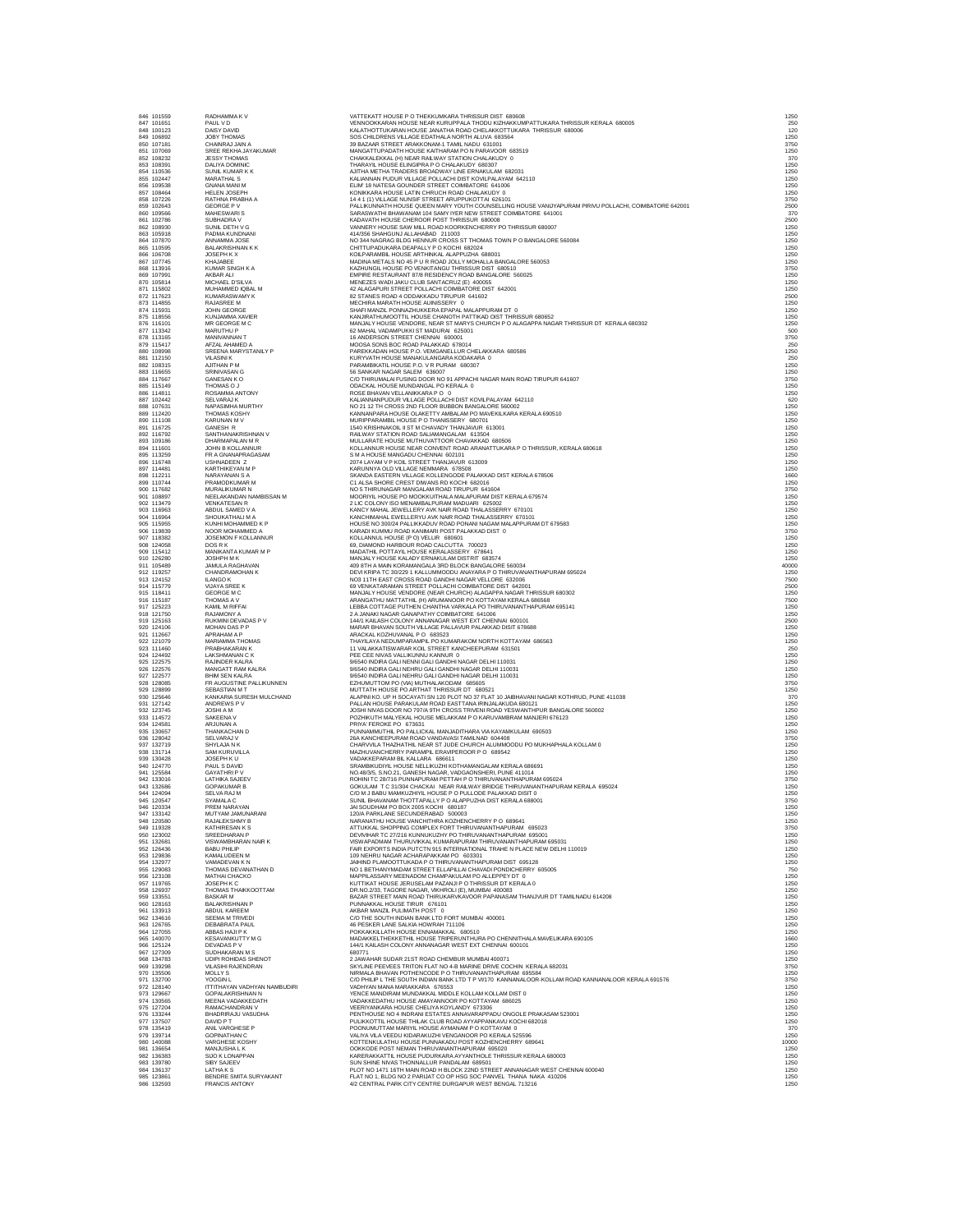| 46<br>47                                  | 101559<br>101651<br>100123                                                                                                 |                    |
|-------------------------------------------|----------------------------------------------------------------------------------------------------------------------------|--------------------|
| 18<br>49                                  | 106892                                                                                                                     |                    |
|                                           | 107181                                                                                                                     |                    |
| *50<br>50 51 52 53 54 55 66 57 58 59 60 . | 107069                                                                                                                     |                    |
|                                           | 108232<br>108391                                                                                                           |                    |
|                                           | 110536                                                                                                                     |                    |
|                                           | 102447<br>109538                                                                                                           |                    |
|                                           | 108464                                                                                                                     |                    |
|                                           | 107226                                                                                                                     |                    |
|                                           | 109566                                                                                                                     |                    |
|                                           | 102786                                                                                                                     |                    |
|                                           | 108930                                                                                                                     |                    |
|                                           | 105918<br>107870                                                                                                           |                    |
|                                           |                                                                                                                            |                    |
|                                           |                                                                                                                            |                    |
|                                           |                                                                                                                            |                    |
|                                           |                                                                                                                            |                    |
|                                           |                                                                                                                            |                    |
|                                           |                                                                                                                            |                    |
|                                           |                                                                                                                            |                    |
|                                           |                                                                                                                            |                    |
|                                           |                                                                                                                            |                    |
|                                           |                                                                                                                            |                    |
|                                           |                                                                                                                            |                    |
|                                           |                                                                                                                            |                    |
|                                           |                                                                                                                            |                    |
|                                           |                                                                                                                            |                    |
|                                           |                                                                                                                            |                    |
|                                           |                                                                                                                            |                    |
|                                           |                                                                                                                            |                    |
|                                           |                                                                                                                            |                    |
|                                           |                                                                                                                            |                    |
|                                           |                                                                                                                            |                    |
|                                           |                                                                                                                            |                    |
|                                           |                                                                                                                            |                    |
|                                           |                                                                                                                            |                    |
|                                           |                                                                                                                            |                    |
|                                           |                                                                                                                            |                    |
|                                           |                                                                                                                            |                    |
|                                           |                                                                                                                            |                    |
|                                           |                                                                                                                            |                    |
|                                           |                                                                                                                            |                    |
|                                           |                                                                                                                            |                    |
|                                           |                                                                                                                            |                    |
|                                           |                                                                                                                            |                    |
| i 1<br>12                                 |                                                                                                                            |                    |
| 13                                        |                                                                                                                            |                    |
|                                           |                                                                                                                            |                    |
| 14<br>15<br>16<br>17<br>18                | 19257<br>1241529<br>11841115187<br>125223<br>121750<br>125667<br>124406<br>124492<br>122575<br>122575<br>1228089<br>128899 |                    |
|                                           |                                                                                                                            |                    |
|                                           |                                                                                                                            |                    |
|                                           |                                                                                                                            |                    |
|                                           |                                                                                                                            |                    |
|                                           |                                                                                                                            |                    |
|                                           |                                                                                                                            |                    |
|                                           |                                                                                                                            |                    |
|                                           |                                                                                                                            |                    |
|                                           |                                                                                                                            |                    |
|                                           | 128899<br>125646<br>127142<br>123745<br>114572<br>124581<br>130657                                                         |                    |
|                                           |                                                                                                                            |                    |
|                                           |                                                                                                                            |                    |
|                                           |                                                                                                                            |                    |
|                                           |                                                                                                                            |                    |
|                                           |                                                                                                                            |                    |
|                                           |                                                                                                                            |                    |
|                                           |                                                                                                                            |                    |
|                                           |                                                                                                                            |                    |
|                                           |                                                                                                                            |                    |
|                                           |                                                                                                                            |                    |
|                                           |                                                                                                                            |                    |
|                                           |                                                                                                                            |                    |
| 1920年222456789901123345667890011234567    | 128042<br>132719<br>131714<br>130428<br>124770<br>125584<br>133016<br>132686<br>124094<br>120547<br>120334                 |                    |
| 18<br>49                                  | 120580<br>119328                                                                                                           |                    |
|                                           | 123002                                                                                                                     |                    |
|                                           | 132681<br>126436                                                                                                           |                    |
|                                           | 129836                                                                                                                     |                    |
| - 50<br>50<br>51<br>52<br>53              | 132977                                                                                                                     | ノマロノロマ             |
| 55<br>56                                  | 129083                                                                                                                     | 1                  |
|                                           | ------<br>123108<br>119765                                                                                                 |                    |
| --<br>57<br>58<br>59                      | 126937<br>133551                                                                                                           | リュコ                |
| -<br>60                                   | 128163                                                                                                                     |                    |
| 61<br>$\overline{52}$                     |                                                                                                                            |                    |
| 63                                        | 133913<br>134616<br>126765                                                                                                 |                    |
| $\frac{1}{2}$<br>$\overline{55}$          | 127055                                                                                                                     |                    |
|                                           | 140070                                                                                                                     |                    |
| --<br>66<br>67                            |                                                                                                                            | 化四苯甲基甲基            |
| .<br>68                                   |                                                                                                                            | l                  |
|                                           |                                                                                                                            |                    |
|                                           |                                                                                                                            |                    |
| 59<br>70<br>71<br>72<br>73                | 125124<br>127309<br>134783<br>139298<br>135506<br>12700<br>128140<br>128667                                                |                    |
| 74<br>75                                  | 130565<br>127204                                                                                                           |                    |
| 76                                        | 133244                                                                                                                     | ノカンロウド             |
| 77                                        |                                                                                                                            |                    |
| 78<br>79                                  |                                                                                                                            | E<br>C<br>/        |
| 30                                        | 133244<br>137507<br>135419<br>139714                                                                                       |                    |
| 31<br>32                                  | 136654<br>136383                                                                                                           | $\frac{1}{2}$<br>Ś |
| 33                                        | 139780                                                                                                                     | S                  |
| 34<br>- -<br>35<br>36                     | 136137<br>123861<br>132593                                                                                                 | t<br>E<br>F<br>F   |

947 01555<br>
1947 1995 RAUHAMMA KV VITEKATTHOUSE PO THEKKUMARA THRISSUR KERALA 680005<br>
260 100212 DAVI VIONO 10 NAMENTENT HOUSE JANKING PARTIA A CONTUNING A THISSUR REALA 680005<br>
261 101251 DAVI VIONO 10 NAMENTURARA HOUSE JA 863 196918<br>1963 PADMA KUNDANA JONE 144566 SHAHRI ALAHABAD 211003 TYOMA DAN ARAB AND INTERNATION CONSISTED AN INVESTIGATION<br>1964 1978 PARAMBER 1978 NAMARK NOTIFIER AND THE SERVE TO A SUCH A SERVE A SPONSOR OF THE SERVE AND  $\begin{array}{lllllllll} \textbf{RSE} & \textbf{RSE} & \textbf{RSE} & \textbf{RSE} & \textbf{RSE} & \textbf{RSE} & \textbf{RSE} & \textbf{RSE} & \textbf{RSE} & \textbf{RSE} & \textbf{RSE} & \textbf{RSE} & \textbf{RSE} & \textbf{RSE} & \textbf{RSE} & \textbf{RSE} & \textbf{RSE} & \textbf{RSE} & \textbf{RSE} & \textbf{RSE} & \textbf{RSE} & \textbf{RSE} & \textbf{RSE} & \textbf{RSE} & \textbf{RSE} & \textbf{RSE} & \$ 887 102442 SELVARA KAN KALINNANPUDUR VILAGE POLLACHI DIST KOVILPALAYAN 642110<br>888 107631 NAPASIMHA MURTHY NG NO 2112 THE ROSS 2ND FLOOR BUBBON BANGALORE 560002<br>889 111020 THOMAS KOSHY NG NAJIMANPARA HOUSE OLAKETTY AMBALAM 892 116792<br>1983 - SAMITHANKRISHNAN V RALIWA'STATION DOLD SAMANGALAM 613504<br>894 111601 JOHN B KOLLANNUR<br>894 11250 - FR GNAMAPRAGASAM - SIM HOLDSE NEAR CONVENT ROAD ARANATTUKARA PO THRISSUR, KERALA 680618<br>896 113749 - FR GNA 897 114481 KARTHIKEYAN M P KARUNNYA OLD VILLAGE NEMMARA 678508 1250 898 112211 NARAYANAN S A SKANDA EASTERN VILLAGE KOLLENGODE PALAKKAD DIST KERALA 678506 1660 899 110744 PRAMODKUMAR M C1 ALSA SHORE CREST DIWANS RD KOCHI 682016 1250 900 117682 MURALIKUMAR N NO 5 THIRUNAGAR MANGALAM ROAD TIRUPUR 641604 3750 901 108897 NEELAKANDAN NAMBISSAN M MOORIYIL HOUSE PO MOOKKUITHALA MALAPURAM DIST KERALA 679574 1250 902 113479 VENKATESAN R 2 LIC COLONY ISO MENAMBALPURAM MADUARI 625002 1250 903 116963 ABDUL SAMED V A KANCY MAHAL JEWELLERY AVK NAIR ROAD THALASSERRY 670101 1250 904 116964 SHOUKATHALI M A KANCHIMAHAL EWELLERYU AVK NAIR ROAD THALASSERRY 670101 1250 905 115955 KUNHI MOHAMMED K P HOUSE NO 300/24 PALLIKKADUV ROAD PONANI NAGAM MALAPPURAM DT 679583 1250 906 119839 NOOR MOHAMMED A KARADI KUMMU ROAD KANIMARI POST PALAKKAD DIST 0 3750 907 118382 JOSEMON F KOLLANNUR KOLLANNUL HOUSE (P O) VELLIR 680601 1250 908 124058 DOS R K 69, DIAMOND HARBOUR ROAD CALCUTTA 700023 1250 909 115412 MANIKANTA KUMAR M P MADATHIL POTTAYIL HOUSE KERALASSERY 678641 1250 910 126280 JOSHPH M K MANJALY HOUSE KALADY ERNAKULAM DISTRIT 683574 1250 911 105489 JAMULA RAGHAVAN 409 8TH A MAIN KORAMANGALA 3RD BLOCK BANGALORE 560034 40000 912 119257 CHANDRAMOHAN K DEVI KRIPA TC 30/229 1 KALLUMMOODU ANAYARA P O THIRUVANANTHAPURAM 695024 1250 913 124152 ILANGO K NO3 11TH EAST CROSS ROAD GANDHI NAGAR VELLORE 632006 7500 914 115779 VIJAYA SREE K 69 VENKATARAMAN STREET POLLACHI COIMBATORE DIST 642001 2500 915 118411 GEORGE M C MANJALY HOUSE VENDORE (NEAR CHURCH) ALAGAPPA NAGAR THRISSUR 680302 1250 916 115187 THOMAS A V ARANGATHU MATTATHIL (H) ARUMANOOR PO KOTTAYAM KERALA 686568 7500 917 125223 KAMIL M RIFFAI LEBBA COTTAGE PUTHEN CHANTHA VARKALA PO THIRUVANANTHAPURAM 695141 1250 918 121750 RAJAMONY A 2 A JANAKI NAGAR GANAPATHY COIMBATORE 641006 1250 919 125163 RUKMINI DEVADAS P V 144/1 KAILASH COLONY ANNANAGAR WEST EXT CHENNAI 600101 2500 920 124106 MOHAN DAS P P MARAR BHAVAN SOUTH VILLAGE PALLAVUR PALAKKAD DISIT 678688 1250 921 112667 APRAHAM A P ARACKAL KOZHUVANAL P O 683523 1250 922 121079 MARIAMMA THOMAS THAYILAYA NEDUMPARAMPIL PO KUMARAKOM NORTH KOTTAYAM 686563 1250 923 111460 PRABHAKARAN K 11 VALAKKATISWARAR KOIL STREET KANCHEEPURAM 631501 250 924 124492 LAKSHMANAN C K PEE CEE NIVAS VALLIKUNNU KANNUR 0 1250 925 122575 RAJINDER KALRA 9/6540 INDIRA GALI NENNI GALI GANDHI NAGAR DELHI 110031 1250 926 122576 MANGATT RAM KALRA 9/6540 INDIRA GALI NEHRU GALI GANDHI NAGAR DELHI 110031 1250 927 122577 BHIM SEN KALRA 9/6540 INDIRA GALI NEHRU GALI GANDHI NAGAR DELHI 110031 1250 928 128085 FR AUGUSTINE PALLIKUNNEN EZHUMUTTOM PO (VIA) MUTHALAKODAM 685605 3750 929 128899 SEBASTIAN M T MUTTATH HOUSE PO ARTHAT THRISSUR DT 680521 1250 930 125646 KANKARIA SURESH MULCHAND ALAPINI KO. UP H SOCAYATI SN 120 PLOT NO 37 FLAT 10 JAIBHAVANI NAGAR KOTHRUD, PUNE 411038 370 931 127142 ANDREWS P V PALLAN HOUSE PARAKULAM ROAD EASTTANA IRINJALAKUDA 680121 1250 932 123745 JOSHI A M JOSHI NIVAS DOOR NO 797/A 9TH CROSS TRIVENI ROAD YESWANTHPUR BANGALORE 560002 1250 933 114572 SAKEENA V POZHIKUTH MALYEKAL HOUSE MELAKKAM P O KARUVAMBRAM MANJERI 676123 1250 934 124581 ARJUNAN A PRIYA' FEROKE PO 673631 1250 935 130657 THANKACHAN D PUNNAMMUTHIL PO PALLICKAL MANJADITHARA VIA KAYAMKULAM 690503 1250 936 128042 SELVARAJ V 26A KANCHEEPURAM ROAD VANDAVASI TAMILNAD 604408 3750 937 132719 SHYLAJA N K CHARVVILA THAZHATHIL NEAR ST JUDE CHURCH ALUMMOODU PO MUKHAPHALA KOLLAM 0 1250 938 131714 SAM KURUVILLA MAZHUVANCHERRY PARAMPIL ERAVIPEROOR P O 689542 1250 939 130428 JOSEPH K U VADAKKEPARAM BIL KALLARA 686611 1250 940 124770 PAUL S DAVID SRAMBIKUDIYIL HOUSE NELLIKUZHI KOTHAMANGALAM KERALA 686691 1250 941 125584 GAYATHRI P V NO.48/3/5, S.NO.21, GANESH NAGAR, VADGAONSHERI, PUNE 411014 1250 942 133016 LATHIKA SAJEEV ROHINI TC 28/716 PUNNAPURAM PETTAH P O THIRUVANANTHAPURAM 695024 3750 943 132686 GOPAKUMAR B GOKULAM T C 31/304 CHACKAI NEAR RAILWAY BRIDGE THIRUVANANTHAPURAM KERALA 695024 1250 944 124094 SELVA RAJ M C/O M J BABU MAMKUZHIYIL HOUSE P O PULLODE PALAKKAD DISIT 0 1250 945 120547 SYAMALA C SUNIL BHAVANAM THOTTAPALLY P O ALAPPUZHA DIST KERALA 688001 3750 946 120334 PREM NARAYAN JAI SOUDHAM PO BOX 2005 KOCHI 680187 1250 947 133142 MUTYAM JAMUNARANI 120/A PARKLANE SECUNDERABAD 500003 1250 948 120580 RAJALEKSHMY B NARANATHU HOUSE VANCHITHRA KOZHENCHERRY P O 689641 1250 949 119328 KATHIRESAN K S ATTUKKAL SHOPPING COMPLEX FORT THIRUVANANTHAPURAM 695023 3750 950 123002 SREEDHARAN P DEVIVIHAR TC 27/216 KUNNUKUZHY PO THIRUVANANTHAPURAM 695001 1250 951 132681 VISWAMBHARAN NAIR K VISWAPADMAM THURUVIKKAL KUMARAPURAM THIRUVANANTHAPURAM 695031 1250 952 126436 BABU PHILIP FAIR EXPORTS INDIA PUTCTN 915 INTERNATIONAL TRAHE N PLACE NEW DELHI 110019 1250 953 129836 KAMALUDEEN M 109 NEHRU NAGAR ACHARAPAKKAM PO 603301 1250 954 132977 VAMADEVAN K N JAIHIND PLAMOOTTUKADA P O THIRUVANANTHAPURAM DIST 695128 1250 955 129083 THOMAS DEVANATHAN D NO 1 BETHANYMADAM STREET ELLAPILLAI CHAVADI PONDICHERRY 605005 750 956 123108 MATHAI CHACKO MAPPILASSARY MEENADOM CHAMPAKULAM PO ALLEPPEY DT 0 1250 957 119765 JOSEPH K C KUTTIKAT HOUSE JERUSELAM PAZANJI P O THRISSUR DT KERALA 0 1250 958 126937 THOMAS THAIKKOOTTAM DR.NO.2/33, TAGORE NAGAR, VIKHROLI (E), MUMBAI 400083 1250 959 133551 BASKAR M BAZAR STREET MAIN ROAD THIRUKARVKAVOOR PAPANASAM THANJVUR DT TAMILNADU 614208 1250 960 128163 BALAKRISHNAN P PUNNAKKAL HOUSE TIRUR 676101 1250 961 133913 ABDUL KAREEM AKBAR MANZIL PULIMATH POST 0 1250 962 134616 SEEMA M TRIVEDI C/O THE SOUTH INDIAN BANK LTD FORT MUMBAI 400001 1250 963 126765 DEBABRATA PAUL 46 PESKER LANE SALKIA HOWRAH 711106 1250 964 127055 ABBAS HAJI P K POKKAKKILLATH HOUSE ENNAMAKKAL 680510 1250 965 140070 KESAVANKUTTY M G MADAKKELTHEKKETHIL HOUSE TRIPERUNTHURA PO CHENNITHALA MAVELIKARA 690105 1660 966 125124 DEVADAS P V 144/1 KAILASH COLONY ANNANAGAR WEST EXT CHENNAI 600101 1250 967 127309 SUDHAKARAN M S 680771 1250 968 134783 UDIPI ROHIDAS SHENOT 2 JAWAHAR SUDAR 21ST ROAD CHEMBUR MUMBAI 400071 1250 969 139298 VILASIHI RAJENDRAN SKYLINE PEEVEES TRITON FLAT NO 4-B MARINE DRIVE COCHIN KERALA 682031 3750 970 135506 MOLLY S NIRMALA BHAVAN POTHENCODE P O THIRUVANANTHAPURAM 695584 1250 971 132700 YOOGIN L C/O PHILIP L THE SOUTH INDIAN BANK LTD T P VI/170 KANNANALOOR-KOLLAM ROAD KANNANALOOR KERALA 691576 3750 972 128140 ITTITHAYAN VADHYAN NAMBUDIRI VADHYAN MANA MARAKKARA 676553 1250 973 129667 GOPALAKRISHNAN N YENCE MANDIRAM MUNDAKKAL MIDDLE KOLLAM KOLLAM DIST 0 1250 974 130565 MEENA VADAKKEDATH VADAKKEDATHU HOUSE AMAYANNOOR PO KOTTAYAM 686025 1250 975 127204 RAMACHANDRAN VERTY VERTYANKARA HOUSE CHELIYA KOYANDY 673306 1290 VERTY ARAKASAM 523001<br>976 133244 BHADRIRAND VASUDHA PUNCKOTTIL HOUSE CHELIYA FOR ANNAVARAPPADU ONGOLE PRAKASAM 523001<br>978 135419 ANIL VARGHESE P P 981 19864<br>982 1982 MANUSHALK SULA SERIA DENGANG POSTATION DESCRIPTION OF THE SULAR SERIAL AND SULAR SERIAL SULA<br>1982 1987 SID SIBY SALEV SULAR SULAR SULAR SULAR SERIAL SULAR SERIAL SULAR SULAR SULAR SULAR SULAR SULAR SULA<br>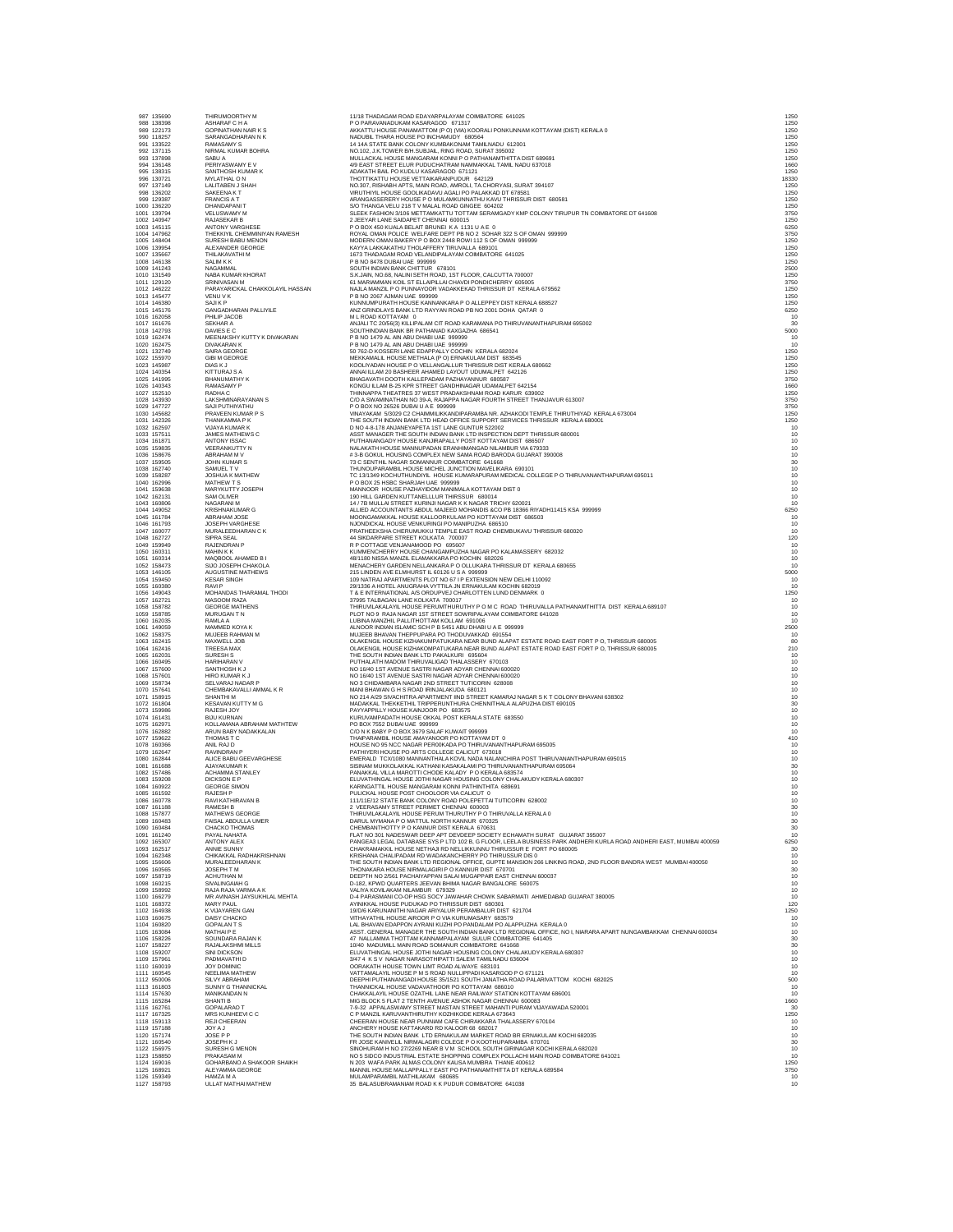|      | 987 135690<br>988 138398   | THIRUMOORTHY M<br>ASHARAF C H A                   | 11/18 THADAGAM ROAD EDAYARPALAYAM COIMBATORE 641025<br>P O PARAVANADUKAM KASARAGOD 671317                                                                                                   | 1250<br>1250                                  |
|------|----------------------------|---------------------------------------------------|---------------------------------------------------------------------------------------------------------------------------------------------------------------------------------------------|-----------------------------------------------|
|      | 989 122173                 | GOPINATHAN NAIR K S                               | AKKATTU HOUSE PANAMATTOM (P O) (VIA) KOORALI PONKUNNAM KOTTAYAM (DIST) KERALA 0                                                                                                             | 1250                                          |
|      | 990 118257                 | SARANGADHARAN N K                                 | NADUBIL THARA HOUSE PO INCHAMUDY 680564                                                                                                                                                     | 1250                                          |
|      | 991 133522<br>992 137115   | RAMASAMY S<br>NIRMAL KUMAR BOHRA                  | 14 14A STATE BANK COLONY KUMBAKONAM TAMILNADU 612001                                                                                                                                        | 1250<br>1250                                  |
|      | 993 137898                 | SABU A                                            | NO.102, J.K.TOWER B/H.SUBJAIL, RING ROAD, SURAT 395002<br>MULLACKAL HOUSE MANGARAM KONNI P O PATHANAMTHITTA DIST 689691                                                                     | 1250                                          |
|      | 994 136148                 | PERIYASWAMY E V                                   | 4/9 EAST STREET ELUR PUDUCHATRAM NAMMAKKAL TAMIL NADU 637018                                                                                                                                | 1660                                          |
|      | 995 138315                 | SANTHOSH KUMAR K                                  | ADAKATH BAIL PO KUDLU KASARAGOD 671121                                                                                                                                                      | 1250<br>18330                                 |
|      | 996 130721<br>997 137149   | MYLATHAL ON<br>LALITABEN J SHAH                   | THOTTIKATTU HOUSE VETTAIKARANPUDUR 642129<br>NO.307, RISHABH APTS, MAIN ROAD, AMROLI, TA.CHORYASI, SURAT 394107                                                                             | 1250                                          |
|      | 998 136202                 | SAKEENA KT                                        | VIRUTHIYIL HOUSE GOOLIKADAVU AGALI PO PALAKKAD DT 678581                                                                                                                                    | 1250                                          |
|      | 999 129387                 | FRANCIS A T<br>DHANDAPANI T                       | ARANGASSERERY HOUSE P O MULAMKUNNATHU KAVU THRISSUR DIST 680581 S/O THANGA VELU 218 T V MALAL ROAD GINGEE 604202                                                                            | 1250                                          |
|      | 1000 136220<br>1001 139794 | VELUSWAMY M                                       | SLEEK FASHION 3/106 METTAMKATTU TOTTAM SERAMGADY KMP COLONY TIRUPUR TN COMBATORE DT 641608                                                                                                  | 1250<br>3750                                  |
|      | 1002 140947                | RAJASEKAR B                                       | 2 JEEYAR LANE SAIDAPET CHENNAI 600015                                                                                                                                                       | 1250                                          |
|      | 1003 145115                | ANTONY VARGHESE                                   | P O BOX 450 KUALA BELAIT BRUNEI K A 1131 U A E 0                                                                                                                                            | 6250                                          |
|      | 1004 147962                | THEKKIYIL CHEMMINIYAN RAMESH                      | ROYAL OMAN POLICE WELFARE DEPT PB NO 2 SOHAR 322 S OF OMAN 999999                                                                                                                           | 3750                                          |
|      | 1005 148404<br>1006 139954 | SURESH BABU MENON<br>ALEXANDER GEORGE             | MODERN OMAN BAKERY P O BOX 2448 ROWI 112 S OF OMAN 999999<br>KAYYA LAKKAKATHU THOLAFFERY TIRUVALLA 689101                                                                                   | 1250<br>1250                                  |
|      | 1007 135667                | THILAKAVATHI M                                    | 1673 THADAGAM ROAD VELANDIPALAYAM COIMBATORE 641025                                                                                                                                         | 1250                                          |
|      | 1008 146138                | SALIM K K                                         | P B NO 8478 DUBAI UAE 999999                                                                                                                                                                | 1250                                          |
|      | 1009 141243                | NAGAMMAL                                          | SOUTH INDIAN BANK CHITTUR 678101<br>S.K.JAIN, NO.68, NALINI SETH ROAD, 1ST FLOOR, CALCUTTA 700007                                                                                           | 2500<br>1250                                  |
|      | 1010 131549<br>1011 129120 | NABA KUMAR KHORAT<br>SRINIVASAN M                 | 61 MARIAMMAN KOIL ST ELLAIPILLAI CHAVDI PONDICHERRY 605005                                                                                                                                  | 3750                                          |
|      | 1012 146222                | PARAYARICKAL CHAKKOLAYIL HASSAN                   | NAJLA MANZIL P O PUNNAYOOR VADAKKEKAD THRISSUR DT KERALA 679562                                                                                                                             | 1250                                          |
|      | 1013 145477                | VENU V K                                          | P B NO 2067 AJMAN UAE 999999                                                                                                                                                                | 1250                                          |
|      | 1014 146380<br>1015 145176 | SAJIK P<br>GANGADHARAN PALLIYILE                  | KUNNUMPURATH HOUSE KANNANKARA P O ALLEPPEY DIST KERALA 688527<br>ANZ GRINDLAYS BANK LTD RAYYAN ROAD PB NO 2001 DOHA QATAR 0                                                                 | 1250<br>6250                                  |
|      | 1016 162058                | PHILIP JACOB                                      | M L ROAD KOTTAYAM 0                                                                                                                                                                         | 10                                            |
|      | 1017 161676                | SEKHAR A                                          | ANJALI TC 20/56(3) KILLIPALAM CIT ROAD KARAMANA PO THIRUVANANTHAPURAM 695002                                                                                                                | 30                                            |
|      | 1018 142793<br>1019 162474 | DAVIES E C<br>MEENAKSHY KUTTY K DIVAKARAN         | SOUTHINDIAN BANK BR PATHANAD KAXGAZHA 686541<br>P B NO 1479 AL AIN ABU DHABI UAE 999999                                                                                                     | 5000                                          |
|      | 1020 162475                | <b>DIVAKARAN K</b>                                | P B NO 1479 AL AIN ABU DHABI UAE 999999                                                                                                                                                     | 10<br>10                                      |
|      | 1021 132749                | SAIRA GEORGE                                      | 50 762-D KOSSERI LANE EDAPPALLY COCHIN KERALA 682024                                                                                                                                        | 1250                                          |
|      | 1022 155970                | <b>GIBI M GEORGE</b>                              | MEKKAMALIL HOUSE METHALA (P O) ERNAKULAM DIST 683545                                                                                                                                        | 1250                                          |
|      | 1023 145987                | <b>DIAS KJ</b>                                    | KOOLIYADAN HOUSE P O VELLANGALLUR THRISSUR DIST KERALA 680662                                                                                                                               | 1250<br>1250                                  |
|      | 1024 140354<br>1025 141995 | KITTURAJ S A<br>BHANUMATHY K                      | ANNAI ILLAM 20 BASHEER AHAMED LAYOUT UDUMALPET 642126<br>BHAGAVATH DOOTH KALLEPADAM PAZHAYANNUR 680587                                                                                      | 3750                                          |
|      | 1026 140343                | RAMASAMY P                                        | KONGU ILLAM B-25 KPR STREET GANDHINAGAR UDAMALPET 642154                                                                                                                                    | 1660                                          |
|      | 1027 152510                | RADHA C                                           | THINNAPPA THEATRES 37 WEST PRADAKSHNAM ROAD KARUR 639002                                                                                                                                    | 1250                                          |
|      | 1028 143930<br>1029 147727 | LAKSHMINARAYANAN S<br>SAJI PUTHIYATHU             | C/O A SWAMINATHAN NO 39-A, RAJAPPA NAGAR FOURTH STREET THANJAVUR 613007<br>P O BOX NO 26526 DUBAI U A E 999999                                                                              | 3750<br>3750                                  |
|      | 1030 145682                | PRAVEEN KUMAR P S                                 | VINAYAKAM 5/3029 C2 CHAIMMILIKKANDIPARAMBA NR. AZHAKODI TEMPLE THIRUTHIYAD KERALA 673004                                                                                                    | 1250                                          |
|      | 1031 142326                | THANKAMMA P K                                     | THE SOUTH INDIAN BANK LTD HEAD OFFICE SUPPORT SERVICES THRISSUR KERALA 680001                                                                                                               | 1250                                          |
|      | 1032 162597<br>1033 157511 | VIJAYA KUMAR K<br>JAMES MATHEWS C                 | D NO 4-8-178 ANJANEYAPETA 1ST LANE GUNTUR 522002<br>ASST MANAGER THE SOUTH INDIAN BANK LTD INSPECTION DEPT THRISSUR 680001                                                                  | 10<br>10                                      |
|      | 1034 161871                | ANTONY ISSAC                                      | PUTHANANGADY HOUSE KANJIRAPALLY POST KOTTAYAM DIST 686507                                                                                                                                   | 10                                            |
|      | 1035 159835                | VEERANKUTTY N                                     | NALAKATH HOUSE MANNUPADAN ERANHIMANGAD NILAMBUR VIA 679333                                                                                                                                  | 10                                            |
|      | 1036 158676                | ABRAHAM M V                                       | # 3-B GOKUL HOUSING COMPLEX NEW SAMA ROAD BARODA GUJARAT 390008                                                                                                                             | 10                                            |
|      | 1037 159505<br>1038 162740 | <b>JOHN KUMAR S</b><br>SAMUEL TV                  | 73 C SENTHIL NAGAR SOMANNUR COIMBATORE 641668<br>THUNOUPARAMBIL HOUSE MICHEL JUNCTION MAVELIKARA 690101                                                                                     | 30<br>10                                      |
|      | 1039 158287                | JOSHUA K MATHEW                                   | TC 13/1349 KOCHUTHUNDIYIL HOUSE KUMARAPURAM MEDICAL COLLEGE P O THIRUVANANTHAPURAM 695011                                                                                                   | 10                                            |
|      | 1040 162996                | MATHEW T S                                        | P O BOX 25 HSBC SHARJAH UAE 999999                                                                                                                                                          | 10                                            |
|      | 1041 159638                | MARYKUTTY JOSEPH                                  | MANNOOR HOUSE PAZHAYIDOM MANIMALA KOTTAYAM DIST 0                                                                                                                                           | 10                                            |
|      | 1042 162131<br>1043 160806 | SAM OLIVER<br>NAGARANI M                          | 190 HILL GARDEN KUTTANELLLUR THIRSSUR 680014                                                                                                                                                | 10<br>10                                      |
|      | 1044 149052                | KRISHNAKUMAR G                                    | 14 / 7B MULLAI STREET KURINJI NAGAR K K NAGAR TRICHY 620021<br>ALLIED ACCOUNTANTS ABDUL MAJEED MOHANDIS &CO PB 18366 RIYADH11415 KSA 999999                                                 | 6250                                          |
|      | 1045 161784                | ABRAHAM JOSE                                      | MOONGAMAKKAL HOUSE KALLOORKULAM PO KOTTAYAM DIST 686503                                                                                                                                     | 10                                            |
|      | 1046 161793                | JOSEPH VARGHESE                                   | NJONDICKAL HOUSE VENKURINGI PO MANIPUZHA 686510                                                                                                                                             | 10                                            |
|      | 1047 160077<br>1048 162727 | MURALEEDHARAN C K<br>SIPRA SEAL                   | PRATHEEKSHA CHERUMUKKU TEMPLE EAST ROAD CHEMBUKAVU THRISSUR 680020<br>44 SIKDARPARE STREET KOLKATA 700007                                                                                   | 10<br>120                                     |
|      | 1049 159949                | <b>RAJENDRAN P</b>                                | R P COTTAGE VENJANAMOOD PO 695607                                                                                                                                                           | 10                                            |
|      | 1050 160311                | MAHINKK<br>MAQBOOL AHAMED B I                     | KUMMENCHERRY HOUSE CHANGAMPUZHA NAGAR PO KALAMASSERY 682032<br>48/1180 NISSA MANZIL ELAMAKKARA PO KOCHIN 682026                                                                             |                                               |
|      | 1051 160314                | SIJO JOSEPH CHAKOLA                               | MENACHERY GARDEN NELLANKARA P O OLLUKARA THRISSUR DT KERALA 680655                                                                                                                          | $\begin{array}{c} 10 \\ 10 \\ 10 \end{array}$ |
|      | 1052 158473<br>1053 146105 | AUGUSTINE MATHEWS                                 | 215 LINDEN AVE ELMHURST IL 60126 U S A 999999                                                                                                                                               | 5000                                          |
|      | 1054 159450                | <b>KESAR SINGH</b>                                | 109 NATRAJ APARTMENTS PLOT NO 67 I P EXTENSION NEW DELHI 110092                                                                                                                             | 10                                            |
|      | 1055 160380                | RAVI <sub>P</sub>                                 | 29/1336 A HOTEL ANUGRAHA VYTTILA JN ERNAKULAM KOCHIN 682019                                                                                                                                 | 10                                            |
|      | 1056 149043<br>1057 162721 | MOHANDAS THARAMAL THODI<br>MASOOM RAZA            | T & E INTERNATIONAL A/S ORDUPVEJ CHARLOTTEN LUND DENMARK 0<br>37995 TALBAGAN LANE KOLKATA 700017                                                                                            | 1250<br>10                                    |
|      | 1058 158782                | <b>GEORGE MATHENS</b>                             | THIRUVILAKALAYIL HOUSE PERUMTHURUTHY P O M C ROAD THIRUVALLA PATHANAMTHITTA DIST KERALA 689107                                                                                              | 10                                            |
|      | 1059 158785                | MURUGAN T N                                       | PLOT NO 9 RAJA NAGAR 1ST STREET SOWRIPALAYAM COIMBATORE 641028                                                                                                                              | 10                                            |
|      | 1060 162035                | RAMLA A                                           | LUBINA MANZHIL PALLITHOTTAM KOLLAM 691006                                                                                                                                                   | 10                                            |
|      | 1061 149059<br>1062 158375 | MAMMED KOYA K<br>MUJEEB RAHMAN M                  | ALNOOR INDIAN ISLAMIC SCH P B 5451 ABU DHABI U A E 999999<br>MUJEEB BHAVAN THEPPUPARA PO THODUVAKKAD 691554                                                                                 | 2500<br>10                                    |
|      | 1063 162415                | MAXWELL JOB                                       | OLAKENGIL HOUSE KIZHAKUMPATUKARA NEAR BUND ALAPAT ESTATE ROAD EAST FORT P O, THRISSUR 680005                                                                                                | 80                                            |
|      | 1064 162416                | TREESA MAX                                        | OLAKENGIL HOUSE KIZHAKOMPATUKARA NEAR BUND ALAPAT ESTATE ROAD EAST FORT P O, THRISSUR 680005                                                                                                | 210                                           |
|      | 1065 162031                | SURESH <sub>S</sub>                               | THE SOUTH INDIAN BANK LTD PAKALKURI 695604                                                                                                                                                  | 10                                            |
|      | 1066 160495<br>1067 157600 | HARIHARAN V<br>SANTHOSH K J                       | PUTHALATH MADOM THIRUVALIGAD THALASSERY 670103<br>NO 16/40 1ST AVENUE SASTRI NAGAR ADYAR CHENNAI 600020                                                                                     | 10<br>10                                      |
|      | 1068 157601                | HIRO KUMAR K J                                    | NO 16/40 1ST AVENUE SASTRI NAGAR ADYAR CHENNAI 600020                                                                                                                                       | 10                                            |
|      | 1069 158734                | SELVARAJ NADAR P                                  | NO 3 CHIDAMBARA NAGAR 2ND STREET TUTICORIN 628008                                                                                                                                           | 10                                            |
|      | 1070 157641<br>1071 158915 | CHEMBAKAVALLI AMMAL K R<br>SHANTHI <sub>M</sub>   | MANI BHAWAN G H S ROAD IRINJALAKUDA 680121<br>NO 214 A/29 SIVACHITRA APARTMENT IIND STREET KAMARAJ NAGAR S K T COLONY BHAVANI 638302                                                        | $\frac{10}{10}$                               |
|      | 1072 161804                | <b>KESAVAN KUTTY M G</b>                          | MADAKKAL THEKKETHIL TRIPPERUNTHURA CHENNITHALA ALAPUZHA DIST 690105                                                                                                                         |                                               |
|      | 1073 159986                | RAJESH JOY                                        | PAYYAPPILLY HOUSE KAINJOOR PO 683575                                                                                                                                                        | $\frac{30}{10}$                               |
|      | 1074 161431                | <b>BLIU KURNAN</b>                                | KURUVAMPADATH HOUSE OKKAL POST KERALA STATE 683550                                                                                                                                          | 10                                            |
|      | 1075 162971<br>1076 162882 | KOLLAMANA ABRAHAM MATHTEW<br>ARUN BABY NADAKKALAN | PO BOX 7552 DUBAI UAE 999999<br>C/O N K BABY P O BOX 3679 SALAF KUWAIT 999999                                                                                                               | $\frac{10}{10}$                               |
|      | 1077 159622                | THOMAS T C                                        | THAIPARAMBIL HOUSE AMAYANOOR PO KOTTAYAM DT 0                                                                                                                                               | 410                                           |
|      | 380361 8701                | ANIL RAJ D                                        | HOUSE NO 95 NCC NAGAR PER00KADA PO THIRUVANANTHAPURAM 695005                                                                                                                                |                                               |
|      | 1079 162647<br>1080 162844 | <b>RAVINDRAN P</b><br>ALICE BABU GEEVARGHESE      | PATHIYERI HOUSE PO ARTS COLLEGE CALICUT 673018<br>EMERALD TCX/1080 MANNANTHALA KOVIL NADA NALANCHIRA POST THIRUVANANTHAPURAM 695015                                                         |                                               |
|      | 1081 161688                | AJAYAKUMAR K                                      | SISINAM MUKKOLAKKAL KATHANI KASAKALAMI PO THIRUVANANTHAPURAM 695064                                                                                                                         |                                               |
|      | 1082 157486                | ACHAMMA STANLEY                                   | PANAKKAL VILLA MAROTTI CHODE KALADY P O KERALA 683574                                                                                                                                       | 10<br>10<br>10<br>30<br>10<br>10              |
|      | 1083 159208                | <b>DICKSON E P</b><br><b>GEORGE SIMON</b>         | ELUVATHINGAL HOUSE JOTHI NAGAR HOUSING COLONY CHALAKUDY KERALA 680307<br>KARINGATTIL HOUSE MANGARAM KONNI PATHINTHITA 689691                                                                |                                               |
|      | 1084 160922<br>1085 161592 | RAJESH P                                          | PULICKAL HOUSE POST CHOOLOOR VIA CALICUT 0                                                                                                                                                  | 10<br>10                                      |
|      | 1086 160778                | RAVI KATHIRAVAN B                                 | 111/11E/12 STATE BANK COLONY ROAD POLEPETTAI TUTICORIN 628002                                                                                                                               | 10                                            |
| 1087 | 161188                     | RAMESH B                                          | VEERASAMY STREET PERIMET CHENNAI 600003                                                                                                                                                     | 30                                            |
|      | 1088 157877<br>1089 160483 | MATHEWS GEORGE<br>FAISAL ABDULLA UMER             | THIRUVILAKALAYIL HOUSE PERUM THURUTHY P O THIRUVALLA KERALA 0<br>DARUL MYMANA P O MATTUL NORTH KANNUR 670325                                                                                | 10<br>30                                      |
|      | 1090 160484                | CHACKO THOMAS                                     | CHEMBANTHOTTY P O KANNUR DIST KERALA 670631                                                                                                                                                 | 30                                            |
|      | 1091 161240                | PAYAL NAHATA                                      | FLAT NO 301 NADESWAR DEEP APT DEVDEEP SOCIETY ECHAMATH SURAT GUJARAT 395007                                                                                                                 | 10                                            |
|      | 1092 165307<br>1093 162517 | ANTONY ALEX<br>ANNIE SUNNY                        | PANGEA3 LEGAL DATABASE SYS P LTD 102 B, G FLOOR, LEELA BUSINESS PARK ANDHERI KURLA ROAD ANDHERI EAST, MUMBAI 400059<br>CHAKRAMAKKIL HOUSE NETHAJI RD NELLIKKUNNU THIRUSSUR E FORT PO 680005 | 6250<br>30                                    |
|      | 1094 162348                | CHIKAKKAL RADHAKRISHNAN                           | KRISHANA CHALIPADAM RD WADAKANCHERRY PO THIRUSSUR DIS 0                                                                                                                                     | 10                                            |
|      | 1095 156606                | MURALEEDHARAN K                                   | THE SOUTH INDIAN BANK LTD REGIONAL OFFICE, GUPTE MANSION 266 LINKING ROAD, 2ND FLOOR BANDRA WEST MUMBAI 400050                                                                              | 10                                            |
|      | 1096 160565                | JOSEPH T M                                        | THONAKARA HOUSE NIRMALAGIRI P O KANNUR DIST 670701                                                                                                                                          | 30                                            |
|      | 1097 158719<br>1098 160215 | ACHUTHAN M<br>SIVALINGAIAH G                      | DEEPTH NO 2/561 PACHAIYAPPAN SALAI MUGAPPAIR EAST CHENNAI 600037<br>D-182, KPWD QUARTERS JEEVAN BHIMA NAGAR BANGALORE 560075                                                                | 10<br>10                                      |
|      | 1099 158992                | RAJA RAJA VARMA A K                               | VALIYA KOVILAKAM NILAMBUR 679329                                                                                                                                                            | 10                                            |
|      | 1100 166279                | MR AVINASH JAYSUKHLAL MEHTA                       | D-4 PARASMANI CO-OP HSG SOCY JAWAHAR CHOWK SABARMATI AHMEDABAD GUJARAT 380005<br>AYINIKKAL HOUSE PUDUKAD PO THRISSUR DIST 680301                                                            | 10                                            |
|      | 1101 168372<br>1102 164938 | MARY PAUL<br>K VIJAYAREN GAN                      | 19/D/6 KARUNANITHI NAGAR ARIYALUR PERAMBALUR DIST 621704                                                                                                                                    | 120<br>1250                                   |
|      | 1103 160675                | DAISY CHACKO                                      | VITHAYATHIL HOUSE AIROOR P O VIA KURUMASARY 683579                                                                                                                                          | 10                                            |
|      | 1104 160820                | <b>GOPALANTS</b>                                  | LAL BHAVAN EDAPPON AYRANI KUZHI PO PANDALAM PO ALAPPUZHA KERALA 0                                                                                                                           | 10                                            |
|      | 1105 163084<br>1106 158226 | MATHAI P E<br>SOUNDARA RAJAN K                    | ASST. GENERAL MANAGER THE SOUTH INDIAN BANK LTD REGIONAL OFFICE, NO I, NIARARA APART NUNGAMBAKKAM CHENNAI 600034<br>47 NALLAMMA THOTTAM KANNAMPALAYAM SULUR COIMBATORE 641405               | 10<br>30                                      |
|      | 1107 158227                | RAJALAKSHMI MILLS                                 | 10/40 MADUMILL MAIN ROAD SOMANUR COIMBATORE 641668                                                                                                                                          | 30                                            |
|      | 1108 159207                | <b>SINI DICKSON</b>                               | ELUVATHINGAL HOUSE JOTHI NAGAR HOUSING COLONY CHALAKUDY KERALA 680307                                                                                                                       | 10                                            |
|      | 1109 157961                | PADMAVATHI D                                      | 3/47 4 K S V NAGAR NARASOTHIPATTI SALEM TAMILNADU 636004                                                                                                                                    | 10                                            |
|      | 1110 160019<br>1111 160545 | JOY DOMINIC<br>NEELIMA MATHEW                     | OORAKATH HOUSE TOWN LIMT ROAD ALWAYE 683101<br>VATTAMALAYIL HOUSE P M S ROAD NULLIPPADI KASARGOD P O 671121                                                                                 | 10<br>10                                      |
|      | 1112 950006                | SILVY ABRAHAM                                     | DEEPHI PUTHANANGADI HOUSE 35/1521 SOUTH JANATHA ROAD PALARIVATTOM KOCHI 682025                                                                                                              | 500                                           |
|      | 1113 161803                | SUNNY G THANNICKAL                                | THANNICKAL HOUSE VADAVATHOOR PO KOTTAYAM 686010                                                                                                                                             | 10                                            |
|      | 1114 157630                | MANIKANDAN N                                      | CHAKKALAYIL HOUSE OZATHIL LANE NEAR RAILWAY STATION KOTTAYAM 686001                                                                                                                         | 10                                            |
|      | 1115 165284<br>1116 162761 | SHANTI B<br>GOPALARAO T                           | MIG BLOCK 5 FLAT 2 TENTH AVENUE ASHOK NAGAR CHENNAI 600083<br>7-9-32 APPALASWAMY STREET MASTAN STREET MAHANTI PURAM VIJAYAWADA 520001                                                       | 1660<br>30                                    |
|      | 1117 167325                | MRS KUNHEEVIC C                                   | C P MANZIL KARUVANTHIRUTHY KOZHIKODE KERALA 673643                                                                                                                                          | 1250                                          |
|      | 1118 159113                | REJI CHEERAN                                      | CHEERAN HOUSE NEAR PUNNIAM CAFE CHIRAKKARA THALASSERY 670104                                                                                                                                | 10                                            |
|      | 1119 157188<br>1120 157174 | JOY A J<br>JOSE P P                               | ANCHERY HOUSE KATTAKARD RD KALOOR 68 682017<br>THE SOUTH INDIAN BANK LTD ERNAKULAM MARKET ROAD BR ERNAKULAM KOCHI 682035                                                                    | 10<br>10                                      |
|      | 1121 160540                | JOSEPH K J                                        | FR JOSE KANIVELIL NIRMALAGIRI COLEGE P O KOOTHUPARAMBA 670701                                                                                                                               | 30                                            |
|      | 1122 156975                | SURESH G MENON                                    | SINOHURAM H NO 27/2269 NEAR B V M SCHOOL SOUTH GIRINAGAR KOCHI KERALA 682020                                                                                                                | 10                                            |
|      | 1123 158850                | PRAKASAM M                                        | NO 5 SIDCO INDUSTRIAL ESTATE SHOPPING COMPLEX POLLACHI MAIN ROAD COIMBATORE 641021                                                                                                          | 10                                            |
|      | 1124 169016<br>1125 168921 | GOHARBANO A SHAKOOR SHAIKH<br>ALEYAMMA GEORGE     | N 203 WAFA PARK ALMAS COLONY KAUSA MUMBRA THANE 400612<br>MANNIL HOUSE MALLAPPALLY EAST PO PATHANAMTHITTA DT KERALA 689584                                                                  | 1250<br>3750                                  |
|      | 1126 159349                | HAMZA M A<br>ULLAT MATHAI MATHEW                  | MULAMPARAMBIL MATHILAKAM 680685<br>35 BALASUBRAMANIAM ROAD K K PUDUR COIMBATORE 641038                                                                                                      | $\frac{10}{10}$                               |
|      | 1127 158793                |                                                   |                                                                                                                                                                                             |                                               |